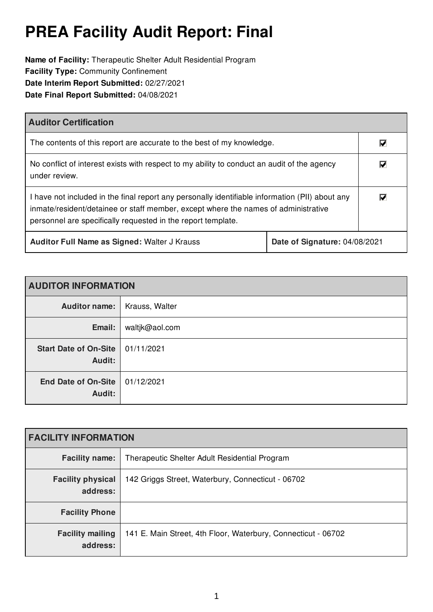# **PREA Facility Audit Report: Final**

**Name of Facility:** Therapeutic Shelter Adult Residential Program **Facility Type:** Community Confinement **Date Interim Report Submitted:** 02/27/2021 **Date Final Report Submitted:** 04/08/2021

| <b>Auditor Certification</b>                                                                                                                                                                                                                          |  |                                 |
|-------------------------------------------------------------------------------------------------------------------------------------------------------------------------------------------------------------------------------------------------------|--|---------------------------------|
| The contents of this report are accurate to the best of my knowledge.                                                                                                                                                                                 |  | M                               |
| No conflict of interest exists with respect to my ability to conduct an audit of the agency<br>under review.                                                                                                                                          |  | $\overline{\blacktriangledown}$ |
| I have not included in the final report any personally identifiable information (PII) about any<br>inmate/resident/detainee or staff member, except where the names of administrative<br>personnel are specifically requested in the report template. |  | $\overline{\mathbf{v}}$         |
| Auditor Full Name as Signed: Walter J Krauss<br>Date of Signature: 04/08/2021                                                                                                                                                                         |  |                                 |

| <b>AUDITOR INFORMATION</b>             |                |
|----------------------------------------|----------------|
| Auditor name:                          | Krauss, Walter |
| Email:                                 | waltjk@aol.com |
| <b>Start Date of On-Site</b><br>Audit: | 01/11/2021     |
| <b>End Date of On-Site</b><br>Audit:   | 01/12/2021     |

| <b>FACILITY INFORMATION</b>          |                                                               |  |
|--------------------------------------|---------------------------------------------------------------|--|
| <b>Facility name:</b>                | Therapeutic Shelter Adult Residential Program                 |  |
| <b>Facility physical</b><br>address: | 142 Griggs Street, Waterbury, Connecticut - 06702             |  |
| <b>Facility Phone</b>                |                                                               |  |
| <b>Facility mailing</b><br>address:  | 141 E. Main Street, 4th Floor, Waterbury, Connecticut - 06702 |  |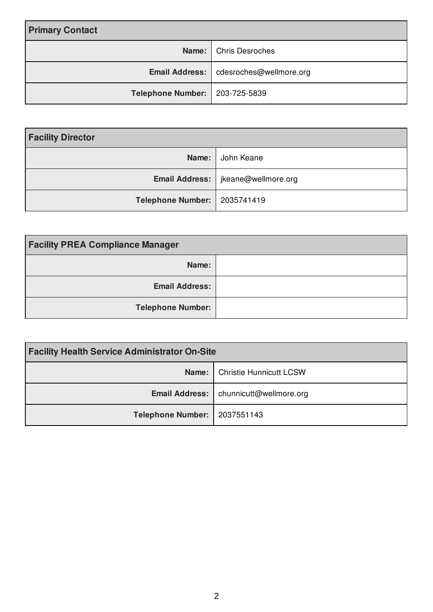| <b>Primary Contact</b>           |                                          |
|----------------------------------|------------------------------------------|
|                                  | Name: Chris Desroches                    |
|                                  | Email Address:   cdesroches@wellmore.org |
| Telephone Number:   203-725-5839 |                                          |

| <b>Facility Director</b>       |                                      |
|--------------------------------|--------------------------------------|
| Name:                          | John Keane                           |
|                                | Email Address:   jkeane@wellmore.org |
| Telephone Number:   2035741419 |                                      |

| <b>Facility PREA Compliance Manager</b> |  |
|-----------------------------------------|--|
| Name:                                   |  |
| <b>Email Address:</b>                   |  |
| <b>Telephone Number:</b>                |  |

| <b>Facility Health Service Administrator On-Site</b> |                                          |
|------------------------------------------------------|------------------------------------------|
|                                                      | <b>Name:</b>   Christie Hunnicutt LCSW   |
|                                                      | Email Address:   chunnicutt@wellmore.org |
| Telephone Number:   2037551143                       |                                          |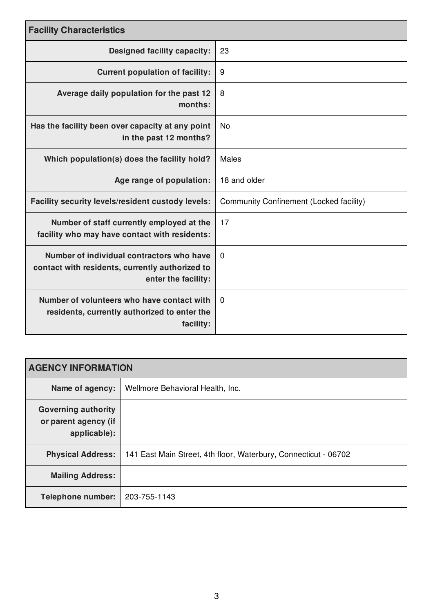| <b>Facility Characteristics</b>                                                                                     |                                                |  |
|---------------------------------------------------------------------------------------------------------------------|------------------------------------------------|--|
| <b>Designed facility capacity:</b>                                                                                  | 23                                             |  |
| <b>Current population of facility:</b>                                                                              | 9                                              |  |
| Average daily population for the past 12<br>months:                                                                 | 8                                              |  |
| Has the facility been over capacity at any point<br>in the past 12 months?                                          | <b>No</b>                                      |  |
| Which population(s) does the facility hold?                                                                         | <b>Males</b>                                   |  |
| Age range of population:                                                                                            | 18 and older                                   |  |
| Facility security levels/resident custody levels:                                                                   | <b>Community Confinement (Locked facility)</b> |  |
| Number of staff currently employed at the<br>facility who may have contact with residents:                          | 17                                             |  |
| Number of individual contractors who have<br>contact with residents, currently authorized to<br>enter the facility: | $\mathbf 0$                                    |  |
| Number of volunteers who have contact with<br>residents, currently authorized to enter the<br>facility:             | $\Omega$                                       |  |

| <b>AGENCY INFORMATION</b>                                          |                                                                 |  |
|--------------------------------------------------------------------|-----------------------------------------------------------------|--|
| Name of agency:                                                    | Wellmore Behavioral Health, Inc.                                |  |
| <b>Governing authority</b><br>or parent agency (if<br>applicable): |                                                                 |  |
| <b>Physical Address:</b>                                           | 141 East Main Street, 4th floor, Waterbury, Connecticut - 06702 |  |
| <b>Mailing Address:</b>                                            |                                                                 |  |
| <b>Telephone number:</b>                                           | 203-755-1143                                                    |  |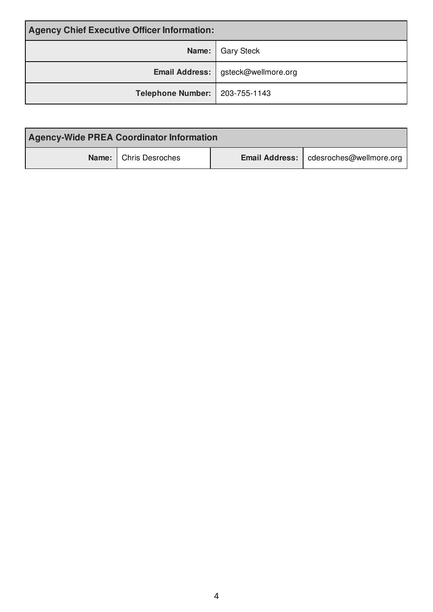| <b>Agency Chief Executive Officer Information:</b> |                                      |
|----------------------------------------------------|--------------------------------------|
|                                                    | Name:   Gary Steck                   |
|                                                    | Email Address:   gsteck@wellmore.org |
| Telephone Number:   203-755-1143                   |                                      |

| <b>Agency-Wide PREA Coordinator Information</b> |                                          |
|-------------------------------------------------|------------------------------------------|
| <b>Name:</b> Chris Desroches                    | Email Address:   cdesroches@wellmore.org |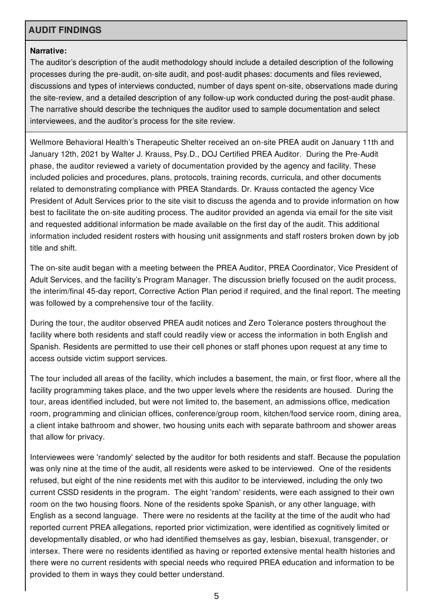# **AUDIT FINDINGS**

#### **Narrative:**

The auditor's description of the audit methodology should include a detailed description of the following processes during the pre-audit, on-site audit, and post-audit phases: documents and files reviewed, discussions and types of interviews conducted, number of days spent on-site, observations made during the site-review, and a detailed description of any follow-up work conducted during the post-audit phase. The narrative should describe the techniques the auditor used to sample documentation and select interviewees, and the auditor's process for the site review.

Wellmore Behavioral Health's Therapeutic Shelter received an on-site PREA audit on January 11th and January 12th, 2021 by Walter J. Krauss, Psy.D., DOJ Certified PREA Auditor. During the Pre-Audit phase, the auditor reviewed a variety of documentation provided by the agency and facility. These included policies and procedures, plans, protocols, training records, curricula, and other documents related to demonstrating compliance with PREA Standards. Dr. Krauss contacted the agency Vice President of Adult Services prior to the site visit to discuss the agenda and to provide information on how best to facilitate the on-site auditing process. The auditor provided an agenda via email for the site visit and requested additional information be made available on the first day of the audit. This additional information included resident rosters with housing unit assignments and staff rosters broken down by job title and shift.

The on-site audit began with a meeting between the PREA Auditor, PREA Coordinator, Vice President of Adult Services, and the facility's Program Manager. The discussion briefly focused on the audit process, the interim/final 45-day report, Corrective Action Plan period if required, and the final report. The meeting was followed by a comprehensive tour of the facility.

During the tour, the auditor observed PREA audit notices and Zero Tolerance posters throughout the facility where both residents and staff could readily view or access the information in both English and Spanish. Residents are permitted to use their cell phones or staff phones upon request at any time to access outside victim support services.

The tour included all areas of the facility, which includes a basement, the main, or first floor, where all the facility programming takes place, and the two upper levels where the residents are housed. During the tour, areas identified included, but were not limited to, the basement, an admissions office, medication room, programming and clinician offices, conference/group room, kitchen/food service room, dining area, a client intake bathroom and shower, two housing units each with separate bathroom and shower areas that allow for privacy.

Interviewees were 'randomly' selected by the auditor for both residents and staff. Because the population was only nine at the time of the audit, all residents were asked to be interviewed. One of the residents refused, but eight of the nine residents met with this auditor to be interviewed, including the only two current CSSD residents in the program. The eight 'random' residents, were each assigned to their own room on the two housing floors. None of the residents spoke Spanish, or any other language, with English as a second language. There were no residents at the facility at the time of the audit who had reported current PREA allegations, reported prior victimization, were identified as cognitively limited or developmentally disabled, or who had identified themselves as gay, lesbian, bisexual, transgender, or intersex. There were no residents identified as having or reported extensive mental health histories and there were no current residents with special needs who required PREA education and information to be provided to them in ways they could better understand.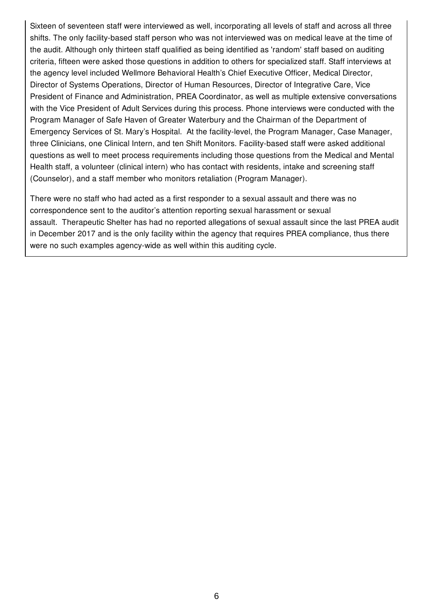Sixteen of seventeen staff were interviewed as well, incorporating all levels of staff and across all three shifts. The only facility-based staff person who was not interviewed was on medical leave at the time of the audit. Although only thirteen staff qualified as being identified as 'random' staff based on auditing criteria, fifteen were asked those questions in addition to others for specialized staff. Staff interviews at the agency level included Wellmore Behavioral Health's Chief Executive Officer, Medical Director, Director of Systems Operations, Director of Human Resources, Director of Integrative Care, Vice President of Finance and Administration, PREA Coordinator, as well as multiple extensive conversations with the Vice President of Adult Services during this process. Phone interviews were conducted with the Program Manager of Safe Haven of Greater Waterbury and the Chairman of the Department of Emergency Services of St. Mary's Hospital. At the facility-level, the Program Manager, Case Manager, three Clinicians, one Clinical Intern, and ten Shift Monitors. Facility-based staff were asked additional questions as well to meet process requirements including those questions from the Medical and Mental Health staff, a volunteer (clinical intern) who has contact with residents, intake and screening staff (Counselor), and a staff member who monitors retaliation (Program Manager).

There were no staff who had acted as a first responder to a sexual assault and there was no correspondence sent to the auditor's attention reporting sexual harassment or sexual assault. Therapeutic Shelter has had no reported allegations of sexual assault since the last PREA audit in December 2017 and is the only facility within the agency that requires PREA compliance, thus there were no such examples agency-wide as well within this auditing cycle.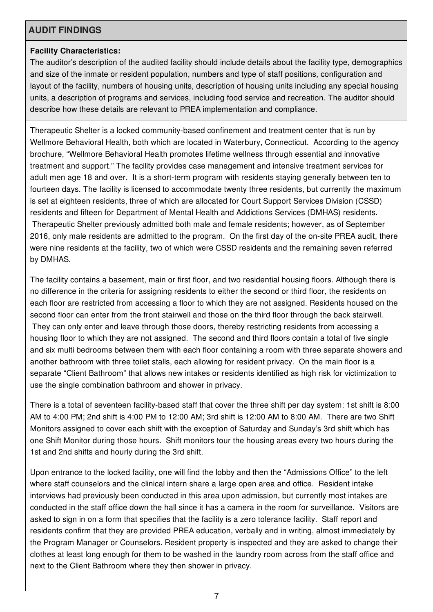# **AUDIT FINDINGS**

#### **Facility Characteristics:**

The auditor's description of the audited facility should include details about the facility type, demographics and size of the inmate or resident population, numbers and type of staff positions, configuration and layout of the facility, numbers of housing units, description of housing units including any special housing units, a description of programs and services, including food service and recreation. The auditor should describe how these details are relevant to PREA implementation and compliance.

Therapeutic Shelter is a locked community-based confinement and treatment center that is run by Wellmore Behavioral Health, both which are located in Waterbury, Connecticut. According to the agency brochure, "Wellmore Behavioral Health promotes lifetime wellness through essential and innovative treatment and support." The facility provides case management and intensive treatment services for adult men age 18 and over. It is a short-term program with residents staying generally between ten to fourteen days. The facility is licensed to accommodate twenty three residents, but currently the maximum is set at eighteen residents, three of which are allocated for Court Support Services Division (CSSD) residents and fifteen for Department of Mental Health and Addictions Services (DMHAS) residents. Therapeutic Shelter previously admitted both male and female residents; however, as of September 2016, only male residents are admitted to the program. On the first day of the on-site PREA audit, there were nine residents at the facility, two of which were CSSD residents and the remaining seven referred by DMHAS.

The facility contains a basement, main or first floor, and two residential housing floors. Although there is no difference in the criteria for assigning residents to either the second or third floor, the residents on each floor are restricted from accessing a floor to which they are not assigned. Residents housed on the second floor can enter from the front stairwell and those on the third floor through the back stairwell. They can only enter and leave through those doors, thereby restricting residents from accessing a housing floor to which they are not assigned. The second and third floors contain a total of five single and six multi bedrooms between them with each floor containing a room with three separate showers and another bathroom with three toilet stalls, each allowing for resident privacy. On the main floor is a separate "Client Bathroom" that allows new intakes or residents identified as high risk for victimization to use the single combination bathroom and shower in privacy.

There is a total of seventeen facility-based staff that cover the three shift per day system: 1st shift is 8:00 AM to 4:00 PM; 2nd shift is 4:00 PM to 12:00 AM; 3rd shift is 12:00 AM to 8:00 AM. There are two Shift Monitors assigned to cover each shift with the exception of Saturday and Sunday's 3rd shift which has one Shift Monitor during those hours. Shift monitors tour the housing areas every two hours during the 1st and 2nd shifts and hourly during the 3rd shift.

Upon entrance to the locked facility, one will find the lobby and then the "Admissions Office" to the left where staff counselors and the clinical intern share a large open area and office. Resident intake interviews had previously been conducted in this area upon admission, but currently most intakes are conducted in the staff office down the hall since it has a camera in the room for surveillance. Visitors are asked to sign in on a form that specifies that the facility is a zero tolerance facility. Staff report and residents confirm that they are provided PREA education, verbally and in writing, almost immediately by the Program Manager or Counselors. Resident property is inspected and they are asked to change their clothes at least long enough for them to be washed in the laundry room across from the staff office and next to the Client Bathroom where they then shower in privacy.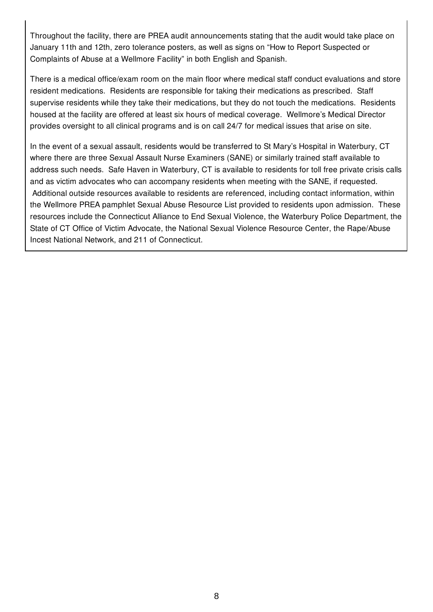Throughout the facility, there are PREA audit announcements stating that the audit would take place on January 11th and 12th, zero tolerance posters, as well as signs on "How to Report Suspected or Complaints of Abuse at a Wellmore Facility" in both English and Spanish.

There is a medical office/exam room on the main floor where medical staff conduct evaluations and store resident medications. Residents are responsible for taking their medications as prescribed. Staff supervise residents while they take their medications, but they do not touch the medications. Residents housed at the facility are offered at least six hours of medical coverage. Wellmore's Medical Director provides oversight to all clinical programs and is on call 24/7 for medical issues that arise on site.

In the event of a sexual assault, residents would be transferred to St Mary's Hospital in Waterbury, CT where there are three Sexual Assault Nurse Examiners (SANE) or similarly trained staff available to address such needs. Safe Haven in Waterbury, CT is available to residents for toll free private crisis calls and as victim advocates who can accompany residents when meeting with the SANE, if requested. Additional outside resources available to residents are referenced, including contact information, within the Wellmore PREA pamphlet Sexual Abuse Resource List provided to residents upon admission. These resources include the Connecticut Alliance to End Sexual Violence, the Waterbury Police Department, the State of CT Office of Victim Advocate, the National Sexual Violence Resource Center, the Rape/Abuse Incest National Network, and 211 of Connecticut.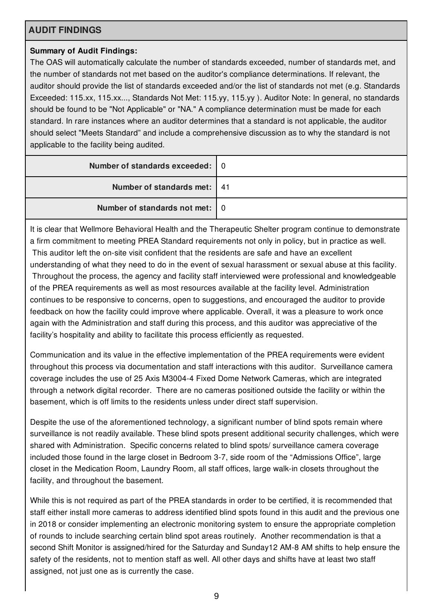# **AUDIT FINDINGS**

# **Summary of Audit Findings:**

The OAS will automatically calculate the number of standards exceeded, number of standards met, and the number of standards not met based on the auditor's compliance determinations. If relevant, the auditor should provide the list of standards exceeded and/or the list of standards not met (e.g. Standards Exceeded: 115.xx, 115.xx..., Standards Not Met: 115.yy, 115.yy ). Auditor Note: In general, no standards should be found to be "Not Applicable" or "NA." A compliance determination must be made for each standard. In rare instances where an auditor determines that a standard is not applicable, the auditor should select "Meets Standard" and include a comprehensive discussion as to why the standard is not applicable to the facility being audited.

| Number of standards exceeded: 0  |  |
|----------------------------------|--|
| Number of standards met:   41    |  |
| Number of standards not met:   0 |  |

It is clear that Wellmore Behavioral Health and the Therapeutic Shelter program continue to demonstrate a firm commitment to meeting PREA Standard requirements not only in policy, but in practice as well. This auditor left the on-site visit confident that the residents are safe and have an excellent understanding of what they need to do in the event of sexual harassment or sexual abuse at this facility. Throughout the process, the agency and facility staff interviewed were professional and knowledgeable of the PREA requirements as well as most resources available at the facility level. Administration continues to be responsive to concerns, open to suggestions, and encouraged the auditor to provide feedback on how the facility could improve where applicable. Overall, it was a pleasure to work once again with the Administration and staff during this process, and this auditor was appreciative of the facility's hospitality and ability to facilitate this process efficiently as requested.

Communication and its value in the effective implementation of the PREA requirements were evident throughout this process via documentation and staff interactions with this auditor. Surveillance camera coverage includes the use of 25 Axis M3004-4 Fixed Dome Network Cameras, which are integrated through a network digital recorder. There are no cameras positioned outside the facility or within the basement, which is off limits to the residents unless under direct staff supervision.

Despite the use of the aforementioned technology, a significant number of blind spots remain where surveillance is not readily available. These blind spots present additional security challenges, which were shared with Administration. Specific concerns related to blind spots/ surveillance camera coverage included those found in the large closet in Bedroom 3-7, side room of the "Admissions Office", large closet in the Medication Room, Laundry Room, all staff offices, large walk-in closets throughout the facility, and throughout the basement.

While this is not required as part of the PREA standards in order to be certified, it is recommended that staff either install more cameras to address identified blind spots found in this audit and the previous one in 2018 or consider implementing an electronic monitoring system to ensure the appropriate completion of rounds to include searching certain blind spot areas routinely. Another recommendation is that a second Shift Monitor is assigned/hired for the Saturday and Sunday12 AM-8 AM shifts to help ensure the safety of the residents, not to mention staff as well. All other days and shifts have at least two staff assigned, not just one as is currently the case.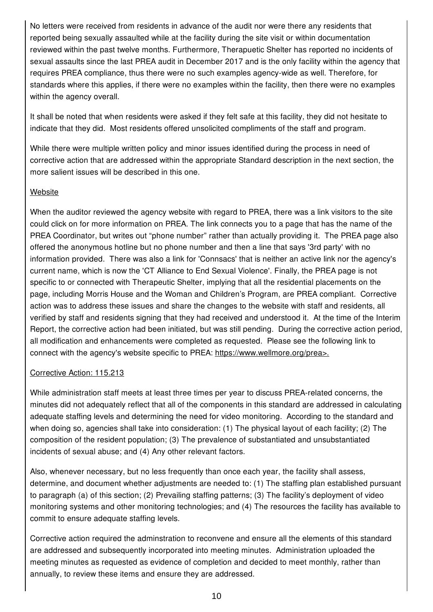No letters were received from residents in advance of the audit nor were there any residents that reported being sexually assaulted while at the facility during the site visit or within documentation reviewed within the past twelve months. Furthermore, Therapuetic Shelter has reported no incidents of sexual assaults since the last PREA audit in December 2017 and is the only facility within the agency that requires PREA compliance, thus there were no such examples agency-wide as well. Therefore, for standards where this applies, if there were no examples within the facility, then there were no examples within the agency overall.

It shall be noted that when residents were asked if they felt safe at this facility, they did not hesitate to indicate that they did. Most residents offered unsolicited compliments of the staff and program.

While there were multiple written policy and minor issues identified during the process in need of corrective action that are addressed within the appropriate Standard description in the next section, the more salient issues will be described in this one.

# Website

When the auditor reviewed the agency website with regard to PREA, there was a link visitors to the site could click on for more information on PREA. The link connects you to a page that has the name of the PREA Coordinator, but writes out "phone number" rather than actually providing it. The PREA page also offered the anonymous hotline but no phone number and then a line that says '3rd party' with no information provided. There was also a link for 'Connsacs' that is neither an active link nor the agency's current name, which is now the 'CT Alliance to End Sexual Violence'. Finally, the PREA page is not specific to or connected with Therapeutic Shelter, implying that all the residential placements on the page, including Morris House and the Woman and Children's Program, are PREA compliant. Corrective action was to address these issues and share the changes to the website with staff and residents, all verified by staff and residents signing that they had received and understood it. At the time of the Interim Report, the corrective action had been initiated, but was still pending. During the corrective action period, all modification and enhancements were completed as requested. Please see the following link to connect with the agency's website specific to PREA: https://www.wellmore.org/prea>.

#### Corrective Action: 115.213

While administration staff meets at least three times per year to discuss PREA-related concerns, the minutes did not adequately reflect that all of the components in this standard are addressed in calculating adequate staffing levels and determining the need for video monitoring. According to the standard and when doing so, agencies shall take into consideration: (1) The physical layout of each facility; (2) The composition of the resident population; (3) The prevalence of substantiated and unsubstantiated incidents of sexual abuse; and (4) Any other relevant factors.

Also, whenever necessary, but no less frequently than once each year, the facility shall assess, determine, and document whether adjustments are needed to: (1) The staffing plan established pursuant to paragraph (a) of this section; (2) Prevailing staffing patterns; (3) The facility's deployment of video monitoring systems and other monitoring technologies; and (4) The resources the facility has available to commit to ensure adequate staffing levels.

Corrective action required the adminstration to reconvene and ensure all the elements of this standard are addressed and subsequently incorporated into meeting minutes. Administration uploaded the meeting minutes as requested as evidence of completion and decided to meet monthly, rather than annually, to review these items and ensure they are addressed.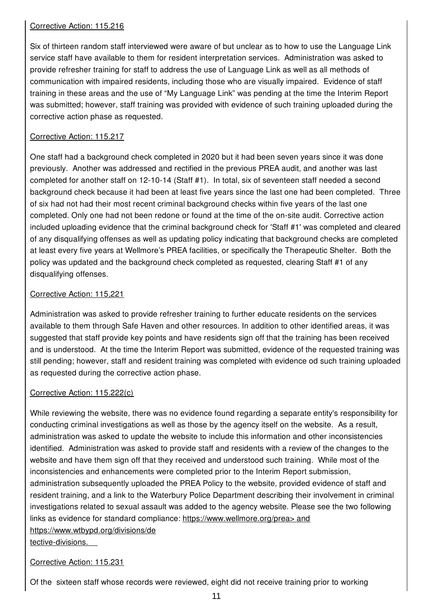## Corrective Action: 115.216

Six of thirteen random staff interviewed were aware of but unclear as to how to use the Language Link service staff have available to them for resident interpretation services. Administration was asked to provide refresher training for staff to address the use of Language Link as well as all methods of communication with impaired residents, including those who are visually impaired. Evidence of staff training in these areas and the use of "My Language Link" was pending at the time the Interim Report was submitted; however, staff training was provided with evidence of such training uploaded during the corrective action phase as requested.

# Corrective Action: 115.217

One staff had a background check completed in 2020 but it had been seven years since it was done previously. Another was addressed and rectified in the previous PREA audit, and another was last completed for another staff on 12-10-14 (Staff #1). In total, six of seventeen staff needed a second background check because it had been at least five years since the last one had been completed. Three of six had not had their most recent criminal background checks within five years of the last one completed. Only one had not been redone or found at the time of the on-site audit. Corrective action included uploading evidence that the criminal background check for 'Staff #1' was completed and cleared of any disqualifying offenses as well as updating policy indicating that background checks are completed at least every five years at Wellmore's PREA facilities, or specifically the Therapeutic Shelter. Both the policy was updated and the background check completed as requested, clearing Staff #1 of any disqualifying offenses.

# Corrective Action: 115,221

Administration was asked to provide refresher training to further educate residents on the services available to them through Safe Haven and other resources. In addition to other identified areas, it was suggested that staff provide key points and have residents sign off that the training has been received and is understood. At the time the Interim Report was submitted, evidence of the requested training was still pending; however, staff and resident training was completed with evidence od such training uploaded as requested during the corrective action phase.

#### Corrective Action: 115.222(c)

While reviewing the website, there was no evidence found regarding a separate entity's responsibility for conducting criminal investigations as well as those by the agency itself on the website. As a result, administration was asked to update the website to include this information and other inconsistencies identified. Administration was asked to provide staff and residents with a review of the changes to the website and have them sign off that they received and understood such training. While most of the inconsistencies and enhancements were completed prior to the Interim Report submission, administration subsequently uploaded the PREA Policy to the website, provided evidence of staff and resident training, and a link to the Waterbury Police Department describing their involvement in criminal investigations related to sexual assault was added to the agency website. Please see the two following links as evidence for standard compliance: https://www.wellmore.org/prea> and https://www.wtbypd.org/divisions/de tective-divisions.

# Corrective Action: 115.231

Of the sixteen staff whose records were reviewed, eight did not receive training prior to working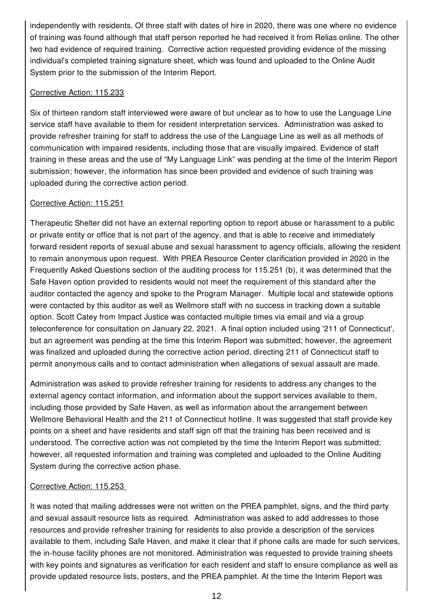independently with residents. Of three staff with dates of hire in 2020, there was one where no evidence of training was found although that staff person reported he had received it from Relias online. The other two had evidence of required training. Corrective action requested providing evidence of the missing individual's completed training signature sheet, which was found and uploaded to the Online Audit System prior to the submission of the Interim Report.

#### Corrective Action: 115.233

Six of thirteen random staff interviewed were aware of but unclear as to how to use the Language Line service staff have available to them for resident interpretation services. Administration was asked to provide refresher training for staff to address the use of the Language Line as well as all methods of communication with impaired residents, including those that are visually impaired. Evidence of staff training in these areas and the use of "My Language Link" was pending at the time of the Interim Report submission; however, the information has since been provided and evidence of such training was uploaded during the corrective action period.

#### Corrective Action: 115.251

Therapeutic Shelter did not have an external reporting option to report abuse or harassment to a public or private entity or office that is not part of the agency, and that is able to receive and immediately forward resident reports of sexual abuse and sexual harassment to agency officials, allowing the resident to remain anonymous upon request. With PREA Resource Center clarification provided in 2020 in the Frequently Asked Questions section of the auditing process for 115.251 (b), it was determined that the Safe Haven option provided to residents would not meet the requirement of this standard after the auditor contacted the agency and spoke to the Program Manager. Multiple local and statewide options were contacted by this auditor as well as Wellmore staff with no success in tracking down a suitable option. Scott Catey from Impact Justice was contacted multiple times via email and via a group teleconference for consultation on January 22, 2021. A final option included using '211 of Connecticut', but an agreement was pending at the time this Interim Report was submitted; however, the agreement was finalized and uploaded during the corrective action period, directing 211 of Connecticut staff to permit anonymous calls and to contact administration when allegations of sexual assault are made.

Administration was asked to provide refresher training for residents to address any changes to the external agency contact information, and information about the support services available to them, including those provided by Safe Haven, as well as information about the arrangement between Wellmore Behavioral Health and the 211 of Connecticut hotline. It was suggested that staff provide key points on a sheet and have residents and staff sign off that the training has been received and is understood. The corrective action was not completed by the time the Interim Report was submitted; however, all requested information and training was completed and uploaded to the Online Auditing System during the corrective action phase.

#### Corrective Action: 115.253

It was noted that mailing addresses were not written on the PREA pamphlet, signs, and the third party and sexual assault resource lists as required. Administration was asked to add addresses to those resources and provide refresher training for residents to also provide a description of the services available to them, including Safe Haven, and make it clear that if phone calls are made for such services, the in-house facility phones are not monitored. Administration was requested to provide training sheets with key points and signatures as verification for each resident and staff to ensure compliance as well as provide updated resource lists, posters, and the PREA pamphlet. At the time the Interim Report was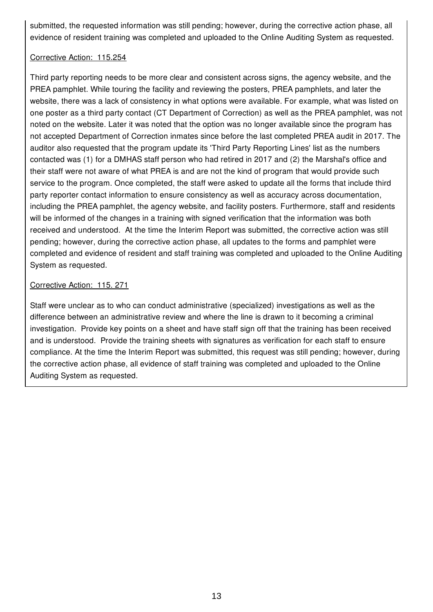submitted, the requested information was still pending; however, during the corrective action phase, all evidence of resident training was completed and uploaded to the Online Auditing System as requested.

#### Corrective Action: 115.254

Third party reporting needs to be more clear and consistent across signs, the agency website, and the PREA pamphlet. While touring the facility and reviewing the posters, PREA pamphlets, and later the website, there was a lack of consistency in what options were available. For example, what was listed on one poster as a third party contact (CT Department of Correction) as well as the PREA pamphlet, was not noted on the website. Later it was noted that the option was no longer available since the program has not accepted Department of Correction inmates since before the last completed PREA audit in 2017. The auditor also requested that the program update its 'Third Party Reporting Lines' list as the numbers contacted was (1) for a DMHAS staff person who had retired in 2017 and (2) the Marshal's office and their staff were not aware of what PREA is and are not the kind of program that would provide such service to the program. Once completed, the staff were asked to update all the forms that include third party reporter contact information to ensure consistency as well as accuracy across documentation, including the PREA pamphlet, the agency website, and facility posters. Furthermore, staff and residents will be informed of the changes in a training with signed verification that the information was both received and understood. At the time the Interim Report was submitted, the corrective action was still pending; however, during the corrective action phase, all updates to the forms and pamphlet were completed and evidence of resident and staff training was completed and uploaded to the Online Auditing System as requested.

#### Corrective Action: 115. 271

Staff were unclear as to who can conduct administrative (specialized) investigations as well as the difference between an administrative review and where the line is drawn to it becoming a criminal investigation. Provide key points on a sheet and have staff sign off that the training has been received and is understood. Provide the training sheets with signatures as verification for each staff to ensure compliance. At the time the Interim Report was submitted, this request was still pending; however, during the corrective action phase, all evidence of staff training was completed and uploaded to the Online Auditing System as requested.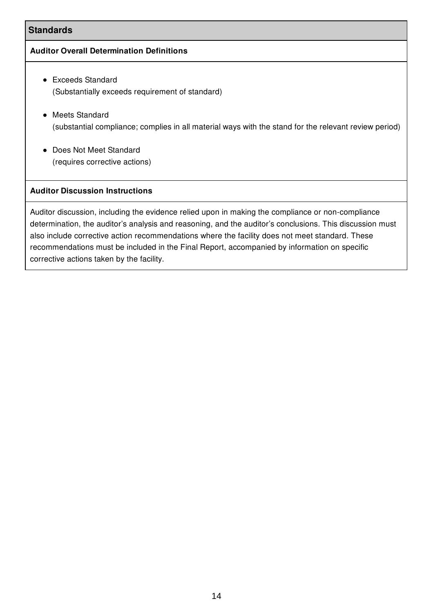# **Standards**

#### **Auditor Overall Determination Definitions**

- Exceeds Standard (Substantially exceeds requirement of standard)
- Meets Standard (substantial compliance; complies in all material ways with the stand for the relevant review period)
- Does Not Meet Standard (requires corrective actions)

# **Auditor Discussion Instructions**

Auditor discussion, including the evidence relied upon in making the compliance or non-compliance determination, the auditor's analysis and reasoning, and the auditor's conclusions. This discussion must also include corrective action recommendations where the facility does not meet standard. These recommendations must be included in the Final Report, accompanied by information on specific corrective actions taken by the facility.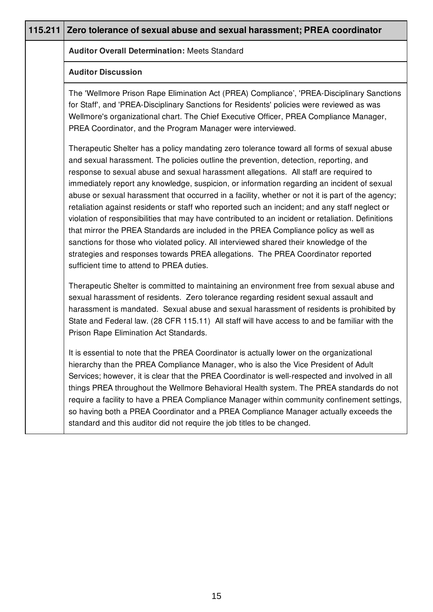| 115.211 Zero tolerance of sexual abuse and sexual harassment; PREA coordinator                                                                                                                                                                                                                                                                                                                                                                                                                                                                                                                                                                                                                                                                                                                                                                                                                                                                                                                             |
|------------------------------------------------------------------------------------------------------------------------------------------------------------------------------------------------------------------------------------------------------------------------------------------------------------------------------------------------------------------------------------------------------------------------------------------------------------------------------------------------------------------------------------------------------------------------------------------------------------------------------------------------------------------------------------------------------------------------------------------------------------------------------------------------------------------------------------------------------------------------------------------------------------------------------------------------------------------------------------------------------------|
| <b>Auditor Overall Determination: Meets Standard</b>                                                                                                                                                                                                                                                                                                                                                                                                                                                                                                                                                                                                                                                                                                                                                                                                                                                                                                                                                       |
| <b>Auditor Discussion</b>                                                                                                                                                                                                                                                                                                                                                                                                                                                                                                                                                                                                                                                                                                                                                                                                                                                                                                                                                                                  |
| The 'Wellmore Prison Rape Elimination Act (PREA) Compliance', 'PREA-Disciplinary Sanctions<br>for Staff', and 'PREA-Disciplinary Sanctions for Residents' policies were reviewed as was<br>Wellmore's organizational chart. The Chief Executive Officer, PREA Compliance Manager,<br>PREA Coordinator, and the Program Manager were interviewed.                                                                                                                                                                                                                                                                                                                                                                                                                                                                                                                                                                                                                                                           |
| Therapeutic Shelter has a policy mandating zero tolerance toward all forms of sexual abuse<br>and sexual harassment. The policies outline the prevention, detection, reporting, and<br>response to sexual abuse and sexual harassment allegations. All staff are required to<br>immediately report any knowledge, suspicion, or information regarding an incident of sexual<br>abuse or sexual harassment that occurred in a facility, whether or not it is part of the agency;<br>retaliation against residents or staff who reported such an incident; and any staff neglect or<br>violation of responsibilities that may have contributed to an incident or retaliation. Definitions<br>that mirror the PREA Standards are included in the PREA Compliance policy as well as<br>sanctions for those who violated policy. All interviewed shared their knowledge of the<br>strategies and responses towards PREA allegations. The PREA Coordinator reported<br>sufficient time to attend to PREA duties. |
| Therapeutic Shelter is committed to maintaining an environment free from sexual abuse and<br>sexual harassment of residents. Zero tolerance regarding resident sexual assault and<br>harassment is mandated. Sexual abuse and sexual harassment of residents is prohibited by<br>State and Federal law. (28 CFR 115.11) All staff will have access to and be familiar with the<br>Prison Rape Elimination Act Standards.                                                                                                                                                                                                                                                                                                                                                                                                                                                                                                                                                                                   |
| It is essential to note that the PREA Coordinator is actually lower on the organizational<br>hierarchy than the PREA Compliance Manager, who is also the Vice President of Adult<br>Services; however, it is clear that the PREA Coordinator is well-respected and involved in all<br>things PREA throughout the Wellmore Behavioral Health system. The PREA standards do not<br>require a facility to have a PREA Compliance Manager within community confinement settings,<br>so having both a PREA Coordinator and a PREA Compliance Manager actually exceeds the<br>standard and this auditor did not require the job titles to be changed.                                                                                                                                                                                                                                                                                                                                                            |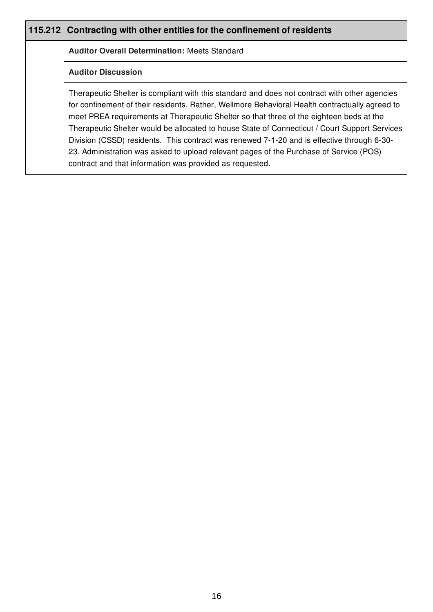| 115.212 Contracting with other entities for the confinement of residents                                                                                                                                                                                                                                                                                                                                                                                                                                                                                                                                                                        |
|-------------------------------------------------------------------------------------------------------------------------------------------------------------------------------------------------------------------------------------------------------------------------------------------------------------------------------------------------------------------------------------------------------------------------------------------------------------------------------------------------------------------------------------------------------------------------------------------------------------------------------------------------|
| <b>Auditor Overall Determination: Meets Standard</b>                                                                                                                                                                                                                                                                                                                                                                                                                                                                                                                                                                                            |
| <b>Auditor Discussion</b>                                                                                                                                                                                                                                                                                                                                                                                                                                                                                                                                                                                                                       |
| Therapeutic Shelter is compliant with this standard and does not contract with other agencies<br>for confinement of their residents. Rather, Wellmore Behavioral Health contractually agreed to<br>meet PREA requirements at Therapeutic Shelter so that three of the eighteen beds at the<br>Therapeutic Shelter would be allocated to house State of Connecticut / Court Support Services<br>Division (CSSD) residents. This contract was renewed 7-1-20 and is effective through 6-30-<br>23. Administration was asked to upload relevant pages of the Purchase of Service (POS)<br>contract and that information was provided as requested. |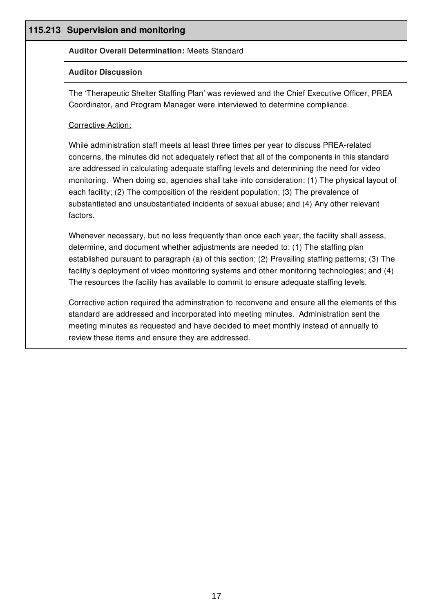| 115.213 | <b>Supervision and monitoring</b>                                                                                                                                                                                                                                                                                                                                                                                                                                                                                                                                                  |
|---------|------------------------------------------------------------------------------------------------------------------------------------------------------------------------------------------------------------------------------------------------------------------------------------------------------------------------------------------------------------------------------------------------------------------------------------------------------------------------------------------------------------------------------------------------------------------------------------|
|         | <b>Auditor Overall Determination: Meets Standard</b>                                                                                                                                                                                                                                                                                                                                                                                                                                                                                                                               |
|         | <b>Auditor Discussion</b>                                                                                                                                                                                                                                                                                                                                                                                                                                                                                                                                                          |
|         | The 'Therapeutic Shelter Staffing Plan' was reviewed and the Chief Executive Officer, PREA<br>Coordinator, and Program Manager were interviewed to determine compliance.                                                                                                                                                                                                                                                                                                                                                                                                           |
|         | <b>Corrective Action:</b>                                                                                                                                                                                                                                                                                                                                                                                                                                                                                                                                                          |
|         | While administration staff meets at least three times per year to discuss PREA-related<br>concerns, the minutes did not adequately reflect that all of the components in this standard<br>are addressed in calculating adequate staffing levels and determining the need for video<br>monitoring. When doing so, agencies shall take into consideration: (1) The physical layout of<br>each facility; (2) The composition of the resident population; (3) The prevalence of<br>substantiated and unsubstantiated incidents of sexual abuse; and (4) Any other relevant<br>factors. |
|         | Whenever necessary, but no less frequently than once each year, the facility shall assess,<br>determine, and document whether adjustments are needed to: (1) The staffing plan<br>established pursuant to paragraph (a) of this section; (2) Prevailing staffing patterns; (3) The<br>facility's deployment of video monitoring systems and other monitoring technologies; and (4)<br>The resources the facility has available to commit to ensure adequate staffing levels.                                                                                                       |
|         | Corrective action required the adminstration to reconvene and ensure all the elements of this<br>standard are addressed and incorporated into meeting minutes. Administration sent the<br>meeting minutes as requested and have decided to meet monthly instead of annually to<br>review these items and ensure they are addressed.                                                                                                                                                                                                                                                |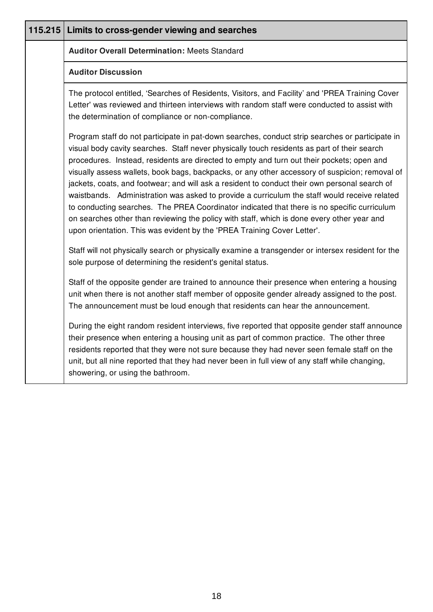| 115.215 | Limits to cross-gender viewing and searches                                                                                                                                                                                                                                                                                                                                                                                                                                                                                                                                                                                                                                                                                                                                                                                                                            |
|---------|------------------------------------------------------------------------------------------------------------------------------------------------------------------------------------------------------------------------------------------------------------------------------------------------------------------------------------------------------------------------------------------------------------------------------------------------------------------------------------------------------------------------------------------------------------------------------------------------------------------------------------------------------------------------------------------------------------------------------------------------------------------------------------------------------------------------------------------------------------------------|
|         | <b>Auditor Overall Determination: Meets Standard</b>                                                                                                                                                                                                                                                                                                                                                                                                                                                                                                                                                                                                                                                                                                                                                                                                                   |
|         | <b>Auditor Discussion</b>                                                                                                                                                                                                                                                                                                                                                                                                                                                                                                                                                                                                                                                                                                                                                                                                                                              |
|         | The protocol entitled, 'Searches of Residents, Visitors, and Facility' and 'PREA Training Cover<br>Letter' was reviewed and thirteen interviews with random staff were conducted to assist with<br>the determination of compliance or non-compliance.                                                                                                                                                                                                                                                                                                                                                                                                                                                                                                                                                                                                                  |
|         | Program staff do not participate in pat-down searches, conduct strip searches or participate in<br>visual body cavity searches. Staff never physically touch residents as part of their search<br>procedures. Instead, residents are directed to empty and turn out their pockets; open and<br>visually assess wallets, book bags, backpacks, or any other accessory of suspicion; removal of<br>jackets, coats, and footwear; and will ask a resident to conduct their own personal search of<br>waistbands. Administration was asked to provide a curriculum the staff would receive related<br>to conducting searches. The PREA Coordinator indicated that there is no specific curriculum<br>on searches other than reviewing the policy with staff, which is done every other year and<br>upon orientation. This was evident by the 'PREA Training Cover Letter'. |
|         | Staff will not physically search or physically examine a transgender or intersex resident for the<br>sole purpose of determining the resident's genital status.                                                                                                                                                                                                                                                                                                                                                                                                                                                                                                                                                                                                                                                                                                        |
|         | Staff of the opposite gender are trained to announce their presence when entering a housing<br>unit when there is not another staff member of opposite gender already assigned to the post.<br>The announcement must be loud enough that residents can hear the announcement.                                                                                                                                                                                                                                                                                                                                                                                                                                                                                                                                                                                          |
|         | During the eight random resident interviews, five reported that opposite gender staff announce<br>their presence when entering a housing unit as part of common practice. The other three<br>residents reported that they were not sure because they had never seen female staff on the<br>unit, but all nine reported that they had never been in full view of any staff while changing,<br>showering, or using the bathroom.                                                                                                                                                                                                                                                                                                                                                                                                                                         |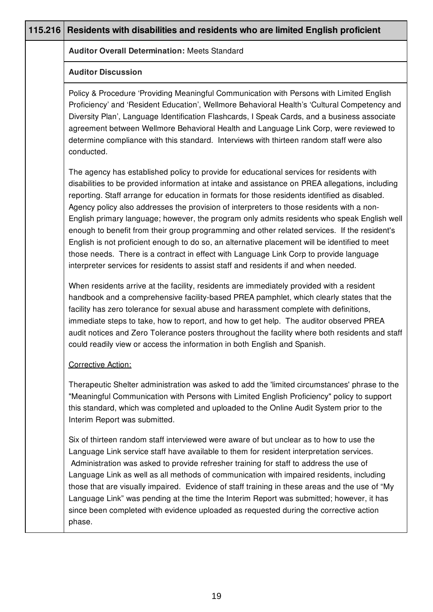| 115.216 | Residents with disabilities and residents who are limited English proficient                                                                                                                                                                                                                                                                                                                                                                                                                                                                                                                                                                                                                                                                                                                                                                                                 |
|---------|------------------------------------------------------------------------------------------------------------------------------------------------------------------------------------------------------------------------------------------------------------------------------------------------------------------------------------------------------------------------------------------------------------------------------------------------------------------------------------------------------------------------------------------------------------------------------------------------------------------------------------------------------------------------------------------------------------------------------------------------------------------------------------------------------------------------------------------------------------------------------|
|         | <b>Auditor Overall Determination: Meets Standard</b>                                                                                                                                                                                                                                                                                                                                                                                                                                                                                                                                                                                                                                                                                                                                                                                                                         |
|         | <b>Auditor Discussion</b>                                                                                                                                                                                                                                                                                                                                                                                                                                                                                                                                                                                                                                                                                                                                                                                                                                                    |
|         | Policy & Procedure 'Providing Meaningful Communication with Persons with Limited English<br>Proficiency' and 'Resident Education', Wellmore Behavioral Health's 'Cultural Competency and<br>Diversity Plan', Language Identification Flashcards, I Speak Cards, and a business associate<br>agreement between Wellmore Behavioral Health and Language Link Corp, were reviewed to<br>determine compliance with this standard. Interviews with thirteen random staff were also<br>conducted.                                                                                                                                                                                                                                                                                                                                                                                  |
|         | The agency has established policy to provide for educational services for residents with<br>disabilities to be provided information at intake and assistance on PREA allegations, including<br>reporting. Staff arrange for education in formats for those residents identified as disabled.<br>Agency policy also addresses the provision of interpreters to those residents with a non-<br>English primary language; however, the program only admits residents who speak English well<br>enough to benefit from their group programming and other related services. If the resident's<br>English is not proficient enough to do so, an alternative placement will be identified to meet<br>those needs. There is a contract in effect with Language Link Corp to provide language<br>interpreter services for residents to assist staff and residents if and when needed. |
|         | When residents arrive at the facility, residents are immediately provided with a resident<br>handbook and a comprehensive facility-based PREA pamphlet, which clearly states that the<br>facility has zero tolerance for sexual abuse and harassment complete with definitions,<br>immediate steps to take, how to report, and how to get help. The auditor observed PREA<br>audit notices and Zero Tolerance posters throughout the facility where both residents and staff<br>could readily view or access the information in both English and Spanish.                                                                                                                                                                                                                                                                                                                    |
|         | Corrective Action:                                                                                                                                                                                                                                                                                                                                                                                                                                                                                                                                                                                                                                                                                                                                                                                                                                                           |
|         | Therapeutic Shelter administration was asked to add the 'limited circumstances' phrase to the<br>"Meaningful Communication with Persons with Limited English Proficiency" policy to support<br>this standard, which was completed and uploaded to the Online Audit System prior to the<br>Interim Report was submitted.                                                                                                                                                                                                                                                                                                                                                                                                                                                                                                                                                      |
|         | Six of thirteen random staff interviewed were aware of but unclear as to how to use the<br>Language Link service staff have available to them for resident interpretation services.<br>Administration was asked to provide refresher training for staff to address the use of<br>Language Link as well as all methods of communication with impaired residents, including<br>those that are visually impaired. Evidence of staff training in these areas and the use of "My<br>Language Link" was pending at the time the Interim Report was submitted; however, it has<br>since been completed with evidence uploaded as requested during the corrective action<br>phase.                                                                                                                                                                                                   |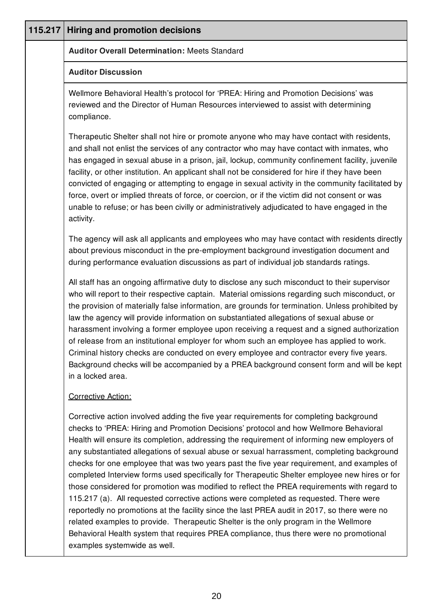| 115.217 | <b>Hiring and promotion decisions</b>                                                                                                                                                                                                                                                                                                                                                                                                                                                                                                                                                                                                                                                                                                                                                                                                                                                                                                                                                                                                                                                 |
|---------|---------------------------------------------------------------------------------------------------------------------------------------------------------------------------------------------------------------------------------------------------------------------------------------------------------------------------------------------------------------------------------------------------------------------------------------------------------------------------------------------------------------------------------------------------------------------------------------------------------------------------------------------------------------------------------------------------------------------------------------------------------------------------------------------------------------------------------------------------------------------------------------------------------------------------------------------------------------------------------------------------------------------------------------------------------------------------------------|
|         | <b>Auditor Overall Determination: Meets Standard</b>                                                                                                                                                                                                                                                                                                                                                                                                                                                                                                                                                                                                                                                                                                                                                                                                                                                                                                                                                                                                                                  |
|         | <b>Auditor Discussion</b>                                                                                                                                                                                                                                                                                                                                                                                                                                                                                                                                                                                                                                                                                                                                                                                                                                                                                                                                                                                                                                                             |
|         | Wellmore Behavioral Health's protocol for 'PREA: Hiring and Promotion Decisions' was<br>reviewed and the Director of Human Resources interviewed to assist with determining<br>compliance.                                                                                                                                                                                                                                                                                                                                                                                                                                                                                                                                                                                                                                                                                                                                                                                                                                                                                            |
|         | Therapeutic Shelter shall not hire or promote anyone who may have contact with residents,<br>and shall not enlist the services of any contractor who may have contact with inmates, who<br>has engaged in sexual abuse in a prison, jail, lockup, community confinement facility, juvenile<br>facility, or other institution. An applicant shall not be considered for hire if they have been<br>convicted of engaging or attempting to engage in sexual activity in the community facilitated by<br>force, overt or implied threats of force, or coercion, or if the victim did not consent or was<br>unable to refuse; or has been civilly or administratively adjudicated to have engaged in the<br>activity.                                                                                                                                                                                                                                                                                                                                                                      |
|         | The agency will ask all applicants and employees who may have contact with residents directly<br>about previous misconduct in the pre-employment background investigation document and<br>during performance evaluation discussions as part of individual job standards ratings.                                                                                                                                                                                                                                                                                                                                                                                                                                                                                                                                                                                                                                                                                                                                                                                                      |
|         | All staff has an ongoing affirmative duty to disclose any such misconduct to their supervisor<br>who will report to their respective captain. Material omissions regarding such misconduct, or<br>the provision of materially false information, are grounds for termination. Unless prohibited by<br>law the agency will provide information on substantiated allegations of sexual abuse or<br>harassment involving a former employee upon receiving a request and a signed authorization<br>of release from an institutional employer for whom such an employee has applied to work.<br>Criminal history checks are conducted on every employee and contractor every five years.<br>Background checks will be accompanied by a PREA background consent form and will be kept<br>in a locked area.                                                                                                                                                                                                                                                                                  |
|         | Corrective Action:                                                                                                                                                                                                                                                                                                                                                                                                                                                                                                                                                                                                                                                                                                                                                                                                                                                                                                                                                                                                                                                                    |
|         | Corrective action involved adding the five year requirements for completing background<br>checks to 'PREA: Hiring and Promotion Decisions' protocol and how Wellmore Behavioral<br>Health will ensure its completion, addressing the requirement of informing new employers of<br>any substantiated allegations of sexual abuse or sexual harrassment, completing background<br>checks for one employee that was two years past the five year requirement, and examples of<br>completed Interview forms used specifically for Therapeutic Shelter employee new hires or for<br>those considered for promotion was modified to reflect the PREA requirements with regard to<br>115.217 (a). All requested corrective actions were completed as requested. There were<br>reportedly no promotions at the facility since the last PREA audit in 2017, so there were no<br>related examples to provide. Therapeutic Shelter is the only program in the Wellmore<br>Behavioral Health system that requires PREA compliance, thus there were no promotional<br>examples systemwide as well. |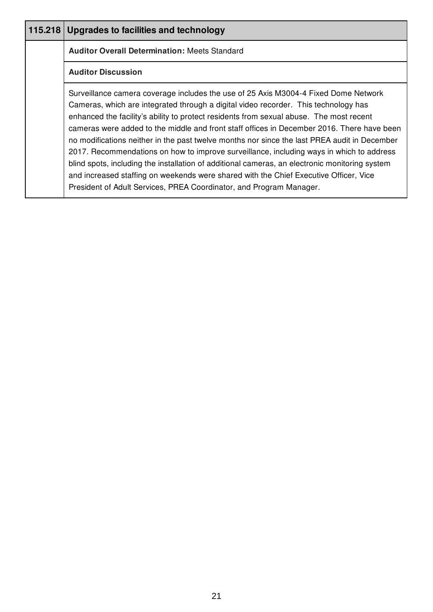| 115.218 | Upgrades to facilities and technology                                                                                                                                                                                                                                                                                                                                                                                                                                                                                                                                                                                                                                                                                                                                                                                             |
|---------|-----------------------------------------------------------------------------------------------------------------------------------------------------------------------------------------------------------------------------------------------------------------------------------------------------------------------------------------------------------------------------------------------------------------------------------------------------------------------------------------------------------------------------------------------------------------------------------------------------------------------------------------------------------------------------------------------------------------------------------------------------------------------------------------------------------------------------------|
|         | <b>Auditor Overall Determination: Meets Standard</b>                                                                                                                                                                                                                                                                                                                                                                                                                                                                                                                                                                                                                                                                                                                                                                              |
|         | <b>Auditor Discussion</b>                                                                                                                                                                                                                                                                                                                                                                                                                                                                                                                                                                                                                                                                                                                                                                                                         |
|         | Surveillance camera coverage includes the use of 25 Axis M3004-4 Fixed Dome Network<br>Cameras, which are integrated through a digital video recorder. This technology has<br>enhanced the facility's ability to protect residents from sexual abuse. The most recent<br>cameras were added to the middle and front staff offices in December 2016. There have been<br>no modifications neither in the past twelve months nor since the last PREA audit in December<br>2017. Recommendations on how to improve surveillance, including ways in which to address<br>blind spots, including the installation of additional cameras, an electronic monitoring system<br>and increased staffing on weekends were shared with the Chief Executive Officer, Vice<br>President of Adult Services, PREA Coordinator, and Program Manager. |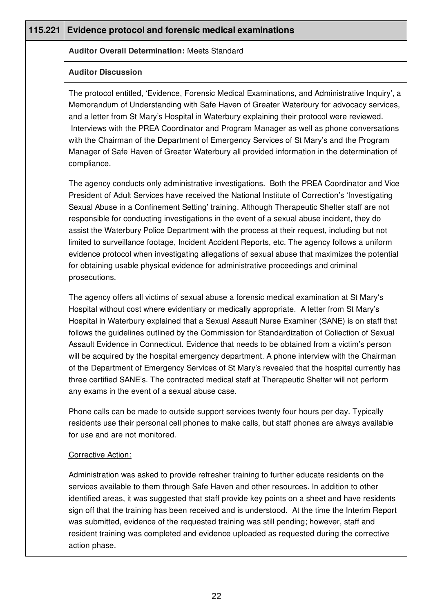| 115.221 | <b>Evidence protocol and forensic medical examinations</b>                                                                                                                                                                                                                                                                                                                                                                                                                                                                                                                                                                                                                                                                                                                                                                             |
|---------|----------------------------------------------------------------------------------------------------------------------------------------------------------------------------------------------------------------------------------------------------------------------------------------------------------------------------------------------------------------------------------------------------------------------------------------------------------------------------------------------------------------------------------------------------------------------------------------------------------------------------------------------------------------------------------------------------------------------------------------------------------------------------------------------------------------------------------------|
|         | <b>Auditor Overall Determination: Meets Standard</b>                                                                                                                                                                                                                                                                                                                                                                                                                                                                                                                                                                                                                                                                                                                                                                                   |
|         | <b>Auditor Discussion</b>                                                                                                                                                                                                                                                                                                                                                                                                                                                                                                                                                                                                                                                                                                                                                                                                              |
|         | The protocol entitled, 'Evidence, Forensic Medical Examinations, and Administrative Inquiry', a<br>Memorandum of Understanding with Safe Haven of Greater Waterbury for advocacy services,<br>and a letter from St Mary's Hospital in Waterbury explaining their protocol were reviewed.<br>Interviews with the PREA Coordinator and Program Manager as well as phone conversations<br>with the Chairman of the Department of Emergency Services of St Mary's and the Program<br>Manager of Safe Haven of Greater Waterbury all provided information in the determination of<br>compliance.                                                                                                                                                                                                                                            |
|         | The agency conducts only administrative investigations. Both the PREA Coordinator and Vice<br>President of Adult Services have received the National Institute of Correction's 'Investigating<br>Sexual Abuse in a Confinement Setting' training. Although Therapeutic Shelter staff are not<br>responsible for conducting investigations in the event of a sexual abuse incident, they do<br>assist the Waterbury Police Department with the process at their request, including but not<br>limited to surveillance footage, Incident Accident Reports, etc. The agency follows a uniform<br>evidence protocol when investigating allegations of sexual abuse that maximizes the potential<br>for obtaining usable physical evidence for administrative proceedings and criminal<br>prosecutions.                                     |
|         | The agency offers all victims of sexual abuse a forensic medical examination at St Mary's<br>Hospital without cost where evidentiary or medically appropriate. A letter from St Mary's<br>Hospital in Waterbury explained that a Sexual Assault Nurse Examiner (SANE) is on staff that<br>follows the guidelines outlined by the Commission for Standardization of Collection of Sexual<br>Assault Evidence in Connecticut. Evidence that needs to be obtained from a victim's person<br>will be acquired by the hospital emergency department. A phone interview with the Chairman<br>of the Department of Emergency Services of St Mary's revealed that the hospital currently has<br>three certified SANE's. The contracted medical staff at Therapeutic Shelter will not perform<br>any exams in the event of a sexual abuse case. |
|         | Phone calls can be made to outside support services twenty four hours per day. Typically<br>residents use their personal cell phones to make calls, but staff phones are always available<br>for use and are not monitored.                                                                                                                                                                                                                                                                                                                                                                                                                                                                                                                                                                                                            |
|         | Corrective Action:                                                                                                                                                                                                                                                                                                                                                                                                                                                                                                                                                                                                                                                                                                                                                                                                                     |
|         | Administration was asked to provide refresher training to further educate residents on the<br>services available to them through Safe Haven and other resources. In addition to other<br>identified areas, it was suggested that staff provide key points on a sheet and have residents<br>sign off that the training has been received and is understood. At the time the Interim Report<br>was submitted, evidence of the requested training was still pending; however, staff and<br>resident training was completed and evidence uploaded as requested during the corrective<br>action phase.                                                                                                                                                                                                                                      |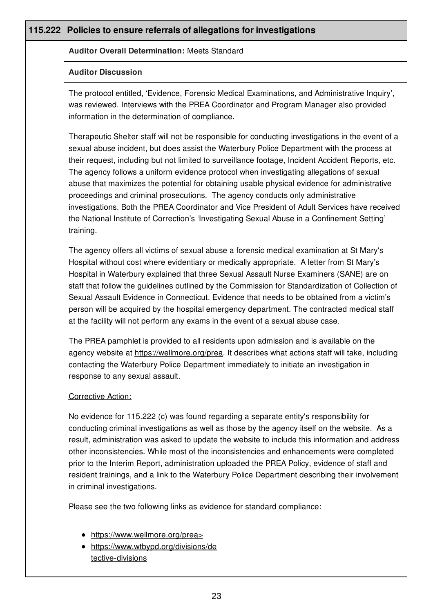| 115.222 | Policies to ensure referrals of allegations for investigations                                                                                                                                                                                                                                                                                                                                                                                                                                                                                                                                                                                                                                                                                                                                 |
|---------|------------------------------------------------------------------------------------------------------------------------------------------------------------------------------------------------------------------------------------------------------------------------------------------------------------------------------------------------------------------------------------------------------------------------------------------------------------------------------------------------------------------------------------------------------------------------------------------------------------------------------------------------------------------------------------------------------------------------------------------------------------------------------------------------|
|         | <b>Auditor Overall Determination: Meets Standard</b>                                                                                                                                                                                                                                                                                                                                                                                                                                                                                                                                                                                                                                                                                                                                           |
|         | <b>Auditor Discussion</b>                                                                                                                                                                                                                                                                                                                                                                                                                                                                                                                                                                                                                                                                                                                                                                      |
|         | The protocol entitled, 'Evidence, Forensic Medical Examinations, and Administrative Inquiry',<br>was reviewed. Interviews with the PREA Coordinator and Program Manager also provided<br>information in the determination of compliance.                                                                                                                                                                                                                                                                                                                                                                                                                                                                                                                                                       |
|         | Therapeutic Shelter staff will not be responsible for conducting investigations in the event of a<br>sexual abuse incident, but does assist the Waterbury Police Department with the process at<br>their request, including but not limited to surveillance footage, Incident Accident Reports, etc.<br>The agency follows a uniform evidence protocol when investigating allegations of sexual<br>abuse that maximizes the potential for obtaining usable physical evidence for administrative<br>proceedings and criminal prosecutions. The agency conducts only administrative<br>investigations. Both the PREA Coordinator and Vice President of Adult Services have received<br>the National Institute of Correction's 'Investigating Sexual Abuse in a Confinement Setting'<br>training. |
|         | The agency offers all victims of sexual abuse a forensic medical examination at St Mary's<br>Hospital without cost where evidentiary or medically appropriate. A letter from St Mary's<br>Hospital in Waterbury explained that three Sexual Assault Nurse Examiners (SANE) are on<br>staff that follow the guidelines outlined by the Commission for Standardization of Collection of<br>Sexual Assault Evidence in Connecticut. Evidence that needs to be obtained from a victim's<br>person will be acquired by the hospital emergency department. The contracted medical staff<br>at the facility will not perform any exams in the event of a sexual abuse case.                                                                                                                           |
|         | The PREA pamphlet is provided to all residents upon admission and is available on the<br>agency website at https://wellmore.org/prea. It describes what actions staff will take, including<br>contacting the Waterbury Police Department immediately to initiate an investigation in<br>response to any sexual assault.                                                                                                                                                                                                                                                                                                                                                                                                                                                                        |
|         | Corrective Action:                                                                                                                                                                                                                                                                                                                                                                                                                                                                                                                                                                                                                                                                                                                                                                             |
|         | No evidence for 115.222 (c) was found regarding a separate entity's responsibility for<br>conducting criminal investigations as well as those by the agency itself on the website. As a<br>result, administration was asked to update the website to include this information and address<br>other inconsistencies. While most of the inconsistencies and enhancements were completed<br>prior to the Interim Report, administration uploaded the PREA Policy, evidence of staff and<br>resident trainings, and a link to the Waterbury Police Department describing their involvement<br>in criminal investigations.                                                                                                                                                                          |
|         | Please see the two following links as evidence for standard compliance:                                                                                                                                                                                                                                                                                                                                                                                                                                                                                                                                                                                                                                                                                                                        |
|         | https://www.wellmore.org/prea><br>https://www.wtbypd.org/divisions/de<br>tective-divisions                                                                                                                                                                                                                                                                                                                                                                                                                                                                                                                                                                                                                                                                                                     |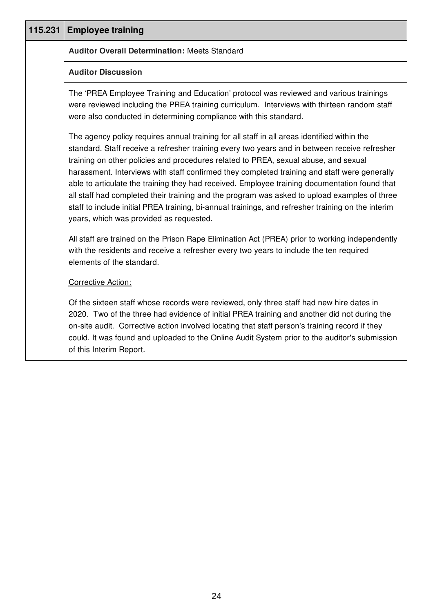| 115.231 | <b>Employee training</b>                                                                                                                                                                                                                                                                                                                                                                                                                                                                                                                                                                                                                                                                                                              |
|---------|---------------------------------------------------------------------------------------------------------------------------------------------------------------------------------------------------------------------------------------------------------------------------------------------------------------------------------------------------------------------------------------------------------------------------------------------------------------------------------------------------------------------------------------------------------------------------------------------------------------------------------------------------------------------------------------------------------------------------------------|
|         | <b>Auditor Overall Determination: Meets Standard</b>                                                                                                                                                                                                                                                                                                                                                                                                                                                                                                                                                                                                                                                                                  |
|         | <b>Auditor Discussion</b>                                                                                                                                                                                                                                                                                                                                                                                                                                                                                                                                                                                                                                                                                                             |
|         | The 'PREA Employee Training and Education' protocol was reviewed and various trainings<br>were reviewed including the PREA training curriculum. Interviews with thirteen random staff<br>were also conducted in determining compliance with this standard.                                                                                                                                                                                                                                                                                                                                                                                                                                                                            |
|         | The agency policy requires annual training for all staff in all areas identified within the<br>standard. Staff receive a refresher training every two years and in between receive refresher<br>training on other policies and procedures related to PREA, sexual abuse, and sexual<br>harassment. Interviews with staff confirmed they completed training and staff were generally<br>able to articulate the training they had received. Employee training documentation found that<br>all staff had completed their training and the program was asked to upload examples of three<br>staff to include initial PREA training, bi-annual trainings, and refresher training on the interim<br>years, which was provided as requested. |
|         | All staff are trained on the Prison Rape Elimination Act (PREA) prior to working independently<br>with the residents and receive a refresher every two years to include the ten required<br>elements of the standard.                                                                                                                                                                                                                                                                                                                                                                                                                                                                                                                 |
|         | <b>Corrective Action:</b>                                                                                                                                                                                                                                                                                                                                                                                                                                                                                                                                                                                                                                                                                                             |
|         | Of the sixteen staff whose records were reviewed, only three staff had new hire dates in<br>2020. Two of the three had evidence of initial PREA training and another did not during the<br>on-site audit. Corrective action involved locating that staff person's training record if they<br>could. It was found and uploaded to the Online Audit System prior to the auditor's submission<br>of this Interim Report.                                                                                                                                                                                                                                                                                                                 |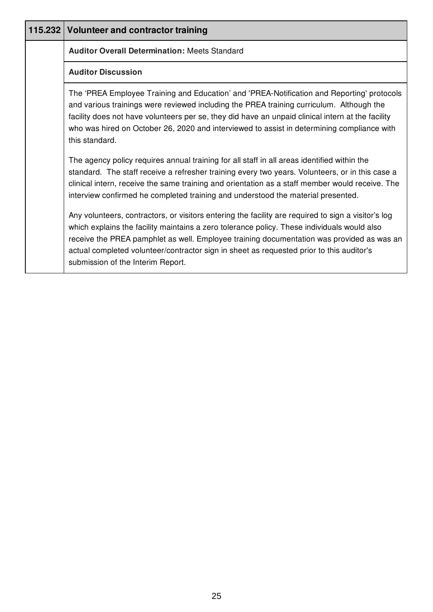| 115.232 Volunteer and contractor training                                                                                                                                                                                                                                                                                                                                                                                        |
|----------------------------------------------------------------------------------------------------------------------------------------------------------------------------------------------------------------------------------------------------------------------------------------------------------------------------------------------------------------------------------------------------------------------------------|
| <b>Auditor Overall Determination: Meets Standard</b>                                                                                                                                                                                                                                                                                                                                                                             |
| <b>Auditor Discussion</b>                                                                                                                                                                                                                                                                                                                                                                                                        |
| The 'PREA Employee Training and Education' and 'PREA-Notification and Reporting' protocols<br>and various trainings were reviewed including the PREA training curriculum. Although the<br>facility does not have volunteers per se, they did have an unpaid clinical intern at the facility<br>who was hired on October 26, 2020 and interviewed to assist in determining compliance with<br>this standard.                      |
| The agency policy requires annual training for all staff in all areas identified within the<br>standard. The staff receive a refresher training every two years. Volunteers, or in this case a<br>clinical intern, receive the same training and orientation as a staff member would receive. The<br>interview confirmed he completed training and understood the material presented.                                            |
| Any volunteers, contractors, or visitors entering the facility are required to sign a visitor's log<br>which explains the facility maintains a zero tolerance policy. These individuals would also<br>receive the PREA pamphlet as well. Employee training documentation was provided as was an<br>actual completed volunteer/contractor sign in sheet as requested prior to this auditor's<br>submission of the Interim Report. |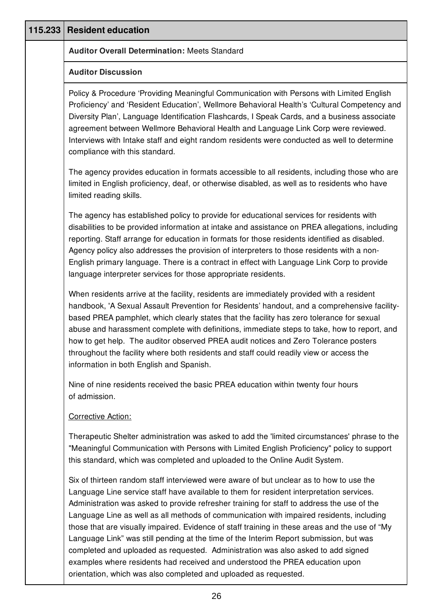| 115.233 | <b>Resident education</b>                                                                                                                                                                                                                                                                                                                                                                                                                                                                                                                                                                                                                                                                                                                                                                                         |
|---------|-------------------------------------------------------------------------------------------------------------------------------------------------------------------------------------------------------------------------------------------------------------------------------------------------------------------------------------------------------------------------------------------------------------------------------------------------------------------------------------------------------------------------------------------------------------------------------------------------------------------------------------------------------------------------------------------------------------------------------------------------------------------------------------------------------------------|
|         | <b>Auditor Overall Determination: Meets Standard</b>                                                                                                                                                                                                                                                                                                                                                                                                                                                                                                                                                                                                                                                                                                                                                              |
|         | <b>Auditor Discussion</b>                                                                                                                                                                                                                                                                                                                                                                                                                                                                                                                                                                                                                                                                                                                                                                                         |
|         | Policy & Procedure 'Providing Meaningful Communication with Persons with Limited English<br>Proficiency' and 'Resident Education', Wellmore Behavioral Health's 'Cultural Competency and<br>Diversity Plan', Language Identification Flashcards, I Speak Cards, and a business associate<br>agreement between Wellmore Behavioral Health and Language Link Corp were reviewed.<br>Interviews with Intake staff and eight random residents were conducted as well to determine<br>compliance with this standard.                                                                                                                                                                                                                                                                                                   |
|         | The agency provides education in formats accessible to all residents, including those who are<br>limited in English proficiency, deaf, or otherwise disabled, as well as to residents who have<br>limited reading skills.                                                                                                                                                                                                                                                                                                                                                                                                                                                                                                                                                                                         |
|         | The agency has established policy to provide for educational services for residents with<br>disabilities to be provided information at intake and assistance on PREA allegations, including<br>reporting. Staff arrange for education in formats for those residents identified as disabled.<br>Agency policy also addresses the provision of interpreters to those residents with a non-<br>English primary language. There is a contract in effect with Language Link Corp to provide<br>language interpreter services for those appropriate residents.                                                                                                                                                                                                                                                         |
|         | When residents arrive at the facility, residents are immediately provided with a resident<br>handbook, 'A Sexual Assault Prevention for Residents' handout, and a comprehensive facility-<br>based PREA pamphlet, which clearly states that the facility has zero tolerance for sexual<br>abuse and harassment complete with definitions, immediate steps to take, how to report, and<br>how to get help. The auditor observed PREA audit notices and Zero Tolerance posters<br>throughout the facility where both residents and staff could readily view or access the<br>information in both English and Spanish.                                                                                                                                                                                               |
|         | Nine of nine residents received the basic PREA education within twenty four hours<br>of admission.                                                                                                                                                                                                                                                                                                                                                                                                                                                                                                                                                                                                                                                                                                                |
|         | <b>Corrective Action:</b>                                                                                                                                                                                                                                                                                                                                                                                                                                                                                                                                                                                                                                                                                                                                                                                         |
|         | Therapeutic Shelter administration was asked to add the 'limited circumstances' phrase to the<br>"Meaningful Communication with Persons with Limited English Proficiency" policy to support<br>this standard, which was completed and uploaded to the Online Audit System.                                                                                                                                                                                                                                                                                                                                                                                                                                                                                                                                        |
|         | Six of thirteen random staff interviewed were aware of but unclear as to how to use the<br>Language Line service staff have available to them for resident interpretation services.<br>Administration was asked to provide refresher training for staff to address the use of the<br>Language Line as well as all methods of communication with impaired residents, including<br>those that are visually impaired. Evidence of staff training in these areas and the use of "My<br>Language Link" was still pending at the time of the Interim Report submission, but was<br>completed and uploaded as requested. Administration was also asked to add signed<br>examples where residents had received and understood the PREA education upon<br>orientation, which was also completed and uploaded as requested. |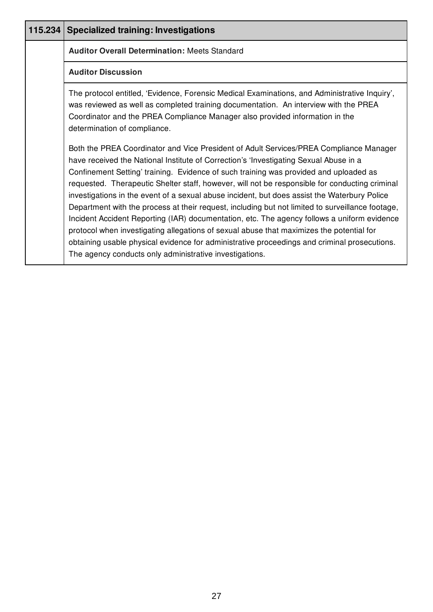| 115.234 Specialized training: Investigations                                                                                                                                                                                                                                                                                                                                                                                                                                                                                                                                                                                                                                                                                                                                                                                                                                                                                         |
|--------------------------------------------------------------------------------------------------------------------------------------------------------------------------------------------------------------------------------------------------------------------------------------------------------------------------------------------------------------------------------------------------------------------------------------------------------------------------------------------------------------------------------------------------------------------------------------------------------------------------------------------------------------------------------------------------------------------------------------------------------------------------------------------------------------------------------------------------------------------------------------------------------------------------------------|
| <b>Auditor Overall Determination: Meets Standard</b>                                                                                                                                                                                                                                                                                                                                                                                                                                                                                                                                                                                                                                                                                                                                                                                                                                                                                 |
| <b>Auditor Discussion</b>                                                                                                                                                                                                                                                                                                                                                                                                                                                                                                                                                                                                                                                                                                                                                                                                                                                                                                            |
| The protocol entitled, 'Evidence, Forensic Medical Examinations, and Administrative Inquiry',<br>was reviewed as well as completed training documentation. An interview with the PREA<br>Coordinator and the PREA Compliance Manager also provided information in the<br>determination of compliance.                                                                                                                                                                                                                                                                                                                                                                                                                                                                                                                                                                                                                                |
| Both the PREA Coordinator and Vice President of Adult Services/PREA Compliance Manager<br>have received the National Institute of Correction's 'Investigating Sexual Abuse in a<br>Confinement Setting' training. Evidence of such training was provided and uploaded as<br>requested. Therapeutic Shelter staff, however, will not be responsible for conducting criminal<br>investigations in the event of a sexual abuse incident, but does assist the Waterbury Police<br>Department with the process at their request, including but not limited to surveillance footage,<br>Incident Accident Reporting (IAR) documentation, etc. The agency follows a uniform evidence<br>protocol when investigating allegations of sexual abuse that maximizes the potential for<br>obtaining usable physical evidence for administrative proceedings and criminal prosecutions.<br>The agency conducts only administrative investigations. |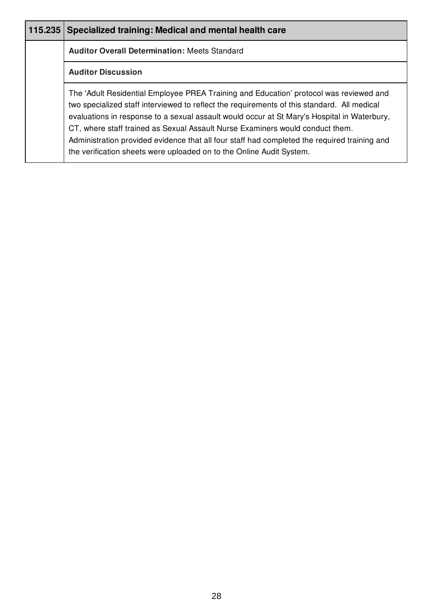| 115.235 | Specialized training: Medical and mental health care                                                                                                                                                                                                                                                                                                                                                                                                                                                                                          |
|---------|-----------------------------------------------------------------------------------------------------------------------------------------------------------------------------------------------------------------------------------------------------------------------------------------------------------------------------------------------------------------------------------------------------------------------------------------------------------------------------------------------------------------------------------------------|
|         | <b>Auditor Overall Determination: Meets Standard</b>                                                                                                                                                                                                                                                                                                                                                                                                                                                                                          |
|         | <b>Auditor Discussion</b>                                                                                                                                                                                                                                                                                                                                                                                                                                                                                                                     |
|         | The 'Adult Residential Employee PREA Training and Education' protocol was reviewed and<br>two specialized staff interviewed to reflect the requirements of this standard. All medical<br>evaluations in response to a sexual assault would occur at St Mary's Hospital in Waterbury,<br>CT, where staff trained as Sexual Assault Nurse Examiners would conduct them.<br>Administration provided evidence that all four staff had completed the required training and<br>the verification sheets were uploaded on to the Online Audit System. |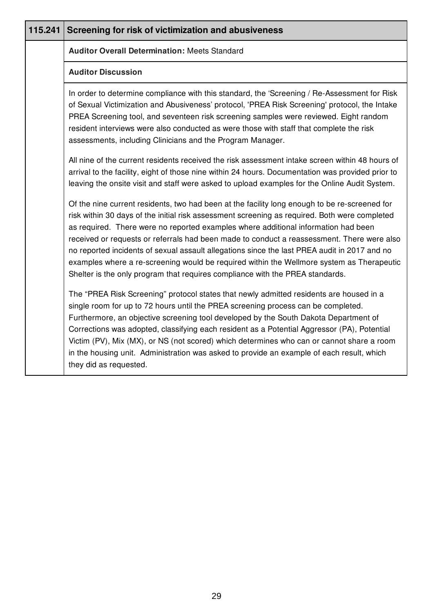| 115.241 | Screening for risk of victimization and abusiveness                                                                                                                                                                                                                                                                                                                                                                                                                                                                                                                                                                                                              |
|---------|------------------------------------------------------------------------------------------------------------------------------------------------------------------------------------------------------------------------------------------------------------------------------------------------------------------------------------------------------------------------------------------------------------------------------------------------------------------------------------------------------------------------------------------------------------------------------------------------------------------------------------------------------------------|
|         | <b>Auditor Overall Determination: Meets Standard</b>                                                                                                                                                                                                                                                                                                                                                                                                                                                                                                                                                                                                             |
|         | <b>Auditor Discussion</b>                                                                                                                                                                                                                                                                                                                                                                                                                                                                                                                                                                                                                                        |
|         | In order to determine compliance with this standard, the 'Screening / Re-Assessment for Risk<br>of Sexual Victimization and Abusiveness' protocol, 'PREA Risk Screening' protocol, the Intake<br>PREA Screening tool, and seventeen risk screening samples were reviewed. Eight random<br>resident interviews were also conducted as were those with staff that complete the risk<br>assessments, including Clinicians and the Program Manager.                                                                                                                                                                                                                  |
|         | All nine of the current residents received the risk assessment intake screen within 48 hours of<br>arrival to the facility, eight of those nine within 24 hours. Documentation was provided prior to<br>leaving the onsite visit and staff were asked to upload examples for the Online Audit System.                                                                                                                                                                                                                                                                                                                                                            |
|         | Of the nine current residents, two had been at the facility long enough to be re-screened for<br>risk within 30 days of the initial risk assessment screening as required. Both were completed<br>as required. There were no reported examples where additional information had been<br>received or requests or referrals had been made to conduct a reassessment. There were also<br>no reported incidents of sexual assault allegations since the last PREA audit in 2017 and no<br>examples where a re-screening would be required within the Wellmore system as Therapeutic<br>Shelter is the only program that requires compliance with the PREA standards. |
|         | The "PREA Risk Screening" protocol states that newly admitted residents are housed in a<br>single room for up to 72 hours until the PREA screening process can be completed.<br>Furthermore, an objective screening tool developed by the South Dakota Department of<br>Corrections was adopted, classifying each resident as a Potential Aggressor (PA), Potential<br>Victim (PV), Mix (MX), or NS (not scored) which determines who can or cannot share a room<br>in the housing unit. Administration was asked to provide an example of each result, which<br>they did as requested.                                                                          |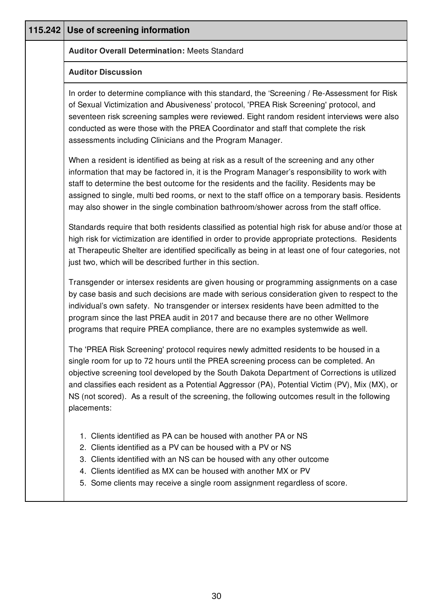| 115.242 Use of screening information                                                                                                                                                                                                                                                                                                                                                                                                                                                              |
|---------------------------------------------------------------------------------------------------------------------------------------------------------------------------------------------------------------------------------------------------------------------------------------------------------------------------------------------------------------------------------------------------------------------------------------------------------------------------------------------------|
| <b>Auditor Overall Determination: Meets Standard</b>                                                                                                                                                                                                                                                                                                                                                                                                                                              |
| <b>Auditor Discussion</b>                                                                                                                                                                                                                                                                                                                                                                                                                                                                         |
| In order to determine compliance with this standard, the 'Screening / Re-Assessment for Risk<br>of Sexual Victimization and Abusiveness' protocol, 'PREA Risk Screening' protocol, and<br>seventeen risk screening samples were reviewed. Eight random resident interviews were also<br>conducted as were those with the PREA Coordinator and staff that complete the risk<br>assessments including Clinicians and the Program Manager.                                                           |
| When a resident is identified as being at risk as a result of the screening and any other<br>information that may be factored in, it is the Program Manager's responsibility to work with<br>staff to determine the best outcome for the residents and the facility. Residents may be<br>assigned to single, multi bed rooms, or next to the staff office on a temporary basis. Residents<br>may also shower in the single combination bathroom/shower across from the staff office.              |
| Standards require that both residents classified as potential high risk for abuse and/or those at<br>high risk for victimization are identified in order to provide appropriate protections. Residents<br>at Therapeutic Shelter are identified specifically as being in at least one of four categories, not<br>just two, which will be described further in this section.                                                                                                                       |
| Transgender or intersex residents are given housing or programming assignments on a case<br>by case basis and such decisions are made with serious consideration given to respect to the<br>individual's own safety. No transgender or intersex residents have been admitted to the<br>program since the last PREA audit in 2017 and because there are no other Wellmore<br>programs that require PREA compliance, there are no examples systemwide as well.                                      |
| The 'PREA Risk Screening' protocol requires newly admitted residents to be housed in a<br>single room for up to 72 hours until the PREA screening process can be completed. An<br>objective screening tool developed by the South Dakota Department of Corrections is utilized<br>and classifies each resident as a Potential Aggressor (PA), Potential Victim (PV), Mix (MX), or<br>NS (not scored). As a result of the screening, the following outcomes result in the following<br>placements: |
| 1. Clients identified as PA can be housed with another PA or NS<br>2. Clients identified as a PV can be housed with a PV or NS<br>3. Clients identified with an NS can be housed with any other outcome<br>4. Clients identified as MX can be housed with another MX or PV<br>5. Some clients may receive a single room assignment regardless of score.                                                                                                                                           |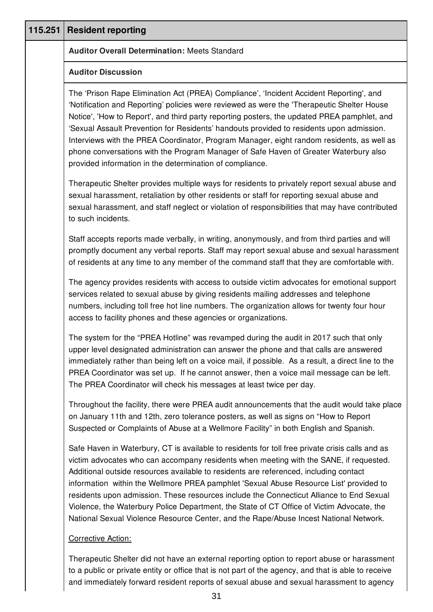| 115.251 | <b>Resident reporting</b>                                                                                                                                                                                                                                                                                                                                                                                                                                                                                                                                                                                                                                                            |
|---------|--------------------------------------------------------------------------------------------------------------------------------------------------------------------------------------------------------------------------------------------------------------------------------------------------------------------------------------------------------------------------------------------------------------------------------------------------------------------------------------------------------------------------------------------------------------------------------------------------------------------------------------------------------------------------------------|
|         | <b>Auditor Overall Determination: Meets Standard</b>                                                                                                                                                                                                                                                                                                                                                                                                                                                                                                                                                                                                                                 |
|         | <b>Auditor Discussion</b>                                                                                                                                                                                                                                                                                                                                                                                                                                                                                                                                                                                                                                                            |
|         | The 'Prison Rape Elimination Act (PREA) Compliance', 'Incident Accident Reporting', and<br>'Notification and Reporting' policies were reviewed as were the 'Therapeutic Shelter House<br>Notice', 'How to Report', and third party reporting posters, the updated PREA pamphlet, and<br>'Sexual Assault Prevention for Residents' handouts provided to residents upon admission.<br>Interviews with the PREA Coordinator, Program Manager, eight random residents, as well as<br>phone conversations with the Program Manager of Safe Haven of Greater Waterbury also<br>provided information in the determination of compliance.                                                    |
|         | Therapeutic Shelter provides multiple ways for residents to privately report sexual abuse and<br>sexual harassment, retaliation by other residents or staff for reporting sexual abuse and<br>sexual harassment, and staff neglect or violation of responsibilities that may have contributed<br>to such incidents.                                                                                                                                                                                                                                                                                                                                                                  |
|         | Staff accepts reports made verbally, in writing, anonymously, and from third parties and will<br>promptly document any verbal reports. Staff may report sexual abuse and sexual harassment<br>of residents at any time to any member of the command staff that they are comfortable with.                                                                                                                                                                                                                                                                                                                                                                                            |
|         | The agency provides residents with access to outside victim advocates for emotional support<br>services related to sexual abuse by giving residents mailing addresses and telephone<br>numbers, including toll free hot line numbers. The organization allows for twenty four hour<br>access to facility phones and these agencies or organizations.                                                                                                                                                                                                                                                                                                                                 |
|         | The system for the "PREA Hotline" was revamped during the audit in 2017 such that only<br>upper level designated administration can answer the phone and that calls are answered<br>immediately rather than being left on a voice mail, if possible. As a result, a direct line to the<br>PREA Coordinator was set up. If he cannot answer, then a voice mail message can be left.<br>The PREA Coordinator will check his messages at least twice per day.                                                                                                                                                                                                                           |
|         | Throughout the facility, there were PREA audit announcements that the audit would take place<br>on January 11th and 12th, zero tolerance posters, as well as signs on "How to Report<br>Suspected or Complaints of Abuse at a Wellmore Facility" in both English and Spanish.                                                                                                                                                                                                                                                                                                                                                                                                        |
|         | Safe Haven in Waterbury, CT is available to residents for toll free private crisis calls and as<br>victim advocates who can accompany residents when meeting with the SANE, if requested.<br>Additional outside resources available to residents are referenced, including contact<br>information within the Wellmore PREA pamphlet 'Sexual Abuse Resource List' provided to<br>residents upon admission. These resources include the Connecticut Alliance to End Sexual<br>Violence, the Waterbury Police Department, the State of CT Office of Victim Advocate, the<br>National Sexual Violence Resource Center, and the Rape/Abuse Incest National Network.<br>Corrective Action: |

Therapeutic Shelter did not have an external reporting option to report abuse or harassment to a public or private entity or office that is not part of the agency, and that is able to receive and immediately forward resident reports of sexual abuse and sexual harassment to agency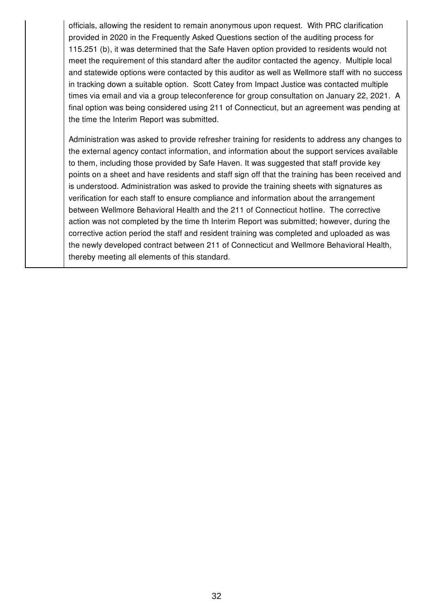officials, allowing the resident to remain anonymous upon request. With PRC clarification provided in 2020 in the Frequently Asked Questions section of the auditing process for 115.251 (b), it was determined that the Safe Haven option provided to residents would not meet the requirement of this standard after the auditor contacted the agency. Multiple local and statewide options were contacted by this auditor as well as Wellmore staff with no success in tracking down a suitable option. Scott Catey from Impact Justice was contacted multiple times via email and via a group teleconference for group consultation on January 22, 2021. A final option was being considered using 211 of Connecticut, but an agreement was pending at the time the Interim Report was submitted.

Administration was asked to provide refresher training for residents to address any changes to the external agency contact information, and information about the support services available to them, including those provided by Safe Haven. It was suggested that staff provide key points on a sheet and have residents and staff sign off that the training has been received and is understood. Administration was asked to provide the training sheets with signatures as verification for each staff to ensure compliance and information about the arrangement between Wellmore Behavioral Health and the 211 of Connecticut hotline. The corrective action was not completed by the time th Interim Report was submitted; however, during the corrective action period the staff and resident training was completed and uploaded as was the newly developed contract between 211 of Connecticut and Wellmore Behavioral Health, thereby meeting all elements of this standard.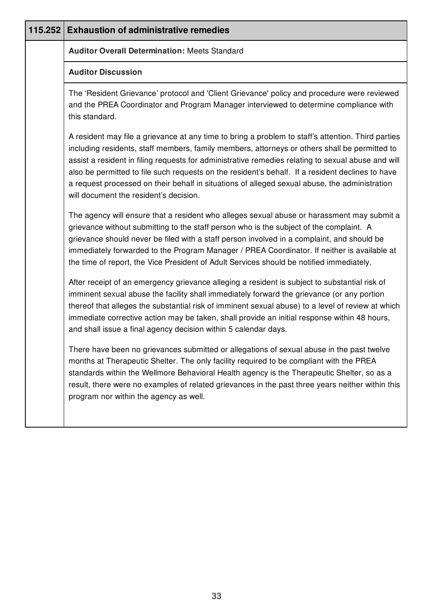| 115.252 | <b>Exhaustion of administrative remedies</b>                                                                                                                                                                                                                                                                                                                                                                                                                                                                                                             |
|---------|----------------------------------------------------------------------------------------------------------------------------------------------------------------------------------------------------------------------------------------------------------------------------------------------------------------------------------------------------------------------------------------------------------------------------------------------------------------------------------------------------------------------------------------------------------|
|         | <b>Auditor Overall Determination: Meets Standard</b>                                                                                                                                                                                                                                                                                                                                                                                                                                                                                                     |
|         | <b>Auditor Discussion</b>                                                                                                                                                                                                                                                                                                                                                                                                                                                                                                                                |
|         | The 'Resident Grievance' protocol and 'Client Grievance' policy and procedure were reviewed<br>and the PREA Coordinator and Program Manager interviewed to determine compliance with<br>this standard.                                                                                                                                                                                                                                                                                                                                                   |
|         | A resident may file a grievance at any time to bring a problem to staff's attention. Third parties<br>including residents, staff members, family members, attorneys or others shall be permitted to<br>assist a resident in filing requests for administrative remedies relating to sexual abuse and will<br>also be permitted to file such requests on the resident's behalf. If a resident declines to have<br>a request processed on their behalf in situations of alleged sexual abuse, the administration<br>will document the resident's decision. |
|         | The agency will ensure that a resident who alleges sexual abuse or harassment may submit a<br>grievance without submitting to the staff person who is the subject of the complaint. A<br>grievance should never be filed with a staff person involved in a complaint, and should be<br>immediately forwarded to the Program Manager / PREA Coordinator. If neither is available at<br>the time of report, the Vice President of Adult Services should be notified immediately.                                                                           |
|         | After receipt of an emergency grievance alleging a resident is subject to substantial risk of<br>imminent sexual abuse the facility shall immediately forward the grievance (or any portion<br>thereof that alleges the substantial risk of imminent sexual abuse) to a level of review at which<br>immediate corrective action may be taken, shall provide an initial response within 48 hours,<br>and shall issue a final agency decision within 5 calendar days.                                                                                      |
|         | There have been no grievances submitted or allegations of sexual abuse in the past twelve<br>months at Therapeutic Shelter. The only facility required to be compliant with the PREA<br>standards within the Wellmore Behavioral Health agency is the Therapeutic Shelter, so as a<br>result, there were no examples of related grievances in the past three years neither within this<br>program nor within the agency as well.                                                                                                                         |
|         |                                                                                                                                                                                                                                                                                                                                                                                                                                                                                                                                                          |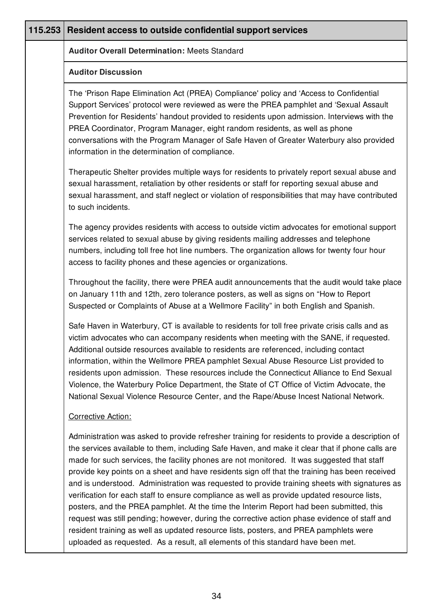| 115.253 | Resident access to outside confidential support services                                                                                                                                                                                                                                                                                                                                                                                                                                                                                                                                                                                                                                                                                                                                                                                                                                                                                                                   |
|---------|----------------------------------------------------------------------------------------------------------------------------------------------------------------------------------------------------------------------------------------------------------------------------------------------------------------------------------------------------------------------------------------------------------------------------------------------------------------------------------------------------------------------------------------------------------------------------------------------------------------------------------------------------------------------------------------------------------------------------------------------------------------------------------------------------------------------------------------------------------------------------------------------------------------------------------------------------------------------------|
|         | <b>Auditor Overall Determination: Meets Standard</b>                                                                                                                                                                                                                                                                                                                                                                                                                                                                                                                                                                                                                                                                                                                                                                                                                                                                                                                       |
|         | <b>Auditor Discussion</b>                                                                                                                                                                                                                                                                                                                                                                                                                                                                                                                                                                                                                                                                                                                                                                                                                                                                                                                                                  |
|         | The 'Prison Rape Elimination Act (PREA) Compliance' policy and 'Access to Confidential<br>Support Services' protocol were reviewed as were the PREA pamphlet and 'Sexual Assault<br>Prevention for Residents' handout provided to residents upon admission. Interviews with the<br>PREA Coordinator, Program Manager, eight random residents, as well as phone<br>conversations with the Program Manager of Safe Haven of Greater Waterbury also provided<br>information in the determination of compliance.                                                                                                                                                                                                                                                                                                                                                                                                                                                               |
|         | Therapeutic Shelter provides multiple ways for residents to privately report sexual abuse and<br>sexual harassment, retaliation by other residents or staff for reporting sexual abuse and<br>sexual harassment, and staff neglect or violation of responsibilities that may have contributed<br>to such incidents.                                                                                                                                                                                                                                                                                                                                                                                                                                                                                                                                                                                                                                                        |
|         | The agency provides residents with access to outside victim advocates for emotional support<br>services related to sexual abuse by giving residents mailing addresses and telephone<br>numbers, including toll free hot line numbers. The organization allows for twenty four hour<br>access to facility phones and these agencies or organizations.                                                                                                                                                                                                                                                                                                                                                                                                                                                                                                                                                                                                                       |
|         | Throughout the facility, there were PREA audit announcements that the audit would take place<br>on January 11th and 12th, zero tolerance posters, as well as signs on "How to Report<br>Suspected or Complaints of Abuse at a Wellmore Facility" in both English and Spanish.                                                                                                                                                                                                                                                                                                                                                                                                                                                                                                                                                                                                                                                                                              |
|         | Safe Haven in Waterbury, CT is available to residents for toll free private crisis calls and as<br>victim advocates who can accompany residents when meeting with the SANE, if requested.<br>Additional outside resources available to residents are referenced, including contact<br>information, within the Wellmore PREA pamphlet Sexual Abuse Resource List provided to<br>residents upon admission. These resources include the Connecticut Alliance to End Sexual<br>Violence, the Waterbury Police Department, the State of CT Office of Victim Advocate, the<br>National Sexual Violence Resource Center, and the Rape/Abuse Incest National Network.                                                                                                                                                                                                                                                                                                              |
|         | Corrective Action:                                                                                                                                                                                                                                                                                                                                                                                                                                                                                                                                                                                                                                                                                                                                                                                                                                                                                                                                                         |
|         | Administration was asked to provide refresher training for residents to provide a description of<br>the services available to them, including Safe Haven, and make it clear that if phone calls are<br>made for such services, the facility phones are not monitored. It was suggested that staff<br>provide key points on a sheet and have residents sign off that the training has been received<br>and is understood. Administration was requested to provide training sheets with signatures as<br>verification for each staff to ensure compliance as well as provide updated resource lists,<br>posters, and the PREA pamphlet. At the time the Interim Report had been submitted, this<br>request was still pending; however, during the corrective action phase evidence of staff and<br>resident training as well as updated resource lists, posters, and PREA pamphlets were<br>uploaded as requested. As a result, all elements of this standard have been met. |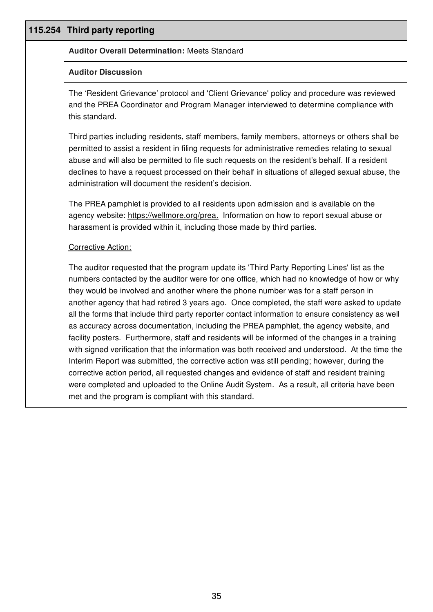| 115.254 | Third party reporting                                                                                                                                                                                                                                                                                                                                                                                                                                                                                                                                                                                                                                                                                                                                                                                                                                                                                                                                                                                                                                                                                                                     |
|---------|-------------------------------------------------------------------------------------------------------------------------------------------------------------------------------------------------------------------------------------------------------------------------------------------------------------------------------------------------------------------------------------------------------------------------------------------------------------------------------------------------------------------------------------------------------------------------------------------------------------------------------------------------------------------------------------------------------------------------------------------------------------------------------------------------------------------------------------------------------------------------------------------------------------------------------------------------------------------------------------------------------------------------------------------------------------------------------------------------------------------------------------------|
|         | <b>Auditor Overall Determination: Meets Standard</b>                                                                                                                                                                                                                                                                                                                                                                                                                                                                                                                                                                                                                                                                                                                                                                                                                                                                                                                                                                                                                                                                                      |
|         | <b>Auditor Discussion</b>                                                                                                                                                                                                                                                                                                                                                                                                                                                                                                                                                                                                                                                                                                                                                                                                                                                                                                                                                                                                                                                                                                                 |
|         | The 'Resident Grievance' protocol and 'Client Grievance' policy and procedure was reviewed<br>and the PREA Coordinator and Program Manager interviewed to determine compliance with<br>this standard.                                                                                                                                                                                                                                                                                                                                                                                                                                                                                                                                                                                                                                                                                                                                                                                                                                                                                                                                     |
|         | Third parties including residents, staff members, family members, attorneys or others shall be<br>permitted to assist a resident in filing requests for administrative remedies relating to sexual<br>abuse and will also be permitted to file such requests on the resident's behalf. If a resident<br>declines to have a request processed on their behalf in situations of alleged sexual abuse, the<br>administration will document the resident's decision.                                                                                                                                                                                                                                                                                                                                                                                                                                                                                                                                                                                                                                                                          |
|         | The PREA pamphlet is provided to all residents upon admission and is available on the<br>agency website: https://wellmore.org/prea. Information on how to report sexual abuse or<br>harassment is provided within it, including those made by third parties.                                                                                                                                                                                                                                                                                                                                                                                                                                                                                                                                                                                                                                                                                                                                                                                                                                                                              |
|         | <b>Corrective Action:</b>                                                                                                                                                                                                                                                                                                                                                                                                                                                                                                                                                                                                                                                                                                                                                                                                                                                                                                                                                                                                                                                                                                                 |
|         | The auditor requested that the program update its 'Third Party Reporting Lines' list as the<br>numbers contacted by the auditor were for one office, which had no knowledge of how or why<br>they would be involved and another where the phone number was for a staff person in<br>another agency that had retired 3 years ago. Once completed, the staff were asked to update<br>all the forms that include third party reporter contact information to ensure consistency as well<br>as accuracy across documentation, including the PREA pamphlet, the agency website, and<br>facility posters. Furthermore, staff and residents will be informed of the changes in a training<br>with signed verification that the information was both received and understood. At the time the<br>Interim Report was submitted, the corrective action was still pending; however, during the<br>corrective action period, all requested changes and evidence of staff and resident training<br>were completed and uploaded to the Online Audit System. As a result, all criteria have been<br>met and the program is compliant with this standard. |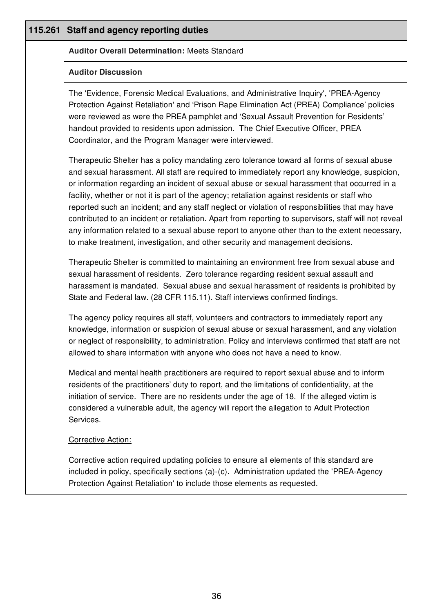| 115.261 | <b>Staff and agency reporting duties</b>                                                                                                                                                                                                                                                                                                                                                                                                                                                                                                                                                                                                                                                                                                                                                     |
|---------|----------------------------------------------------------------------------------------------------------------------------------------------------------------------------------------------------------------------------------------------------------------------------------------------------------------------------------------------------------------------------------------------------------------------------------------------------------------------------------------------------------------------------------------------------------------------------------------------------------------------------------------------------------------------------------------------------------------------------------------------------------------------------------------------|
|         | <b>Auditor Overall Determination: Meets Standard</b>                                                                                                                                                                                                                                                                                                                                                                                                                                                                                                                                                                                                                                                                                                                                         |
|         | <b>Auditor Discussion</b>                                                                                                                                                                                                                                                                                                                                                                                                                                                                                                                                                                                                                                                                                                                                                                    |
|         | The 'Evidence, Forensic Medical Evaluations, and Administrative Inquiry', 'PREA-Agency<br>Protection Against Retaliation' and 'Prison Rape Elimination Act (PREA) Compliance' policies<br>were reviewed as were the PREA pamphlet and 'Sexual Assault Prevention for Residents'<br>handout provided to residents upon admission. The Chief Executive Officer, PREA<br>Coordinator, and the Program Manager were interviewed.                                                                                                                                                                                                                                                                                                                                                                 |
|         | Therapeutic Shelter has a policy mandating zero tolerance toward all forms of sexual abuse<br>and sexual harassment. All staff are required to immediately report any knowledge, suspicion,<br>or information regarding an incident of sexual abuse or sexual harassment that occurred in a<br>facility, whether or not it is part of the agency; retaliation against residents or staff who<br>reported such an incident; and any staff neglect or violation of responsibilities that may have<br>contributed to an incident or retaliation. Apart from reporting to supervisors, staff will not reveal<br>any information related to a sexual abuse report to anyone other than to the extent necessary,<br>to make treatment, investigation, and other security and management decisions. |
|         | Therapeutic Shelter is committed to maintaining an environment free from sexual abuse and<br>sexual harassment of residents. Zero tolerance regarding resident sexual assault and<br>harassment is mandated. Sexual abuse and sexual harassment of residents is prohibited by<br>State and Federal law. (28 CFR 115.11). Staff interviews confirmed findings.                                                                                                                                                                                                                                                                                                                                                                                                                                |
|         | The agency policy requires all staff, volunteers and contractors to immediately report any<br>knowledge, information or suspicion of sexual abuse or sexual harassment, and any violation<br>or neglect of responsibility, to administration. Policy and interviews confirmed that staff are not<br>allowed to share information with anyone who does not have a need to know.                                                                                                                                                                                                                                                                                                                                                                                                               |
|         | Medical and mental health practitioners are required to report sexual abuse and to inform<br>residents of the practitioners' duty to report, and the limitations of confidentiality, at the<br>initiation of service. There are no residents under the age of 18. If the alleged victim is<br>considered a vulnerable adult, the agency will report the allegation to Adult Protection<br>Services.                                                                                                                                                                                                                                                                                                                                                                                          |
|         | Corrective Action:                                                                                                                                                                                                                                                                                                                                                                                                                                                                                                                                                                                                                                                                                                                                                                           |
|         | Corrective action required updating policies to ensure all elements of this standard are<br>included in policy, specifically sections (a)-(c). Administration updated the 'PREA-Agency<br>Protection Against Retaliation' to include those elements as requested.                                                                                                                                                                                                                                                                                                                                                                                                                                                                                                                            |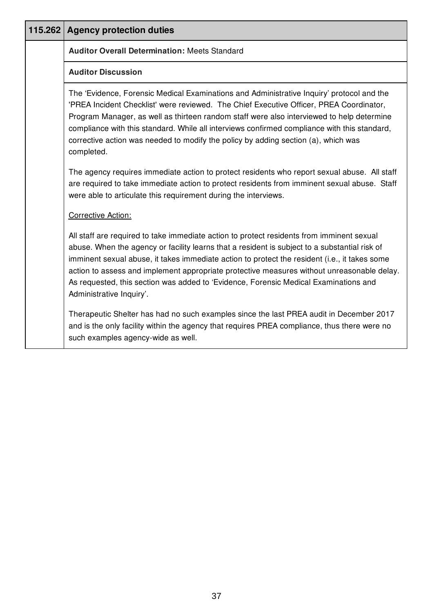| 115.262 Agency protection duties                                                                                                                                                                                                                                                                                                                                                                                                                                                                              |
|---------------------------------------------------------------------------------------------------------------------------------------------------------------------------------------------------------------------------------------------------------------------------------------------------------------------------------------------------------------------------------------------------------------------------------------------------------------------------------------------------------------|
| <b>Auditor Overall Determination: Meets Standard</b>                                                                                                                                                                                                                                                                                                                                                                                                                                                          |
| <b>Auditor Discussion</b>                                                                                                                                                                                                                                                                                                                                                                                                                                                                                     |
| The 'Evidence, Forensic Medical Examinations and Administrative Inquiry' protocol and the<br>'PREA Incident Checklist' were reviewed. The Chief Executive Officer, PREA Coordinator,<br>Program Manager, as well as thirteen random staff were also interviewed to help determine<br>compliance with this standard. While all interviews confirmed compliance with this standard,<br>corrective action was needed to modify the policy by adding section (a), which was<br>completed.                         |
| The agency requires immediate action to protect residents who report sexual abuse. All staff<br>are required to take immediate action to protect residents from imminent sexual abuse. Staff<br>were able to articulate this requirement during the interviews.                                                                                                                                                                                                                                               |
| <b>Corrective Action:</b>                                                                                                                                                                                                                                                                                                                                                                                                                                                                                     |
| All staff are required to take immediate action to protect residents from imminent sexual<br>abuse. When the agency or facility learns that a resident is subject to a substantial risk of<br>imminent sexual abuse, it takes immediate action to protect the resident (i.e., it takes some<br>action to assess and implement appropriate protective measures without unreasonable delay.<br>As requested, this section was added to 'Evidence, Forensic Medical Examinations and<br>Administrative Inquiry'. |
| Therapeutic Shelter has had no such examples since the last PREA audit in December 2017<br>and is the only facility within the agency that requires PREA compliance, thus there were no<br>such examples agency-wide as well.                                                                                                                                                                                                                                                                                 |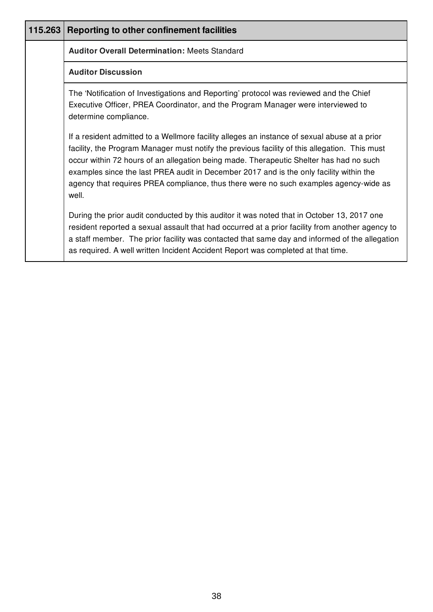| 115.263 | <b>Reporting to other confinement facilities</b>                                                                                                                                                                                                                                                                                                                                                                                                                                     |
|---------|--------------------------------------------------------------------------------------------------------------------------------------------------------------------------------------------------------------------------------------------------------------------------------------------------------------------------------------------------------------------------------------------------------------------------------------------------------------------------------------|
|         | <b>Auditor Overall Determination: Meets Standard</b>                                                                                                                                                                                                                                                                                                                                                                                                                                 |
|         | <b>Auditor Discussion</b>                                                                                                                                                                                                                                                                                                                                                                                                                                                            |
|         | The 'Notification of Investigations and Reporting' protocol was reviewed and the Chief<br>Executive Officer, PREA Coordinator, and the Program Manager were interviewed to<br>determine compliance.                                                                                                                                                                                                                                                                                  |
|         | If a resident admitted to a Wellmore facility alleges an instance of sexual abuse at a prior<br>facility, the Program Manager must notify the previous facility of this allegation. This must<br>occur within 72 hours of an allegation being made. Therapeutic Shelter has had no such<br>examples since the last PREA audit in December 2017 and is the only facility within the<br>agency that requires PREA compliance, thus there were no such examples agency-wide as<br>well. |
|         | During the prior audit conducted by this auditor it was noted that in October 13, 2017 one<br>resident reported a sexual assault that had occurred at a prior facility from another agency to<br>a staff member. The prior facility was contacted that same day and informed of the allegation<br>as required. A well written Incident Accident Report was completed at that time.                                                                                                   |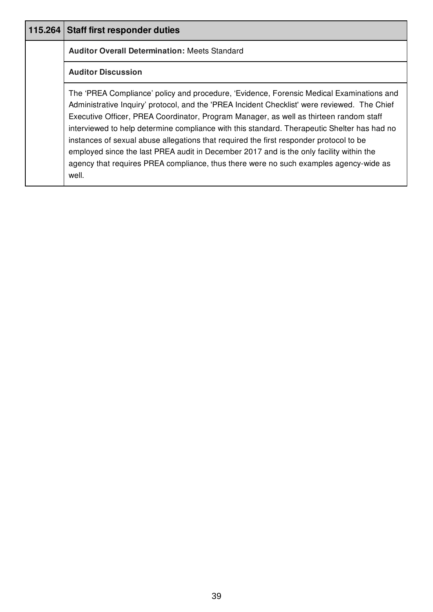| 115.264 Staff first responder duties                                                                                                                                                                                                                                                                                                                                                                                                                                                                                                                                                                                                                                     |
|--------------------------------------------------------------------------------------------------------------------------------------------------------------------------------------------------------------------------------------------------------------------------------------------------------------------------------------------------------------------------------------------------------------------------------------------------------------------------------------------------------------------------------------------------------------------------------------------------------------------------------------------------------------------------|
| <b>Auditor Overall Determination: Meets Standard</b>                                                                                                                                                                                                                                                                                                                                                                                                                                                                                                                                                                                                                     |
| <b>Auditor Discussion</b>                                                                                                                                                                                                                                                                                                                                                                                                                                                                                                                                                                                                                                                |
| The 'PREA Compliance' policy and procedure, 'Evidence, Forensic Medical Examinations and<br>Administrative Inquiry' protocol, and the 'PREA Incident Checklist' were reviewed. The Chief<br>Executive Officer, PREA Coordinator, Program Manager, as well as thirteen random staff<br>interviewed to help determine compliance with this standard. Therapeutic Shelter has had no<br>instances of sexual abuse allegations that required the first responder protocol to be<br>employed since the last PREA audit in December 2017 and is the only facility within the<br>agency that requires PREA compliance, thus there were no such examples agency-wide as<br>well. |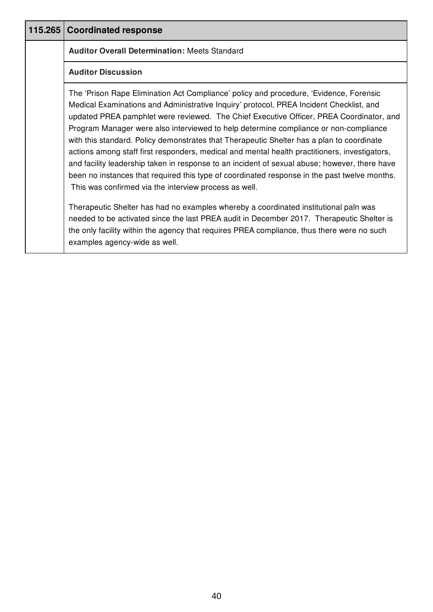| 115.265   Coordinated response                                                                                                                                                                                                                                                                                                                                                                                                                                                                                                                                                                                                                                                                                                                                                                                               |
|------------------------------------------------------------------------------------------------------------------------------------------------------------------------------------------------------------------------------------------------------------------------------------------------------------------------------------------------------------------------------------------------------------------------------------------------------------------------------------------------------------------------------------------------------------------------------------------------------------------------------------------------------------------------------------------------------------------------------------------------------------------------------------------------------------------------------|
| <b>Auditor Overall Determination: Meets Standard</b>                                                                                                                                                                                                                                                                                                                                                                                                                                                                                                                                                                                                                                                                                                                                                                         |
| <b>Auditor Discussion</b>                                                                                                                                                                                                                                                                                                                                                                                                                                                                                                                                                                                                                                                                                                                                                                                                    |
| The 'Prison Rape Elimination Act Compliance' policy and procedure, 'Evidence, Forensic<br>Medical Examinations and Administrative Inquiry' protocol, PREA Incident Checklist, and<br>updated PREA pamphlet were reviewed. The Chief Executive Officer, PREA Coordinator, and<br>Program Manager were also interviewed to help determine compliance or non-compliance<br>with this standard. Policy demonstrates that Therapeutic Shelter has a plan to coordinate<br>actions among staff first responders, medical and mental health practitioners, investigators,<br>and facility leadership taken in response to an incident of sexual abuse; however, there have<br>been no instances that required this type of coordinated response in the past twelve months.<br>This was confirmed via the interview process as well. |
| Therapeutic Shelter has had no examples whereby a coordinated institutional paln was<br>needed to be activated since the last PREA audit in December 2017. Therapeutic Shelter is<br>the only facility within the agency that requires PREA compliance, thus there were no such<br>examples agency-wide as well.                                                                                                                                                                                                                                                                                                                                                                                                                                                                                                             |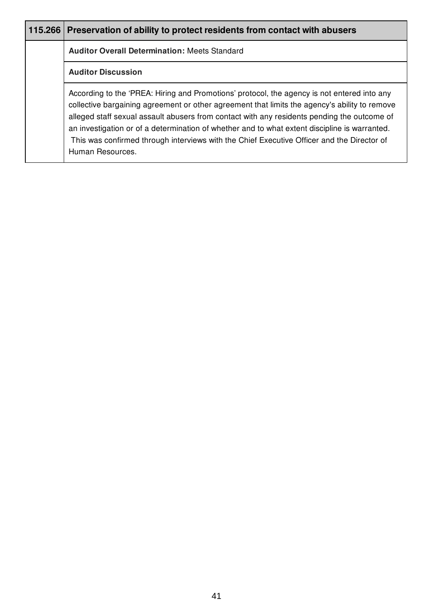| 115.266 | Preservation of ability to protect residents from contact with abusers                                                                                                                                                                                                                                                                                                                                                                                                                                         |
|---------|----------------------------------------------------------------------------------------------------------------------------------------------------------------------------------------------------------------------------------------------------------------------------------------------------------------------------------------------------------------------------------------------------------------------------------------------------------------------------------------------------------------|
|         | <b>Auditor Overall Determination: Meets Standard</b>                                                                                                                                                                                                                                                                                                                                                                                                                                                           |
|         | <b>Auditor Discussion</b>                                                                                                                                                                                                                                                                                                                                                                                                                                                                                      |
|         | According to the 'PREA: Hiring and Promotions' protocol, the agency is not entered into any<br>collective bargaining agreement or other agreement that limits the agency's ability to remove<br>alleged staff sexual assault abusers from contact with any residents pending the outcome of<br>an investigation or of a determination of whether and to what extent discipline is warranted.<br>This was confirmed through interviews with the Chief Executive Officer and the Director of<br>Human Resources. |

Ι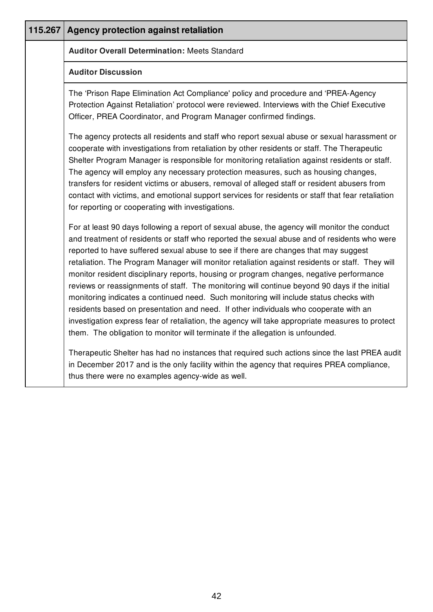| 115.267   Agency protection against retaliation                                                                                                                                                                                                                                                                                                                                                                                                                                                                                                                                                                                                                                                                                                                                                                                                                                                                                                          |
|----------------------------------------------------------------------------------------------------------------------------------------------------------------------------------------------------------------------------------------------------------------------------------------------------------------------------------------------------------------------------------------------------------------------------------------------------------------------------------------------------------------------------------------------------------------------------------------------------------------------------------------------------------------------------------------------------------------------------------------------------------------------------------------------------------------------------------------------------------------------------------------------------------------------------------------------------------|
| <b>Auditor Overall Determination: Meets Standard</b>                                                                                                                                                                                                                                                                                                                                                                                                                                                                                                                                                                                                                                                                                                                                                                                                                                                                                                     |
| <b>Auditor Discussion</b>                                                                                                                                                                                                                                                                                                                                                                                                                                                                                                                                                                                                                                                                                                                                                                                                                                                                                                                                |
| The 'Prison Rape Elimination Act Compliance' policy and procedure and 'PREA-Agency<br>Protection Against Retaliation' protocol were reviewed. Interviews with the Chief Executive<br>Officer, PREA Coordinator, and Program Manager confirmed findings.                                                                                                                                                                                                                                                                                                                                                                                                                                                                                                                                                                                                                                                                                                  |
| The agency protects all residents and staff who report sexual abuse or sexual harassment or<br>cooperate with investigations from retaliation by other residents or staff. The Therapeutic<br>Shelter Program Manager is responsible for monitoring retaliation against residents or staff.<br>The agency will employ any necessary protection measures, such as housing changes,<br>transfers for resident victims or abusers, removal of alleged staff or resident abusers from<br>contact with victims, and emotional support services for residents or staff that fear retaliation<br>for reporting or cooperating with investigations.                                                                                                                                                                                                                                                                                                              |
| For at least 90 days following a report of sexual abuse, the agency will monitor the conduct<br>and treatment of residents or staff who reported the sexual abuse and of residents who were<br>reported to have suffered sexual abuse to see if there are changes that may suggest<br>retaliation. The Program Manager will monitor retaliation against residents or staff. They will<br>monitor resident disciplinary reports, housing or program changes, negative performance<br>reviews or reassignments of staff. The monitoring will continue beyond 90 days if the initial<br>monitoring indicates a continued need. Such monitoring will include status checks with<br>residents based on presentation and need. If other individuals who cooperate with an<br>investigation express fear of retaliation, the agency will take appropriate measures to protect<br>them. The obligation to monitor will terminate if the allegation is unfounded. |
| Therapeutic Shelter has had no instances that required such actions since the last PREA audit<br>in December 2017 and is the only facility within the agency that requires PREA compliance,<br>thus there were no examples agency-wide as well.                                                                                                                                                                                                                                                                                                                                                                                                                                                                                                                                                                                                                                                                                                          |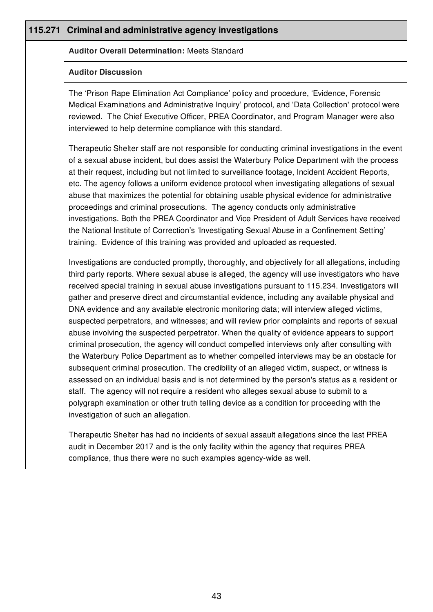| 115.271 | <b>Criminal and administrative agency investigations</b>                                                                                                                                                                                                                                                                                                                                                                                                                                                                                                                                                                                                                                                                                                                                                                                                                                                                                                                                                                                                                                                                                                                                                                                                                                                                            |
|---------|-------------------------------------------------------------------------------------------------------------------------------------------------------------------------------------------------------------------------------------------------------------------------------------------------------------------------------------------------------------------------------------------------------------------------------------------------------------------------------------------------------------------------------------------------------------------------------------------------------------------------------------------------------------------------------------------------------------------------------------------------------------------------------------------------------------------------------------------------------------------------------------------------------------------------------------------------------------------------------------------------------------------------------------------------------------------------------------------------------------------------------------------------------------------------------------------------------------------------------------------------------------------------------------------------------------------------------------|
|         | <b>Auditor Overall Determination: Meets Standard</b>                                                                                                                                                                                                                                                                                                                                                                                                                                                                                                                                                                                                                                                                                                                                                                                                                                                                                                                                                                                                                                                                                                                                                                                                                                                                                |
|         | <b>Auditor Discussion</b>                                                                                                                                                                                                                                                                                                                                                                                                                                                                                                                                                                                                                                                                                                                                                                                                                                                                                                                                                                                                                                                                                                                                                                                                                                                                                                           |
|         | The 'Prison Rape Elimination Act Compliance' policy and procedure, 'Evidence, Forensic<br>Medical Examinations and Administrative Inquiry' protocol, and 'Data Collection' protocol were<br>reviewed. The Chief Executive Officer, PREA Coordinator, and Program Manager were also<br>interviewed to help determine compliance with this standard.                                                                                                                                                                                                                                                                                                                                                                                                                                                                                                                                                                                                                                                                                                                                                                                                                                                                                                                                                                                  |
|         | Therapeutic Shelter staff are not responsible for conducting criminal investigations in the event<br>of a sexual abuse incident, but does assist the Waterbury Police Department with the process<br>at their request, including but not limited to surveillance footage, Incident Accident Reports,<br>etc. The agency follows a uniform evidence protocol when investigating allegations of sexual<br>abuse that maximizes the potential for obtaining usable physical evidence for administrative<br>proceedings and criminal prosecutions. The agency conducts only administrative<br>investigations. Both the PREA Coordinator and Vice President of Adult Services have received<br>the National Institute of Correction's 'Investigating Sexual Abuse in a Confinement Setting'<br>training. Evidence of this training was provided and uploaded as requested.                                                                                                                                                                                                                                                                                                                                                                                                                                                               |
|         | Investigations are conducted promptly, thoroughly, and objectively for all allegations, including<br>third party reports. Where sexual abuse is alleged, the agency will use investigators who have<br>received special training in sexual abuse investigations pursuant to 115.234. Investigators will<br>gather and preserve direct and circumstantial evidence, including any available physical and<br>DNA evidence and any available electronic monitoring data; will interview alleged victims,<br>suspected perpetrators, and witnesses; and will review prior complaints and reports of sexual<br>abuse involving the suspected perpetrator. When the quality of evidence appears to support<br>criminal prosecution, the agency will conduct compelled interviews only after consulting with<br>the Waterbury Police Department as to whether compelled interviews may be an obstacle for<br>subsequent criminal prosecution. The credibility of an alleged victim, suspect, or witness is<br>assessed on an individual basis and is not determined by the person's status as a resident or<br>staff. The agency will not require a resident who alleges sexual abuse to submit to a<br>polygraph examination or other truth telling device as a condition for proceeding with the<br>investigation of such an allegation. |
|         | Therapeutic Shelter has had no incidents of sexual assault allegations since the last PREA<br>audit in December 2017 and is the only facility within the agency that requires PREA<br>compliance, thus there were no such examples agency-wide as well.                                                                                                                                                                                                                                                                                                                                                                                                                                                                                                                                                                                                                                                                                                                                                                                                                                                                                                                                                                                                                                                                             |
|         |                                                                                                                                                                                                                                                                                                                                                                                                                                                                                                                                                                                                                                                                                                                                                                                                                                                                                                                                                                                                                                                                                                                                                                                                                                                                                                                                     |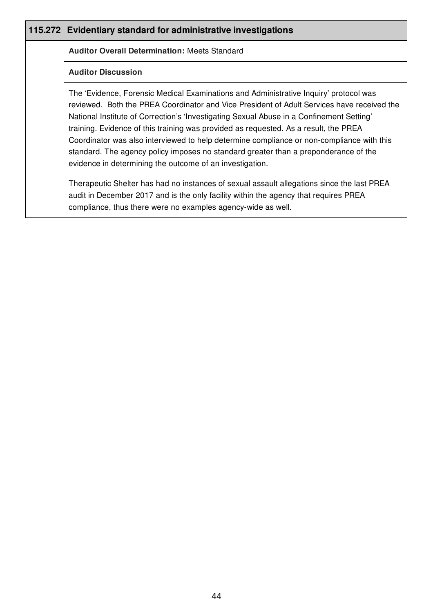| 115.272 Evidentiary standard for administrative investigations                                                                                                                                                                                                                                                                                                                                                                                                                                                                                                                                                          |
|-------------------------------------------------------------------------------------------------------------------------------------------------------------------------------------------------------------------------------------------------------------------------------------------------------------------------------------------------------------------------------------------------------------------------------------------------------------------------------------------------------------------------------------------------------------------------------------------------------------------------|
| <b>Auditor Overall Determination: Meets Standard</b>                                                                                                                                                                                                                                                                                                                                                                                                                                                                                                                                                                    |
| <b>Auditor Discussion</b>                                                                                                                                                                                                                                                                                                                                                                                                                                                                                                                                                                                               |
| The 'Evidence, Forensic Medical Examinations and Administrative Inquiry' protocol was<br>reviewed. Both the PREA Coordinator and Vice President of Adult Services have received the<br>National Institute of Correction's 'Investigating Sexual Abuse in a Confinement Setting'<br>training. Evidence of this training was provided as requested. As a result, the PREA<br>Coordinator was also interviewed to help determine compliance or non-compliance with this<br>standard. The agency policy imposes no standard greater than a preponderance of the<br>evidence in determining the outcome of an investigation. |
| Therapeutic Shelter has had no instances of sexual assault allegations since the last PREA<br>audit in December 2017 and is the only facility within the agency that requires PREA<br>compliance, thus there were no examples agency-wide as well.                                                                                                                                                                                                                                                                                                                                                                      |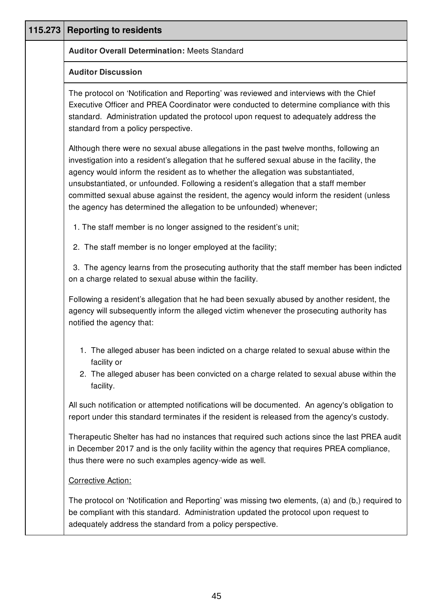| 115.273 | <b>Reporting to residents</b>                                                                                                                                                                                                                                                                                                                                                                                                                                                                                                            |
|---------|------------------------------------------------------------------------------------------------------------------------------------------------------------------------------------------------------------------------------------------------------------------------------------------------------------------------------------------------------------------------------------------------------------------------------------------------------------------------------------------------------------------------------------------|
|         | <b>Auditor Overall Determination: Meets Standard</b>                                                                                                                                                                                                                                                                                                                                                                                                                                                                                     |
|         | <b>Auditor Discussion</b>                                                                                                                                                                                                                                                                                                                                                                                                                                                                                                                |
|         | The protocol on 'Notification and Reporting' was reviewed and interviews with the Chief<br>Executive Officer and PREA Coordinator were conducted to determine compliance with this<br>standard. Administration updated the protocol upon request to adequately address the<br>standard from a policy perspective.                                                                                                                                                                                                                        |
|         | Although there were no sexual abuse allegations in the past twelve months, following an<br>investigation into a resident's allegation that he suffered sexual abuse in the facility, the<br>agency would inform the resident as to whether the allegation was substantiated,<br>unsubstantiated, or unfounded. Following a resident's allegation that a staff member<br>committed sexual abuse against the resident, the agency would inform the resident (unless<br>the agency has determined the allegation to be unfounded) whenever; |
|         | 1. The staff member is no longer assigned to the resident's unit;                                                                                                                                                                                                                                                                                                                                                                                                                                                                        |
|         | 2. The staff member is no longer employed at the facility;                                                                                                                                                                                                                                                                                                                                                                                                                                                                               |
|         | 3. The agency learns from the prosecuting authority that the staff member has been indicted<br>on a charge related to sexual abuse within the facility.                                                                                                                                                                                                                                                                                                                                                                                  |
|         | Following a resident's allegation that he had been sexually abused by another resident, the<br>agency will subsequently inform the alleged victim whenever the prosecuting authority has<br>notified the agency that:                                                                                                                                                                                                                                                                                                                    |
|         | 1. The alleged abuser has been indicted on a charge related to sexual abuse within the<br>facility or<br>2. The alleged abuser has been convicted on a charge related to sexual abuse within the                                                                                                                                                                                                                                                                                                                                         |
|         | facility.                                                                                                                                                                                                                                                                                                                                                                                                                                                                                                                                |
|         | All such notification or attempted notifications will be documented. An agency's obligation to<br>report under this standard terminates if the resident is released from the agency's custody.                                                                                                                                                                                                                                                                                                                                           |
|         | Therapeutic Shelter has had no instances that required such actions since the last PREA audit<br>in December 2017 and is the only facility within the agency that requires PREA compliance,<br>thus there were no such examples agency-wide as well.                                                                                                                                                                                                                                                                                     |
|         | <b>Corrective Action:</b>                                                                                                                                                                                                                                                                                                                                                                                                                                                                                                                |
|         | The protocol on 'Notification and Reporting' was missing two elements, (a) and (b,) required to<br>be compliant with this standard. Administration updated the protocol upon request to<br>adequately address the standard from a policy perspective.                                                                                                                                                                                                                                                                                    |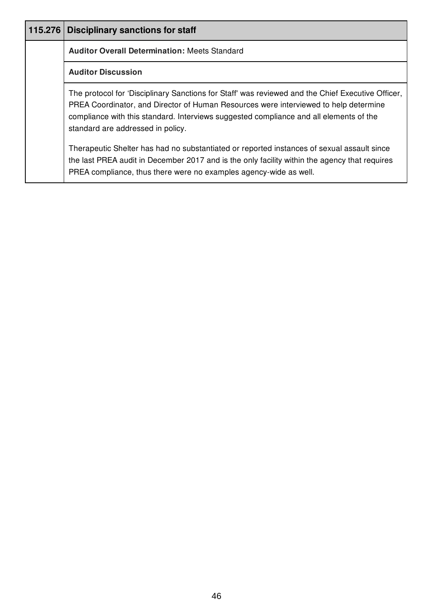| 115.276   Disciplinary sanctions for staff                                                                                                                                                                                                                                                                               |
|--------------------------------------------------------------------------------------------------------------------------------------------------------------------------------------------------------------------------------------------------------------------------------------------------------------------------|
| <b>Auditor Overall Determination: Meets Standard</b>                                                                                                                                                                                                                                                                     |
| <b>Auditor Discussion</b>                                                                                                                                                                                                                                                                                                |
| The protocol for 'Disciplinary Sanctions for Staff' was reviewed and the Chief Executive Officer,<br>PREA Coordinator, and Director of Human Resources were interviewed to help determine<br>compliance with this standard. Interviews suggested compliance and all elements of the<br>standard are addressed in policy. |
| Therapeutic Shelter has had no substantiated or reported instances of sexual assault since<br>the last PREA audit in December 2017 and is the only facility within the agency that requires<br>PREA compliance, thus there were no examples agency-wide as well.                                                         |

I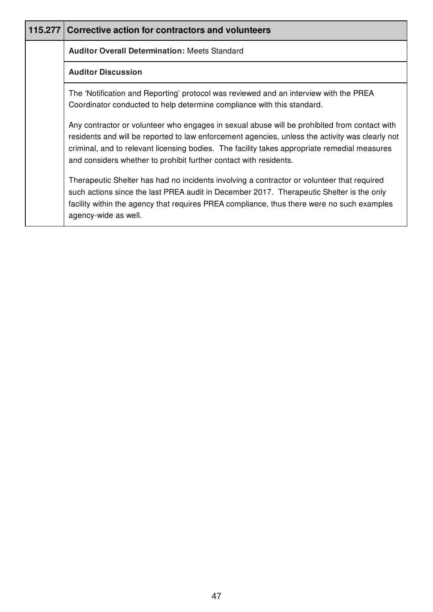| 115.277 Corrective action for contractors and volunteers                                                                                                                                                                                                                                                                                                             |
|----------------------------------------------------------------------------------------------------------------------------------------------------------------------------------------------------------------------------------------------------------------------------------------------------------------------------------------------------------------------|
| <b>Auditor Overall Determination: Meets Standard</b>                                                                                                                                                                                                                                                                                                                 |
| <b>Auditor Discussion</b>                                                                                                                                                                                                                                                                                                                                            |
| The 'Notification and Reporting' protocol was reviewed and an interview with the PREA<br>Coordinator conducted to help determine compliance with this standard.                                                                                                                                                                                                      |
| Any contractor or volunteer who engages in sexual abuse will be prohibited from contact with<br>residents and will be reported to law enforcement agencies, unless the activity was clearly not<br>criminal, and to relevant licensing bodies. The facility takes appropriate remedial measures<br>and considers whether to prohibit further contact with residents. |
| Therapeutic Shelter has had no incidents involving a contractor or volunteer that required<br>such actions since the last PREA audit in December 2017. Therapeutic Shelter is the only<br>facility within the agency that requires PREA compliance, thus there were no such examples<br>agency-wide as well.                                                         |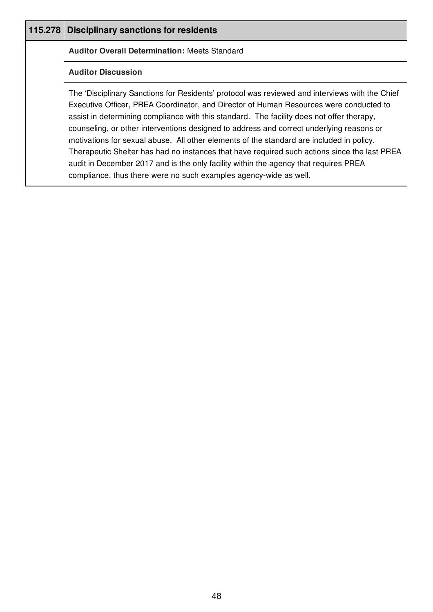| 115.278 | <b>Disciplinary sanctions for residents</b>                                                                                                                                                                                                                                                                                                                                                                                                                                                                                                                                                                                                                                                                                                |
|---------|--------------------------------------------------------------------------------------------------------------------------------------------------------------------------------------------------------------------------------------------------------------------------------------------------------------------------------------------------------------------------------------------------------------------------------------------------------------------------------------------------------------------------------------------------------------------------------------------------------------------------------------------------------------------------------------------------------------------------------------------|
|         | <b>Auditor Overall Determination: Meets Standard</b>                                                                                                                                                                                                                                                                                                                                                                                                                                                                                                                                                                                                                                                                                       |
|         | <b>Auditor Discussion</b>                                                                                                                                                                                                                                                                                                                                                                                                                                                                                                                                                                                                                                                                                                                  |
|         | The 'Disciplinary Sanctions for Residents' protocol was reviewed and interviews with the Chief<br>Executive Officer, PREA Coordinator, and Director of Human Resources were conducted to<br>assist in determining compliance with this standard. The facility does not offer therapy,<br>counseling, or other interventions designed to address and correct underlying reasons or<br>motivations for sexual abuse. All other elements of the standard are included in policy.<br>Therapeutic Shelter has had no instances that have required such actions since the last PREA<br>audit in December 2017 and is the only facility within the agency that requires PREA<br>compliance, thus there were no such examples agency-wide as well. |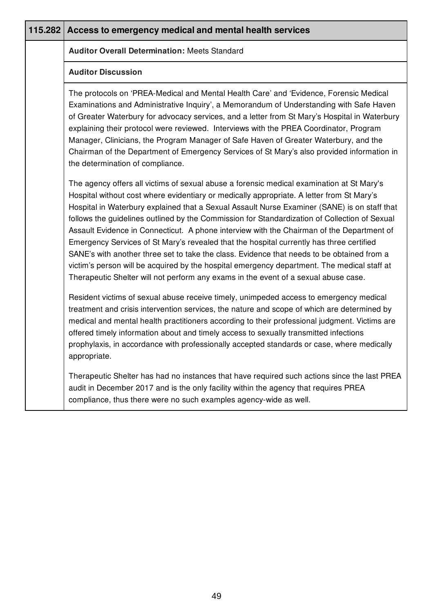| 115.282 | Access to emergency medical and mental health services                                                                                                                                                                                                                                                                                                                                                                                                                                                                                                                                                                                                                                                                                                                                                                                                               |  |  |
|---------|----------------------------------------------------------------------------------------------------------------------------------------------------------------------------------------------------------------------------------------------------------------------------------------------------------------------------------------------------------------------------------------------------------------------------------------------------------------------------------------------------------------------------------------------------------------------------------------------------------------------------------------------------------------------------------------------------------------------------------------------------------------------------------------------------------------------------------------------------------------------|--|--|
|         | <b>Auditor Overall Determination: Meets Standard</b>                                                                                                                                                                                                                                                                                                                                                                                                                                                                                                                                                                                                                                                                                                                                                                                                                 |  |  |
|         | <b>Auditor Discussion</b>                                                                                                                                                                                                                                                                                                                                                                                                                                                                                                                                                                                                                                                                                                                                                                                                                                            |  |  |
|         | The protocols on 'PREA-Medical and Mental Health Care' and 'Evidence, Forensic Medical<br>Examinations and Administrative Inquiry', a Memorandum of Understanding with Safe Haven<br>of Greater Waterbury for advocacy services, and a letter from St Mary's Hospital in Waterbury<br>explaining their protocol were reviewed. Interviews with the PREA Coordinator, Program<br>Manager, Clinicians, the Program Manager of Safe Haven of Greater Waterbury, and the<br>Chairman of the Department of Emergency Services of St Mary's also provided information in<br>the determination of compliance.                                                                                                                                                                                                                                                               |  |  |
|         | The agency offers all victims of sexual abuse a forensic medical examination at St Mary's<br>Hospital without cost where evidentiary or medically appropriate. A letter from St Mary's<br>Hospital in Waterbury explained that a Sexual Assault Nurse Examiner (SANE) is on staff that<br>follows the guidelines outlined by the Commission for Standardization of Collection of Sexual<br>Assault Evidence in Connecticut. A phone interview with the Chairman of the Department of<br>Emergency Services of St Mary's revealed that the hospital currently has three certified<br>SANE's with another three set to take the class. Evidence that needs to be obtained from a<br>victim's person will be acquired by the hospital emergency department. The medical staff at<br>Therapeutic Shelter will not perform any exams in the event of a sexual abuse case. |  |  |
|         | Resident victims of sexual abuse receive timely, unimpeded access to emergency medical<br>treatment and crisis intervention services, the nature and scope of which are determined by<br>medical and mental health practitioners according to their professional judgment. Victims are<br>offered timely information about and timely access to sexually transmitted infections<br>prophylaxis, in accordance with professionally accepted standards or case, where medically<br>appropriate.                                                                                                                                                                                                                                                                                                                                                                        |  |  |
|         | Therapeutic Shelter has had no instances that have required such actions since the last PREA<br>audit in December 2017 and is the only facility within the agency that requires PREA<br>compliance, thus there were no such examples agency-wide as well.                                                                                                                                                                                                                                                                                                                                                                                                                                                                                                                                                                                                            |  |  |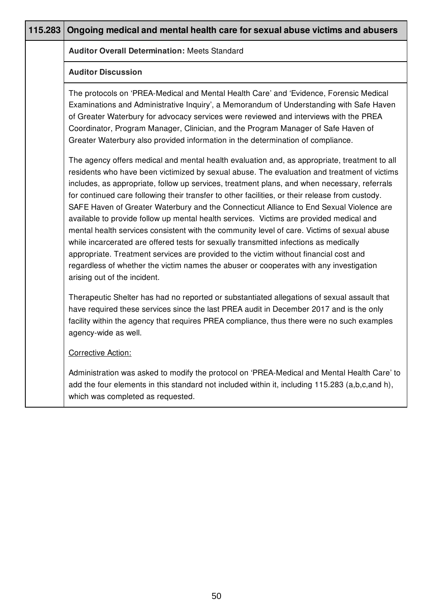| 115.283 | Ongoing medical and mental health care for sexual abuse victims and abusers                                                                                                                                                                                                                                                                                                                                                                                                                                                                                                                                                                                                                                                                                                                                                                                                                                                                                                                     |
|---------|-------------------------------------------------------------------------------------------------------------------------------------------------------------------------------------------------------------------------------------------------------------------------------------------------------------------------------------------------------------------------------------------------------------------------------------------------------------------------------------------------------------------------------------------------------------------------------------------------------------------------------------------------------------------------------------------------------------------------------------------------------------------------------------------------------------------------------------------------------------------------------------------------------------------------------------------------------------------------------------------------|
|         | <b>Auditor Overall Determination: Meets Standard</b>                                                                                                                                                                                                                                                                                                                                                                                                                                                                                                                                                                                                                                                                                                                                                                                                                                                                                                                                            |
|         | <b>Auditor Discussion</b>                                                                                                                                                                                                                                                                                                                                                                                                                                                                                                                                                                                                                                                                                                                                                                                                                                                                                                                                                                       |
|         | The protocols on 'PREA-Medical and Mental Health Care' and 'Evidence, Forensic Medical<br>Examinations and Administrative Inquiry', a Memorandum of Understanding with Safe Haven<br>of Greater Waterbury for advocacy services were reviewed and interviews with the PREA<br>Coordinator, Program Manager, Clinician, and the Program Manager of Safe Haven of<br>Greater Waterbury also provided information in the determination of compliance.                                                                                                                                                                                                                                                                                                                                                                                                                                                                                                                                              |
|         | The agency offers medical and mental health evaluation and, as appropriate, treatment to all<br>residents who have been victimized by sexual abuse. The evaluation and treatment of victims<br>includes, as appropriate, follow up services, treatment plans, and when necessary, referrals<br>for continued care following their transfer to other facilities, or their release from custody.<br>SAFE Haven of Greater Waterbury and the Connecticut Alliance to End Sexual Violence are<br>available to provide follow up mental health services. Victims are provided medical and<br>mental health services consistent with the community level of care. Victims of sexual abuse<br>while incarcerated are offered tests for sexually transmitted infections as medically<br>appropriate. Treatment services are provided to the victim without financial cost and<br>regardless of whether the victim names the abuser or cooperates with any investigation<br>arising out of the incident. |
|         | Therapeutic Shelter has had no reported or substantiated allegations of sexual assault that<br>have required these services since the last PREA audit in December 2017 and is the only<br>facility within the agency that requires PREA compliance, thus there were no such examples<br>agency-wide as well.                                                                                                                                                                                                                                                                                                                                                                                                                                                                                                                                                                                                                                                                                    |
|         | <b>Corrective Action:</b>                                                                                                                                                                                                                                                                                                                                                                                                                                                                                                                                                                                                                                                                                                                                                                                                                                                                                                                                                                       |
|         | Administration was asked to modify the protocol on 'PREA-Medical and Mental Health Care' to<br>add the four elements in this standard not included within it, including 115.283 (a,b,c,and h),<br>which was completed as requested.                                                                                                                                                                                                                                                                                                                                                                                                                                                                                                                                                                                                                                                                                                                                                             |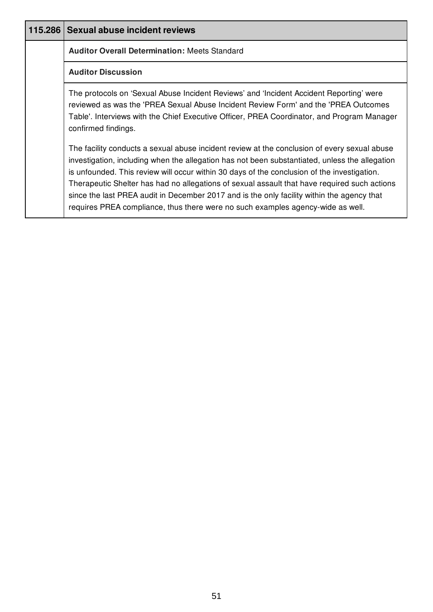| 115.286 Sexual abuse incident reviews                                                                                                                                                                                                                                                                                                                                                                                                                                                                                                                                          |
|--------------------------------------------------------------------------------------------------------------------------------------------------------------------------------------------------------------------------------------------------------------------------------------------------------------------------------------------------------------------------------------------------------------------------------------------------------------------------------------------------------------------------------------------------------------------------------|
| <b>Auditor Overall Determination: Meets Standard</b>                                                                                                                                                                                                                                                                                                                                                                                                                                                                                                                           |
| <b>Auditor Discussion</b>                                                                                                                                                                                                                                                                                                                                                                                                                                                                                                                                                      |
| The protocols on 'Sexual Abuse Incident Reviews' and 'Incident Accident Reporting' were<br>reviewed as was the 'PREA Sexual Abuse Incident Review Form' and the 'PREA Outcomes<br>Table'. Interviews with the Chief Executive Officer, PREA Coordinator, and Program Manager<br>confirmed findings.                                                                                                                                                                                                                                                                            |
| The facility conducts a sexual abuse incident review at the conclusion of every sexual abuse<br>investigation, including when the allegation has not been substantiated, unless the allegation<br>is unfounded. This review will occur within 30 days of the conclusion of the investigation.<br>Therapeutic Shelter has had no allegations of sexual assault that have required such actions<br>since the last PREA audit in December 2017 and is the only facility within the agency that<br>requires PREA compliance, thus there were no such examples agency-wide as well. |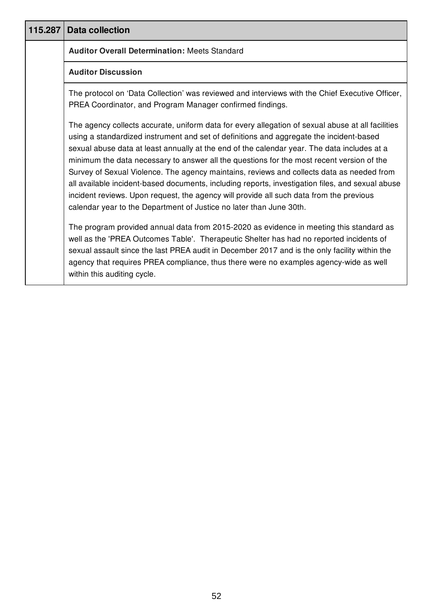| 115.287 | <b>Data collection</b>                                                                                                                                                                                                                                                                                                                                                                                                                                                                                                                                                                                                                                                                                                                                      |
|---------|-------------------------------------------------------------------------------------------------------------------------------------------------------------------------------------------------------------------------------------------------------------------------------------------------------------------------------------------------------------------------------------------------------------------------------------------------------------------------------------------------------------------------------------------------------------------------------------------------------------------------------------------------------------------------------------------------------------------------------------------------------------|
|         | <b>Auditor Overall Determination: Meets Standard</b>                                                                                                                                                                                                                                                                                                                                                                                                                                                                                                                                                                                                                                                                                                        |
|         | <b>Auditor Discussion</b>                                                                                                                                                                                                                                                                                                                                                                                                                                                                                                                                                                                                                                                                                                                                   |
|         | The protocol on 'Data Collection' was reviewed and interviews with the Chief Executive Officer,<br>PREA Coordinator, and Program Manager confirmed findings.                                                                                                                                                                                                                                                                                                                                                                                                                                                                                                                                                                                                |
|         | The agency collects accurate, uniform data for every allegation of sexual abuse at all facilities<br>using a standardized instrument and set of definitions and aggregate the incident-based<br>sexual abuse data at least annually at the end of the calendar year. The data includes at a<br>minimum the data necessary to answer all the questions for the most recent version of the<br>Survey of Sexual Violence. The agency maintains, reviews and collects data as needed from<br>all available incident-based documents, including reports, investigation files, and sexual abuse<br>incident reviews. Upon request, the agency will provide all such data from the previous<br>calendar year to the Department of Justice no later than June 30th. |
|         | The program provided annual data from 2015-2020 as evidence in meeting this standard as<br>well as the 'PREA Outcomes Table'. Therapeutic Shelter has had no reported incidents of<br>sexual assault since the last PREA audit in December 2017 and is the only facility within the<br>agency that requires PREA compliance, thus there were no examples agency-wide as well<br>within this auditing cycle.                                                                                                                                                                                                                                                                                                                                                 |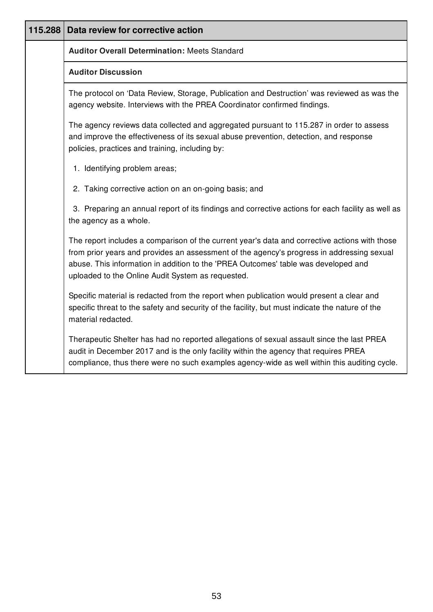| 115.288 | Data review for corrective action                                                                                                                                                                                                                                                                                                     |  |  |  |
|---------|---------------------------------------------------------------------------------------------------------------------------------------------------------------------------------------------------------------------------------------------------------------------------------------------------------------------------------------|--|--|--|
|         | <b>Auditor Overall Determination: Meets Standard</b>                                                                                                                                                                                                                                                                                  |  |  |  |
|         | <b>Auditor Discussion</b>                                                                                                                                                                                                                                                                                                             |  |  |  |
|         | The protocol on 'Data Review, Storage, Publication and Destruction' was reviewed as was the<br>agency website. Interviews with the PREA Coordinator confirmed findings.                                                                                                                                                               |  |  |  |
|         | The agency reviews data collected and aggregated pursuant to 115.287 in order to assess<br>and improve the effectiveness of its sexual abuse prevention, detection, and response<br>policies, practices and training, including by:                                                                                                   |  |  |  |
|         | 1. Identifying problem areas;                                                                                                                                                                                                                                                                                                         |  |  |  |
|         | 2. Taking corrective action on an on-going basis; and                                                                                                                                                                                                                                                                                 |  |  |  |
|         | 3. Preparing an annual report of its findings and corrective actions for each facility as well as<br>the agency as a whole.                                                                                                                                                                                                           |  |  |  |
|         | The report includes a comparison of the current year's data and corrective actions with those<br>from prior years and provides an assessment of the agency's progress in addressing sexual<br>abuse. This information in addition to the 'PREA Outcomes' table was developed and<br>uploaded to the Online Audit System as requested. |  |  |  |
|         | Specific material is redacted from the report when publication would present a clear and<br>specific threat to the safety and security of the facility, but must indicate the nature of the<br>material redacted.                                                                                                                     |  |  |  |
|         | Therapeutic Shelter has had no reported allegations of sexual assault since the last PREA<br>audit in December 2017 and is the only facility within the agency that requires PREA<br>compliance, thus there were no such examples agency-wide as well within this auditing cycle.                                                     |  |  |  |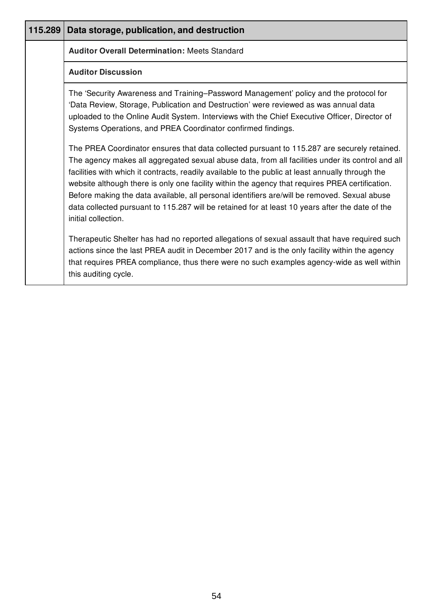| 115.289 | Data storage, publication, and destruction                                                                                                                                                                                                                                                                                                                                                                                                                                                                                                                                                                                        |
|---------|-----------------------------------------------------------------------------------------------------------------------------------------------------------------------------------------------------------------------------------------------------------------------------------------------------------------------------------------------------------------------------------------------------------------------------------------------------------------------------------------------------------------------------------------------------------------------------------------------------------------------------------|
|         | <b>Auditor Overall Determination: Meets Standard</b>                                                                                                                                                                                                                                                                                                                                                                                                                                                                                                                                                                              |
|         | <b>Auditor Discussion</b>                                                                                                                                                                                                                                                                                                                                                                                                                                                                                                                                                                                                         |
|         | The 'Security Awareness and Training–Password Management' policy and the protocol for<br>'Data Review, Storage, Publication and Destruction' were reviewed as was annual data<br>uploaded to the Online Audit System. Interviews with the Chief Executive Officer, Director of<br>Systems Operations, and PREA Coordinator confirmed findings.                                                                                                                                                                                                                                                                                    |
|         | The PREA Coordinator ensures that data collected pursuant to 115.287 are securely retained.<br>The agency makes all aggregated sexual abuse data, from all facilities under its control and all<br>facilities with which it contracts, readily available to the public at least annually through the<br>website although there is only one facility within the agency that requires PREA certification.<br>Before making the data available, all personal identifiers are/will be removed. Sexual abuse<br>data collected pursuant to 115.287 will be retained for at least 10 years after the date of the<br>initial collection. |
|         | Therapeutic Shelter has had no reported allegations of sexual assault that have required such<br>actions since the last PREA audit in December 2017 and is the only facility within the agency<br>that requires PREA compliance, thus there were no such examples agency-wide as well within<br>this auditing cycle.                                                                                                                                                                                                                                                                                                              |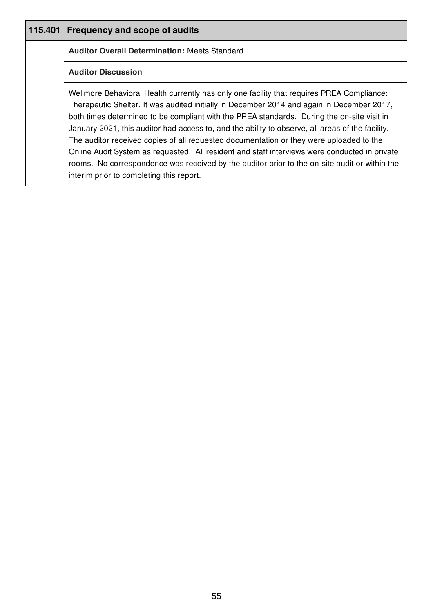| 115.401                   | <b>Frequency and scope of audits</b>                                                                                                                                                                                                                                                                                                                                                                                                                                                                                                                                                                                                                                                                                               |
|---------------------------|------------------------------------------------------------------------------------------------------------------------------------------------------------------------------------------------------------------------------------------------------------------------------------------------------------------------------------------------------------------------------------------------------------------------------------------------------------------------------------------------------------------------------------------------------------------------------------------------------------------------------------------------------------------------------------------------------------------------------------|
|                           | <b>Auditor Overall Determination: Meets Standard</b>                                                                                                                                                                                                                                                                                                                                                                                                                                                                                                                                                                                                                                                                               |
| <b>Auditor Discussion</b> |                                                                                                                                                                                                                                                                                                                                                                                                                                                                                                                                                                                                                                                                                                                                    |
|                           | Wellmore Behavioral Health currently has only one facility that requires PREA Compliance:<br>Therapeutic Shelter. It was audited initially in December 2014 and again in December 2017,<br>both times determined to be compliant with the PREA standards. During the on-site visit in<br>January 2021, this auditor had access to, and the ability to observe, all areas of the facility.<br>The auditor received copies of all requested documentation or they were uploaded to the<br>Online Audit System as requested. All resident and staff interviews were conducted in private<br>rooms. No correspondence was received by the auditor prior to the on-site audit or within the<br>interim prior to completing this report. |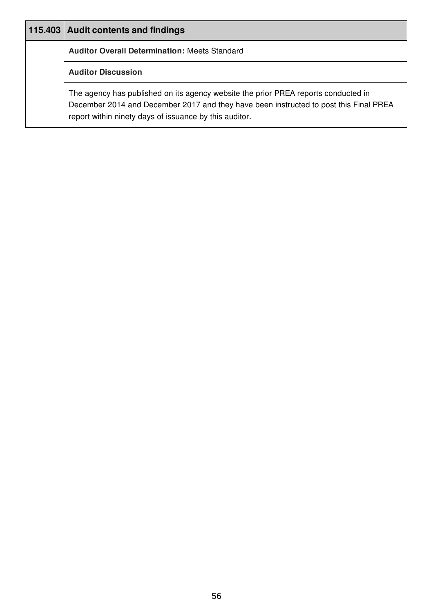| 115.403   Audit contents and findings                                                                                                                                                                                                 |
|---------------------------------------------------------------------------------------------------------------------------------------------------------------------------------------------------------------------------------------|
| <b>Auditor Overall Determination: Meets Standard</b>                                                                                                                                                                                  |
| <b>Auditor Discussion</b>                                                                                                                                                                                                             |
| The agency has published on its agency website the prior PREA reports conducted in<br>December 2014 and December 2017 and they have been instructed to post this Final PREA<br>report within ninety days of issuance by this auditor. |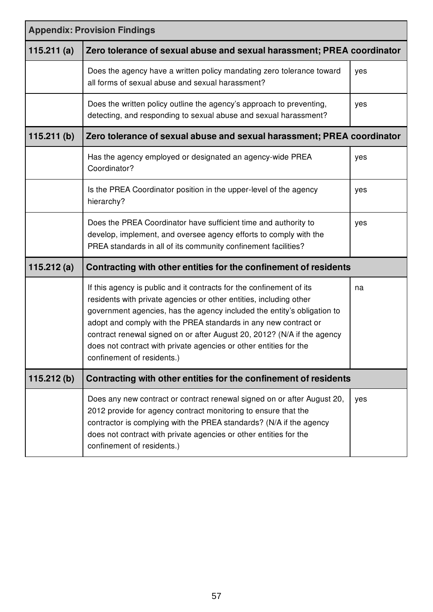| <b>Appendix: Provision Findings</b> |                                                                                                                                                                                                                                                                                                                                                                                                                                                                        |     |
|-------------------------------------|------------------------------------------------------------------------------------------------------------------------------------------------------------------------------------------------------------------------------------------------------------------------------------------------------------------------------------------------------------------------------------------------------------------------------------------------------------------------|-----|
| 115.211(a)                          | Zero tolerance of sexual abuse and sexual harassment; PREA coordinator                                                                                                                                                                                                                                                                                                                                                                                                 |     |
|                                     | Does the agency have a written policy mandating zero tolerance toward<br>all forms of sexual abuse and sexual harassment?                                                                                                                                                                                                                                                                                                                                              | yes |
|                                     | Does the written policy outline the agency's approach to preventing,<br>detecting, and responding to sexual abuse and sexual harassment?                                                                                                                                                                                                                                                                                                                               | yes |
| 115.211(b)                          | Zero tolerance of sexual abuse and sexual harassment; PREA coordinator                                                                                                                                                                                                                                                                                                                                                                                                 |     |
|                                     | Has the agency employed or designated an agency-wide PREA<br>Coordinator?                                                                                                                                                                                                                                                                                                                                                                                              | yes |
|                                     | Is the PREA Coordinator position in the upper-level of the agency<br>hierarchy?                                                                                                                                                                                                                                                                                                                                                                                        | yes |
|                                     | Does the PREA Coordinator have sufficient time and authority to<br>develop, implement, and oversee agency efforts to comply with the<br>PREA standards in all of its community confinement facilities?                                                                                                                                                                                                                                                                 | yes |
| 115.212(a)                          | Contracting with other entities for the confinement of residents                                                                                                                                                                                                                                                                                                                                                                                                       |     |
|                                     | If this agency is public and it contracts for the confinement of its<br>residents with private agencies or other entities, including other<br>government agencies, has the agency included the entity's obligation to<br>adopt and comply with the PREA standards in any new contract or<br>contract renewal signed on or after August 20, 2012? (N/A if the agency<br>does not contract with private agencies or other entities for the<br>confinement of residents.) | na  |
| 115.212(b)                          | Contracting with other entities for the confinement of residents                                                                                                                                                                                                                                                                                                                                                                                                       |     |
|                                     | Does any new contract or contract renewal signed on or after August 20,<br>2012 provide for agency contract monitoring to ensure that the<br>contractor is complying with the PREA standards? (N/A if the agency<br>does not contract with private agencies or other entities for the<br>confinement of residents.)                                                                                                                                                    | yes |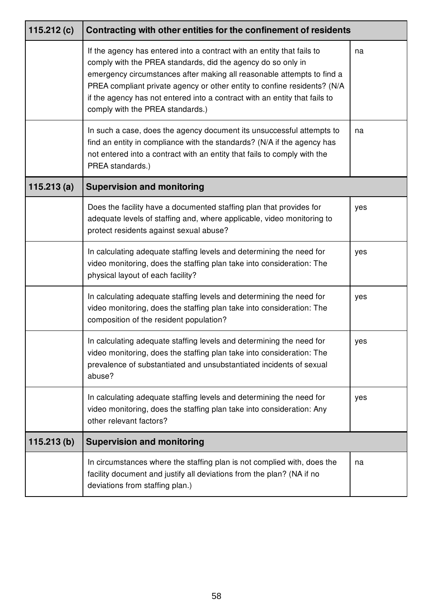| 115.212 $(c)$ | Contracting with other entities for the confinement of residents                                                                                                                                                                                                                                                                                                                                               |     |  |
|---------------|----------------------------------------------------------------------------------------------------------------------------------------------------------------------------------------------------------------------------------------------------------------------------------------------------------------------------------------------------------------------------------------------------------------|-----|--|
|               | If the agency has entered into a contract with an entity that fails to<br>comply with the PREA standards, did the agency do so only in<br>emergency circumstances after making all reasonable attempts to find a<br>PREA compliant private agency or other entity to confine residents? (N/A<br>if the agency has not entered into a contract with an entity that fails to<br>comply with the PREA standards.) | na  |  |
|               | In such a case, does the agency document its unsuccessful attempts to<br>find an entity in compliance with the standards? (N/A if the agency has<br>not entered into a contract with an entity that fails to comply with the<br>PREA standards.)                                                                                                                                                               | na  |  |
| 115.213(a)    | <b>Supervision and monitoring</b>                                                                                                                                                                                                                                                                                                                                                                              |     |  |
|               | Does the facility have a documented staffing plan that provides for<br>adequate levels of staffing and, where applicable, video monitoring to<br>protect residents against sexual abuse?                                                                                                                                                                                                                       | yes |  |
|               | In calculating adequate staffing levels and determining the need for<br>video monitoring, does the staffing plan take into consideration: The<br>physical layout of each facility?                                                                                                                                                                                                                             | yes |  |
|               | In calculating adequate staffing levels and determining the need for<br>video monitoring, does the staffing plan take into consideration: The<br>composition of the resident population?                                                                                                                                                                                                                       | yes |  |
|               | In calculating adequate staffing levels and determining the need for<br>video monitoring, does the staffing plan take into consideration: The<br>prevalence of substantiated and unsubstantiated incidents of sexual<br>abuse?                                                                                                                                                                                 | yes |  |
|               | In calculating adequate staffing levels and determining the need for<br>video monitoring, does the staffing plan take into consideration: Any<br>other relevant factors?                                                                                                                                                                                                                                       | yes |  |
| 115.213(b)    | <b>Supervision and monitoring</b>                                                                                                                                                                                                                                                                                                                                                                              |     |  |
|               | In circumstances where the staffing plan is not complied with, does the<br>facility document and justify all deviations from the plan? (NA if no<br>deviations from staffing plan.)                                                                                                                                                                                                                            | na  |  |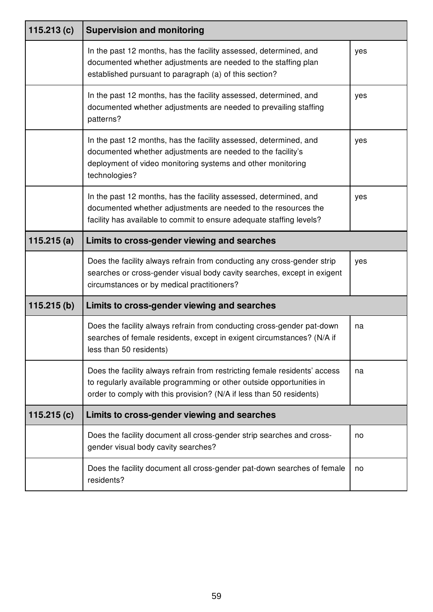| 115.213 $(c)$ | <b>Supervision and monitoring</b>                                                                                                                                                                                          |     |  |
|---------------|----------------------------------------------------------------------------------------------------------------------------------------------------------------------------------------------------------------------------|-----|--|
|               | In the past 12 months, has the facility assessed, determined, and<br>documented whether adjustments are needed to the staffing plan<br>established pursuant to paragraph (a) of this section?                              | yes |  |
|               | In the past 12 months, has the facility assessed, determined, and<br>documented whether adjustments are needed to prevailing staffing<br>patterns?                                                                         | yes |  |
|               | In the past 12 months, has the facility assessed, determined, and<br>documented whether adjustments are needed to the facility's<br>deployment of video monitoring systems and other monitoring<br>technologies?           | yes |  |
|               | In the past 12 months, has the facility assessed, determined, and<br>documented whether adjustments are needed to the resources the<br>facility has available to commit to ensure adequate staffing levels?                | yes |  |
| 115.215(a)    | Limits to cross-gender viewing and searches                                                                                                                                                                                |     |  |
|               | Does the facility always refrain from conducting any cross-gender strip<br>searches or cross-gender visual body cavity searches, except in exigent<br>circumstances or by medical practitioners?                           | yes |  |
| 115.215(b)    | Limits to cross-gender viewing and searches                                                                                                                                                                                |     |  |
|               | Does the facility always refrain from conducting cross-gender pat-down<br>searches of female residents, except in exigent circumstances? (N/A if<br>less than 50 residents)                                                | na  |  |
|               | Does the facility always refrain from restricting female residents' access<br>to regularly available programming or other outside opportunities in<br>order to comply with this provision? (N/A if less than 50 residents) | na  |  |
| 115.215 $(c)$ | Limits to cross-gender viewing and searches                                                                                                                                                                                |     |  |
|               | Does the facility document all cross-gender strip searches and cross-<br>gender visual body cavity searches?                                                                                                               | no  |  |
|               | Does the facility document all cross-gender pat-down searches of female<br>residents?                                                                                                                                      | no  |  |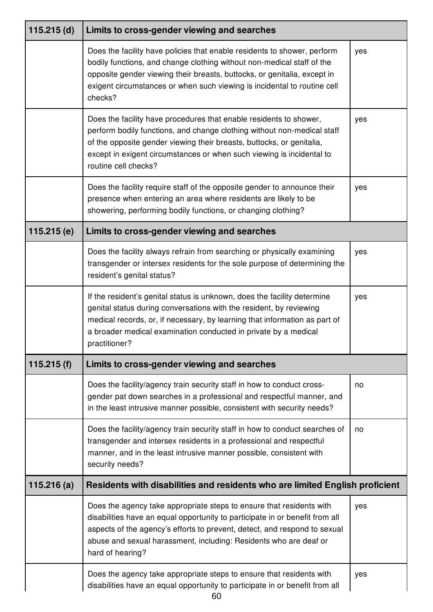| $115.215$ (d) | Limits to cross-gender viewing and searches                                                                                                                                                                                                                                                                                |     |
|---------------|----------------------------------------------------------------------------------------------------------------------------------------------------------------------------------------------------------------------------------------------------------------------------------------------------------------------------|-----|
|               | Does the facility have policies that enable residents to shower, perform<br>bodily functions, and change clothing without non-medical staff of the<br>opposite gender viewing their breasts, buttocks, or genitalia, except in<br>exigent circumstances or when such viewing is incidental to routine cell<br>checks?      | yes |
|               | Does the facility have procedures that enable residents to shower,<br>perform bodily functions, and change clothing without non-medical staff<br>of the opposite gender viewing their breasts, buttocks, or genitalia,<br>except in exigent circumstances or when such viewing is incidental to<br>routine cell checks?    | yes |
|               | Does the facility require staff of the opposite gender to announce their<br>presence when entering an area where residents are likely to be<br>showering, performing bodily functions, or changing clothing?                                                                                                               | yes |
| 115.215(e)    | Limits to cross-gender viewing and searches                                                                                                                                                                                                                                                                                |     |
|               | Does the facility always refrain from searching or physically examining<br>transgender or intersex residents for the sole purpose of determining the<br>resident's genital status?                                                                                                                                         | yes |
|               | If the resident's genital status is unknown, does the facility determine<br>genital status during conversations with the resident, by reviewing<br>medical records, or, if necessary, by learning that information as part of<br>a broader medical examination conducted in private by a medical<br>practitioner?          | yes |
| 115.215(f)    | Limits to cross-gender viewing and searches                                                                                                                                                                                                                                                                                |     |
|               | Does the facility/agency train security staff in how to conduct cross-<br>gender pat down searches in a professional and respectful manner, and<br>in the least intrusive manner possible, consistent with security needs?                                                                                                 | no  |
|               | Does the facility/agency train security staff in how to conduct searches of<br>transgender and intersex residents in a professional and respectful<br>manner, and in the least intrusive manner possible, consistent with<br>security needs?                                                                               | no  |
| 115.216(a)    | Residents with disabilities and residents who are limited English proficient                                                                                                                                                                                                                                               |     |
|               | Does the agency take appropriate steps to ensure that residents with<br>disabilities have an equal opportunity to participate in or benefit from all<br>aspects of the agency's efforts to prevent, detect, and respond to sexual<br>abuse and sexual harassment, including: Residents who are deaf or<br>hard of hearing? | yes |
|               | Does the agency take appropriate steps to ensure that residents with<br>disabilities have an equal opportunity to participate in or benefit from all                                                                                                                                                                       | yes |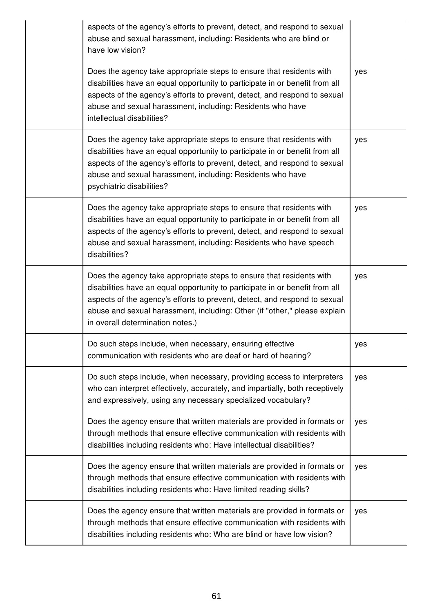| aspects of the agency's efforts to prevent, detect, and respond to sexual<br>abuse and sexual harassment, including: Residents who are blind or<br>have low vision?                                                                                                                                                                                |     |
|----------------------------------------------------------------------------------------------------------------------------------------------------------------------------------------------------------------------------------------------------------------------------------------------------------------------------------------------------|-----|
| Does the agency take appropriate steps to ensure that residents with<br>disabilities have an equal opportunity to participate in or benefit from all<br>aspects of the agency's efforts to prevent, detect, and respond to sexual<br>abuse and sexual harassment, including: Residents who have<br>intellectual disabilities?                      | yes |
| Does the agency take appropriate steps to ensure that residents with<br>disabilities have an equal opportunity to participate in or benefit from all<br>aspects of the agency's efforts to prevent, detect, and respond to sexual<br>abuse and sexual harassment, including: Residents who have<br>psychiatric disabilities?                       | yes |
| Does the agency take appropriate steps to ensure that residents with<br>disabilities have an equal opportunity to participate in or benefit from all<br>aspects of the agency's efforts to prevent, detect, and respond to sexual<br>abuse and sexual harassment, including: Residents who have speech<br>disabilities?                            | yes |
| Does the agency take appropriate steps to ensure that residents with<br>disabilities have an equal opportunity to participate in or benefit from all<br>aspects of the agency's efforts to prevent, detect, and respond to sexual<br>abuse and sexual harassment, including: Other (if "other," please explain<br>in overall determination notes.) | yes |
| Do such steps include, when necessary, ensuring effective<br>communication with residents who are deaf or hard of hearing?                                                                                                                                                                                                                         | yes |
| Do such steps include, when necessary, providing access to interpreters<br>who can interpret effectively, accurately, and impartially, both receptively<br>and expressively, using any necessary specialized vocabulary?                                                                                                                           | yes |
| Does the agency ensure that written materials are provided in formats or<br>through methods that ensure effective communication with residents with<br>disabilities including residents who: Have intellectual disabilities?                                                                                                                       | yes |
| Does the agency ensure that written materials are provided in formats or<br>through methods that ensure effective communication with residents with<br>disabilities including residents who: Have limited reading skills?                                                                                                                          | yes |
| Does the agency ensure that written materials are provided in formats or<br>through methods that ensure effective communication with residents with<br>disabilities including residents who: Who are blind or have low vision?                                                                                                                     | yes |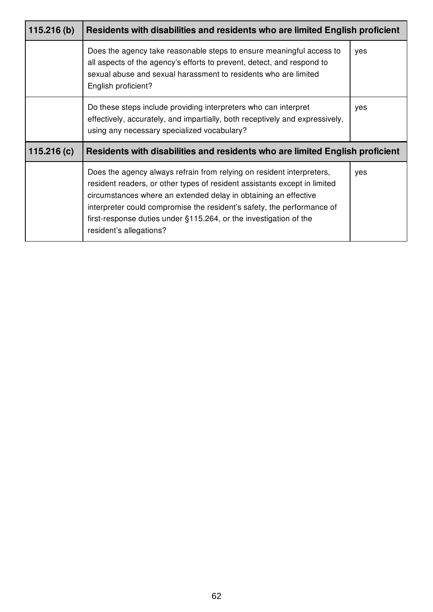| 115.216(b) | Residents with disabilities and residents who are limited English proficient                                                                                                                                                                                                                                                                                                                        |     |
|------------|-----------------------------------------------------------------------------------------------------------------------------------------------------------------------------------------------------------------------------------------------------------------------------------------------------------------------------------------------------------------------------------------------------|-----|
|            | Does the agency take reasonable steps to ensure meaningful access to<br>all aspects of the agency's efforts to prevent, detect, and respond to<br>sexual abuse and sexual harassment to residents who are limited<br>English proficient?                                                                                                                                                            | yes |
|            | Do these steps include providing interpreters who can interpret<br>effectively, accurately, and impartially, both receptively and expressively,<br>using any necessary specialized vocabulary?                                                                                                                                                                                                      | yes |
| 115.216(c) | Residents with disabilities and residents who are limited English proficient                                                                                                                                                                                                                                                                                                                        |     |
|            | Does the agency always refrain from relying on resident interpreters,<br>resident readers, or other types of resident assistants except in limited<br>circumstances where an extended delay in obtaining an effective<br>interpreter could compromise the resident's safety, the performance of<br>first-response duties under $\S115.264$ , or the investigation of the<br>resident's allegations? | yes |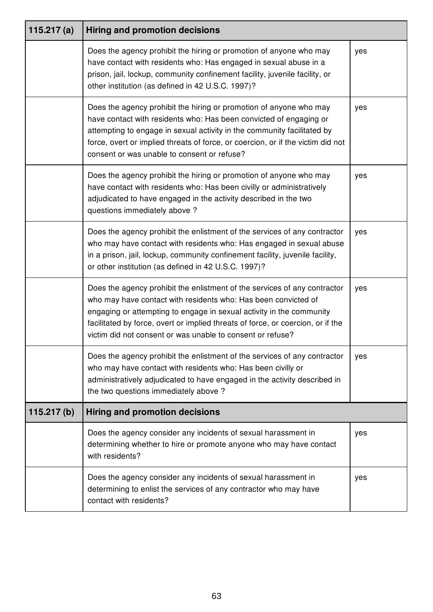| 115.217 $(a)$ | <b>Hiring and promotion decisions</b>                                                                                                                                                                                                                                                                                                                                |     |
|---------------|----------------------------------------------------------------------------------------------------------------------------------------------------------------------------------------------------------------------------------------------------------------------------------------------------------------------------------------------------------------------|-----|
|               | Does the agency prohibit the hiring or promotion of anyone who may<br>have contact with residents who: Has engaged in sexual abuse in a<br>prison, jail, lockup, community confinement facility, juvenile facility, or<br>other institution (as defined in 42 U.S.C. 1997)?                                                                                          | yes |
|               | Does the agency prohibit the hiring or promotion of anyone who may<br>have contact with residents who: Has been convicted of engaging or<br>attempting to engage in sexual activity in the community facilitated by<br>force, overt or implied threats of force, or coercion, or if the victim did not<br>consent or was unable to consent or refuse?                | yes |
|               | Does the agency prohibit the hiring or promotion of anyone who may<br>have contact with residents who: Has been civilly or administratively<br>adjudicated to have engaged in the activity described in the two<br>questions immediately above?                                                                                                                      | yes |
|               | Does the agency prohibit the enlistment of the services of any contractor<br>who may have contact with residents who: Has engaged in sexual abuse<br>in a prison, jail, lockup, community confinement facility, juvenile facility,<br>or other institution (as defined in 42 U.S.C. 1997)?                                                                           | yes |
|               | Does the agency prohibit the enlistment of the services of any contractor<br>who may have contact with residents who: Has been convicted of<br>engaging or attempting to engage in sexual activity in the community<br>facilitated by force, overt or implied threats of force, or coercion, or if the<br>victim did not consent or was unable to consent or refuse? | yes |
|               | Does the agency prohibit the enlistment of the services of any contractor<br>who may have contact with residents who: Has been civilly or<br>administratively adjudicated to have engaged in the activity described in<br>the two questions immediately above?                                                                                                       | yes |
| 115.217(b)    | <b>Hiring and promotion decisions</b>                                                                                                                                                                                                                                                                                                                                |     |
|               | Does the agency consider any incidents of sexual harassment in<br>determining whether to hire or promote anyone who may have contact<br>with residents?                                                                                                                                                                                                              | yes |
|               | Does the agency consider any incidents of sexual harassment in<br>determining to enlist the services of any contractor who may have<br>contact with residents?                                                                                                                                                                                                       | yes |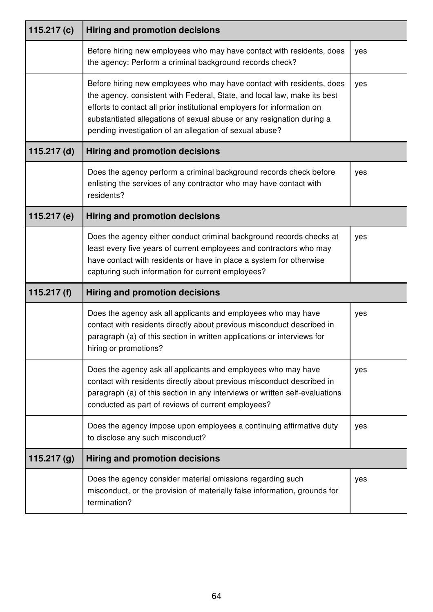| 115.217 $(c)$ | <b>Hiring and promotion decisions</b>                                                                                                                                                                                                                                                                                                                            |     |
|---------------|------------------------------------------------------------------------------------------------------------------------------------------------------------------------------------------------------------------------------------------------------------------------------------------------------------------------------------------------------------------|-----|
|               | Before hiring new employees who may have contact with residents, does<br>the agency: Perform a criminal background records check?                                                                                                                                                                                                                                | yes |
|               | Before hiring new employees who may have contact with residents, does<br>the agency, consistent with Federal, State, and local law, make its best<br>efforts to contact all prior institutional employers for information on<br>substantiated allegations of sexual abuse or any resignation during a<br>pending investigation of an allegation of sexual abuse? | yes |
| $115.217$ (d) | <b>Hiring and promotion decisions</b>                                                                                                                                                                                                                                                                                                                            |     |
|               | Does the agency perform a criminal background records check before<br>enlisting the services of any contractor who may have contact with<br>residents?                                                                                                                                                                                                           | yes |
| 115.217 (e)   | <b>Hiring and promotion decisions</b>                                                                                                                                                                                                                                                                                                                            |     |
|               | Does the agency either conduct criminal background records checks at<br>least every five years of current employees and contractors who may<br>have contact with residents or have in place a system for otherwise<br>capturing such information for current employees?                                                                                          | yes |
| 115.217 $(f)$ | <b>Hiring and promotion decisions</b>                                                                                                                                                                                                                                                                                                                            |     |
|               | Does the agency ask all applicants and employees who may have<br>contact with residents directly about previous misconduct described in<br>paragraph (a) of this section in written applications or interviews for<br>hiring or promotions?                                                                                                                      | yes |
|               | Does the agency ask all applicants and employees who may have<br>contact with residents directly about previous misconduct described in<br>paragraph (a) of this section in any interviews or written self-evaluations<br>conducted as part of reviews of current employees?                                                                                     | yes |
|               | Does the agency impose upon employees a continuing affirmative duty<br>to disclose any such misconduct?                                                                                                                                                                                                                                                          | yes |
| 115.217 $(g)$ | <b>Hiring and promotion decisions</b>                                                                                                                                                                                                                                                                                                                            |     |
|               | Does the agency consider material omissions regarding such<br>misconduct, or the provision of materially false information, grounds for<br>termination?                                                                                                                                                                                                          | yes |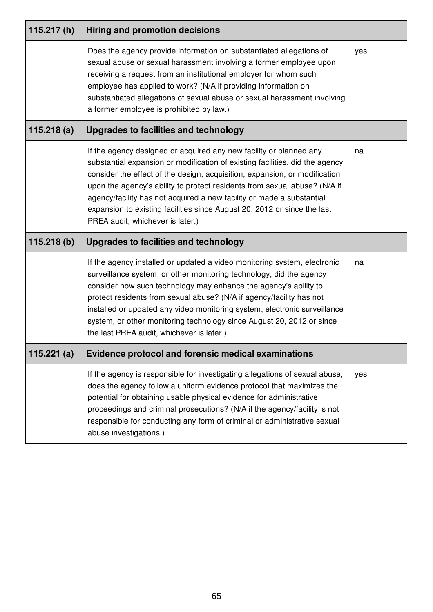| 115.217(h) | <b>Hiring and promotion decisions</b>                                                                                                                                                                                                                                                                                                                                                                                                                                                                  |     |
|------------|--------------------------------------------------------------------------------------------------------------------------------------------------------------------------------------------------------------------------------------------------------------------------------------------------------------------------------------------------------------------------------------------------------------------------------------------------------------------------------------------------------|-----|
|            | Does the agency provide information on substantiated allegations of<br>sexual abuse or sexual harassment involving a former employee upon<br>receiving a request from an institutional employer for whom such<br>employee has applied to work? (N/A if providing information on<br>substantiated allegations of sexual abuse or sexual harassment involving<br>a former employee is prohibited by law.)                                                                                                | yes |
| 115.218(a) | <b>Upgrades to facilities and technology</b>                                                                                                                                                                                                                                                                                                                                                                                                                                                           |     |
|            | If the agency designed or acquired any new facility or planned any<br>substantial expansion or modification of existing facilities, did the agency<br>consider the effect of the design, acquisition, expansion, or modification<br>upon the agency's ability to protect residents from sexual abuse? (N/A if<br>agency/facility has not acquired a new facility or made a substantial<br>expansion to existing facilities since August 20, 2012 or since the last<br>PREA audit, whichever is later.) | na  |
|            |                                                                                                                                                                                                                                                                                                                                                                                                                                                                                                        |     |
| 115.218(b) | <b>Upgrades to facilities and technology</b>                                                                                                                                                                                                                                                                                                                                                                                                                                                           |     |
|            | If the agency installed or updated a video monitoring system, electronic<br>surveillance system, or other monitoring technology, did the agency<br>consider how such technology may enhance the agency's ability to<br>protect residents from sexual abuse? (N/A if agency/facility has not<br>installed or updated any video monitoring system, electronic surveillance<br>system, or other monitoring technology since August 20, 2012 or since<br>the last PREA audit, whichever is later.)         | na  |
| 115.221(a) | <b>Evidence protocol and forensic medical examinations</b>                                                                                                                                                                                                                                                                                                                                                                                                                                             |     |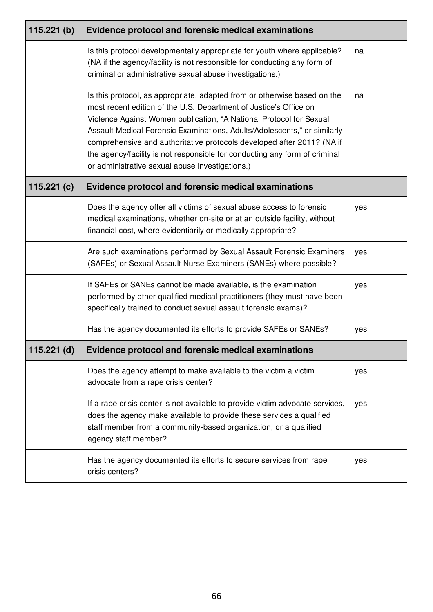| 115.221(b)    | <b>Evidence protocol and forensic medical examinations</b>                                                                                                                                                                                                                                                                                                                                                                                                                                                  |     |
|---------------|-------------------------------------------------------------------------------------------------------------------------------------------------------------------------------------------------------------------------------------------------------------------------------------------------------------------------------------------------------------------------------------------------------------------------------------------------------------------------------------------------------------|-----|
|               | Is this protocol developmentally appropriate for youth where applicable?<br>(NA if the agency/facility is not responsible for conducting any form of<br>criminal or administrative sexual abuse investigations.)                                                                                                                                                                                                                                                                                            | na  |
|               | Is this protocol, as appropriate, adapted from or otherwise based on the<br>most recent edition of the U.S. Department of Justice's Office on<br>Violence Against Women publication, "A National Protocol for Sexual<br>Assault Medical Forensic Examinations, Adults/Adolescents," or similarly<br>comprehensive and authoritative protocols developed after 2011? (NA if<br>the agency/facility is not responsible for conducting any form of criminal<br>or administrative sexual abuse investigations.) | na  |
| 115.221 $(c)$ | <b>Evidence protocol and forensic medical examinations</b>                                                                                                                                                                                                                                                                                                                                                                                                                                                  |     |
|               | Does the agency offer all victims of sexual abuse access to forensic<br>medical examinations, whether on-site or at an outside facility, without<br>financial cost, where evidentiarily or medically appropriate?                                                                                                                                                                                                                                                                                           | yes |
|               | Are such examinations performed by Sexual Assault Forensic Examiners<br>(SAFEs) or Sexual Assault Nurse Examiners (SANEs) where possible?                                                                                                                                                                                                                                                                                                                                                                   | yes |
|               | If SAFEs or SANEs cannot be made available, is the examination<br>performed by other qualified medical practitioners (they must have been<br>specifically trained to conduct sexual assault forensic exams)?                                                                                                                                                                                                                                                                                                | yes |
|               | Has the agency documented its efforts to provide SAFEs or SANEs?                                                                                                                                                                                                                                                                                                                                                                                                                                            | yes |
| $115.221$ (d) | <b>Evidence protocol and forensic medical examinations</b>                                                                                                                                                                                                                                                                                                                                                                                                                                                  |     |
|               | Does the agency attempt to make available to the victim a victim<br>advocate from a rape crisis center?                                                                                                                                                                                                                                                                                                                                                                                                     | yes |
|               | If a rape crisis center is not available to provide victim advocate services,<br>does the agency make available to provide these services a qualified<br>staff member from a community-based organization, or a qualified<br>agency staff member?                                                                                                                                                                                                                                                           | yes |
|               | Has the agency documented its efforts to secure services from rape<br>crisis centers?                                                                                                                                                                                                                                                                                                                                                                                                                       | yes |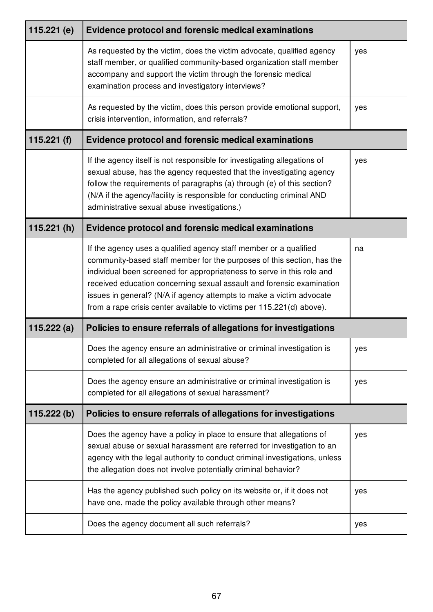| 115.221 $(e)$ | <b>Evidence protocol and forensic medical examinations</b>                                                                                                                                                                                                                                                                                                                                                                                      |     |
|---------------|-------------------------------------------------------------------------------------------------------------------------------------------------------------------------------------------------------------------------------------------------------------------------------------------------------------------------------------------------------------------------------------------------------------------------------------------------|-----|
|               | As requested by the victim, does the victim advocate, qualified agency<br>staff member, or qualified community-based organization staff member<br>accompany and support the victim through the forensic medical<br>examination process and investigatory interviews?                                                                                                                                                                            | yes |
|               | As requested by the victim, does this person provide emotional support,<br>crisis intervention, information, and referrals?                                                                                                                                                                                                                                                                                                                     | yes |
| 115.221 $(f)$ | <b>Evidence protocol and forensic medical examinations</b>                                                                                                                                                                                                                                                                                                                                                                                      |     |
|               | If the agency itself is not responsible for investigating allegations of<br>sexual abuse, has the agency requested that the investigating agency<br>follow the requirements of paragraphs (a) through (e) of this section?<br>(N/A if the agency/facility is responsible for conducting criminal AND<br>administrative sexual abuse investigations.)                                                                                            | yes |
| 115.221(h)    | <b>Evidence protocol and forensic medical examinations</b>                                                                                                                                                                                                                                                                                                                                                                                      |     |
|               | If the agency uses a qualified agency staff member or a qualified<br>community-based staff member for the purposes of this section, has the<br>individual been screened for appropriateness to serve in this role and<br>received education concerning sexual assault and forensic examination<br>issues in general? (N/A if agency attempts to make a victim advocate<br>from a rape crisis center available to victims per 115.221(d) above). | na  |
| 115.222(a)    | Policies to ensure referrals of allegations for investigations                                                                                                                                                                                                                                                                                                                                                                                  |     |
|               | Does the agency ensure an administrative or criminal investigation is<br>completed for all allegations of sexual abuse?                                                                                                                                                                                                                                                                                                                         | yes |
|               | Does the agency ensure an administrative or criminal investigation is<br>completed for all allegations of sexual harassment?                                                                                                                                                                                                                                                                                                                    | yes |
| 115.222(b)    | Policies to ensure referrals of allegations for investigations                                                                                                                                                                                                                                                                                                                                                                                  |     |
|               | Does the agency have a policy in place to ensure that allegations of<br>sexual abuse or sexual harassment are referred for investigation to an<br>agency with the legal authority to conduct criminal investigations, unless<br>the allegation does not involve potentially criminal behavior?                                                                                                                                                  | yes |
|               | Has the agency published such policy on its website or, if it does not<br>have one, made the policy available through other means?                                                                                                                                                                                                                                                                                                              | yes |
|               | Does the agency document all such referrals?                                                                                                                                                                                                                                                                                                                                                                                                    | yes |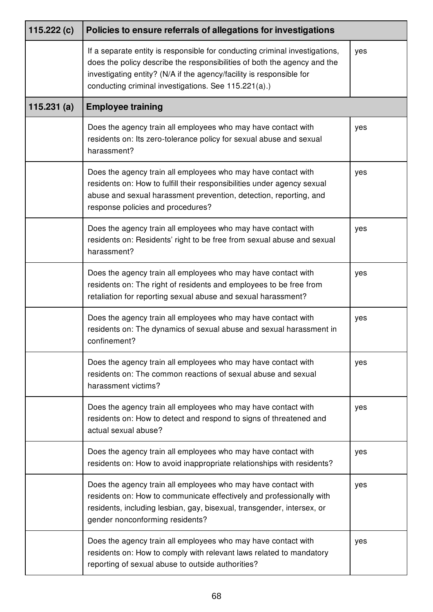| 115.222 $(c)$ | Policies to ensure referrals of allegations for investigations                                                                                                                                                                                                                          |     |
|---------------|-----------------------------------------------------------------------------------------------------------------------------------------------------------------------------------------------------------------------------------------------------------------------------------------|-----|
|               | If a separate entity is responsible for conducting criminal investigations,<br>does the policy describe the responsibilities of both the agency and the<br>investigating entity? (N/A if the agency/facility is responsible for<br>conducting criminal investigations. See 115.221(a).) | yes |
| 115.231(a)    | <b>Employee training</b>                                                                                                                                                                                                                                                                |     |
|               | Does the agency train all employees who may have contact with<br>residents on: Its zero-tolerance policy for sexual abuse and sexual<br>harassment?                                                                                                                                     | yes |
|               | Does the agency train all employees who may have contact with<br>residents on: How to fulfill their responsibilities under agency sexual<br>abuse and sexual harassment prevention, detection, reporting, and<br>response policies and procedures?                                      | yes |
|               | Does the agency train all employees who may have contact with<br>residents on: Residents' right to be free from sexual abuse and sexual<br>harassment?                                                                                                                                  | yes |
|               | Does the agency train all employees who may have contact with<br>residents on: The right of residents and employees to be free from<br>retaliation for reporting sexual abuse and sexual harassment?                                                                                    | yes |
|               | Does the agency train all employees who may have contact with<br>residents on: The dynamics of sexual abuse and sexual harassment in<br>confinement?                                                                                                                                    | yes |
|               | Does the agency train all employees who may have contact with<br>residents on: The common reactions of sexual abuse and sexual<br>harassment victims?                                                                                                                                   | yes |
|               | Does the agency train all employees who may have contact with<br>residents on: How to detect and respond to signs of threatened and<br>actual sexual abuse?                                                                                                                             | yes |
|               | Does the agency train all employees who may have contact with<br>residents on: How to avoid inappropriate relationships with residents?                                                                                                                                                 | yes |
|               | Does the agency train all employees who may have contact with<br>residents on: How to communicate effectively and professionally with<br>residents, including lesbian, gay, bisexual, transgender, intersex, or<br>gender nonconforming residents?                                      | yes |
|               | Does the agency train all employees who may have contact with<br>residents on: How to comply with relevant laws related to mandatory<br>reporting of sexual abuse to outside authorities?                                                                                               | yes |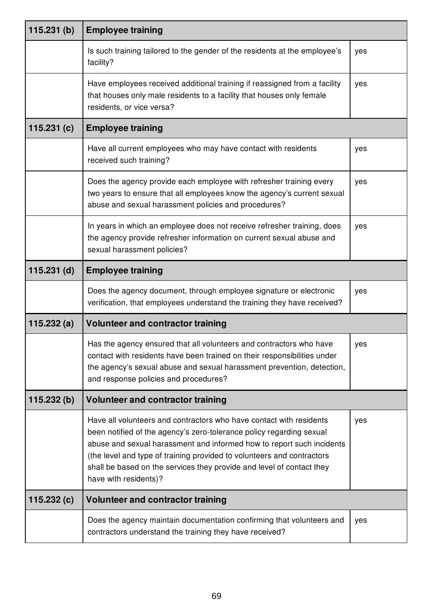| 115.231(b)    | <b>Employee training</b>                                                                                                                                                                                                                                                                                                                                                                         |     |
|---------------|--------------------------------------------------------------------------------------------------------------------------------------------------------------------------------------------------------------------------------------------------------------------------------------------------------------------------------------------------------------------------------------------------|-----|
|               | Is such training tailored to the gender of the residents at the employee's<br>facility?                                                                                                                                                                                                                                                                                                          | yes |
|               | Have employees received additional training if reassigned from a facility<br>that houses only male residents to a facility that houses only female<br>residents, or vice versa?                                                                                                                                                                                                                  | yes |
| 115.231(c)    | <b>Employee training</b>                                                                                                                                                                                                                                                                                                                                                                         |     |
|               | Have all current employees who may have contact with residents<br>received such training?                                                                                                                                                                                                                                                                                                        | yes |
|               | Does the agency provide each employee with refresher training every<br>two years to ensure that all employees know the agency's current sexual<br>abuse and sexual harassment policies and procedures?                                                                                                                                                                                           | yes |
|               | In years in which an employee does not receive refresher training, does<br>the agency provide refresher information on current sexual abuse and<br>sexual harassment policies?                                                                                                                                                                                                                   | yes |
| $115.231$ (d) | <b>Employee training</b>                                                                                                                                                                                                                                                                                                                                                                         |     |
|               | Does the agency document, through employee signature or electronic<br>verification, that employees understand the training they have received?                                                                                                                                                                                                                                                   | yes |
| 115.232(a)    | <b>Volunteer and contractor training</b>                                                                                                                                                                                                                                                                                                                                                         |     |
|               | Has the agency ensured that all volunteers and contractors who have<br>contact with residents have been trained on their responsibilities under<br>the agency's sexual abuse and sexual harassment prevention, detection,<br>and response policies and procedures?                                                                                                                               | yes |
| 115.232(b)    | Volunteer and contractor training                                                                                                                                                                                                                                                                                                                                                                |     |
|               | Have all volunteers and contractors who have contact with residents<br>been notified of the agency's zero-tolerance policy regarding sexual<br>abuse and sexual harassment and informed how to report such incidents<br>(the level and type of training provided to volunteers and contractors<br>shall be based on the services they provide and level of contact they<br>have with residents)? | yes |
| 115.232(c)    | Volunteer and contractor training                                                                                                                                                                                                                                                                                                                                                                |     |
|               | Does the agency maintain documentation confirming that volunteers and<br>contractors understand the training they have received?                                                                                                                                                                                                                                                                 | yes |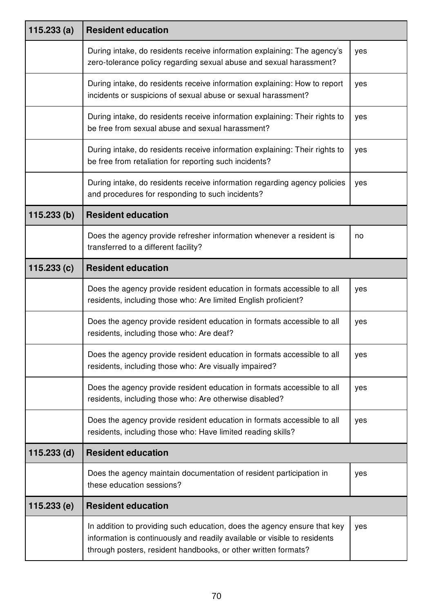| 115.233(a)    | <b>Resident education</b>                                                                                                                                                                                               |     |
|---------------|-------------------------------------------------------------------------------------------------------------------------------------------------------------------------------------------------------------------------|-----|
|               | During intake, do residents receive information explaining: The agency's<br>zero-tolerance policy regarding sexual abuse and sexual harassment?                                                                         | yes |
|               | During intake, do residents receive information explaining: How to report<br>incidents or suspicions of sexual abuse or sexual harassment?                                                                              | yes |
|               | During intake, do residents receive information explaining: Their rights to<br>be free from sexual abuse and sexual harassment?                                                                                         | yes |
|               | During intake, do residents receive information explaining: Their rights to<br>be free from retaliation for reporting such incidents?                                                                                   | yes |
|               | During intake, do residents receive information regarding agency policies<br>and procedures for responding to such incidents?                                                                                           | yes |
| 115.233(b)    | <b>Resident education</b>                                                                                                                                                                                               |     |
|               | Does the agency provide refresher information whenever a resident is<br>transferred to a different facility?                                                                                                            | no  |
| 115.233(c)    | <b>Resident education</b>                                                                                                                                                                                               |     |
|               | Does the agency provide resident education in formats accessible to all<br>residents, including those who: Are limited English proficient?                                                                              | yes |
|               | Does the agency provide resident education in formats accessible to all<br>residents, including those who: Are deaf?                                                                                                    | yes |
|               | Does the agency provide resident education in formats accessible to all<br>residents, including those who: Are visually impaired?                                                                                       | yes |
|               | Does the agency provide resident education in formats accessible to all<br>residents, including those who: Are otherwise disabled?                                                                                      | yes |
|               | Does the agency provide resident education in formats accessible to all<br>residents, including those who: Have limited reading skills?                                                                                 | yes |
| $115.233$ (d) | <b>Resident education</b>                                                                                                                                                                                               |     |
|               | Does the agency maintain documentation of resident participation in<br>these education sessions?                                                                                                                        | yes |
| 115.233(e)    | <b>Resident education</b>                                                                                                                                                                                               |     |
|               | In addition to providing such education, does the agency ensure that key<br>information is continuously and readily available or visible to residents<br>through posters, resident handbooks, or other written formats? | yes |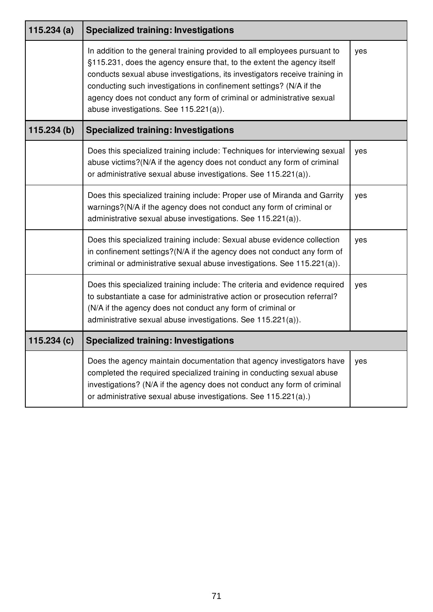| 115.234 $(a)$ | <b>Specialized training: Investigations</b>                                                                                                                                                                                                                                                                                                                                                                                  |     |
|---------------|------------------------------------------------------------------------------------------------------------------------------------------------------------------------------------------------------------------------------------------------------------------------------------------------------------------------------------------------------------------------------------------------------------------------------|-----|
|               | In addition to the general training provided to all employees pursuant to<br>§115.231, does the agency ensure that, to the extent the agency itself<br>conducts sexual abuse investigations, its investigators receive training in<br>conducting such investigations in confinement settings? (N/A if the<br>agency does not conduct any form of criminal or administrative sexual<br>abuse investigations. See 115.221(a)). | yes |
| 115.234(b)    | <b>Specialized training: Investigations</b>                                                                                                                                                                                                                                                                                                                                                                                  |     |
|               | Does this specialized training include: Techniques for interviewing sexual<br>abuse victims?(N/A if the agency does not conduct any form of criminal<br>or administrative sexual abuse investigations. See 115.221(a)).                                                                                                                                                                                                      | yes |
|               | Does this specialized training include: Proper use of Miranda and Garrity<br>warnings?(N/A if the agency does not conduct any form of criminal or<br>administrative sexual abuse investigations. See 115.221(a)).                                                                                                                                                                                                            | yes |
|               | Does this specialized training include: Sexual abuse evidence collection<br>in confinement settings?(N/A if the agency does not conduct any form of<br>criminal or administrative sexual abuse investigations. See 115.221(a)).                                                                                                                                                                                              | yes |
|               | Does this specialized training include: The criteria and evidence required<br>to substantiate a case for administrative action or prosecution referral?<br>(N/A if the agency does not conduct any form of criminal or<br>administrative sexual abuse investigations. See 115.221(a)).                                                                                                                                       | yes |
| 115.234(c)    | <b>Specialized training: Investigations</b>                                                                                                                                                                                                                                                                                                                                                                                  |     |
|               | Does the agency maintain documentation that agency investigators have<br>completed the required specialized training in conducting sexual abuse<br>investigations? (N/A if the agency does not conduct any form of criminal<br>or administrative sexual abuse investigations. See 115.221(a).)                                                                                                                               | yes |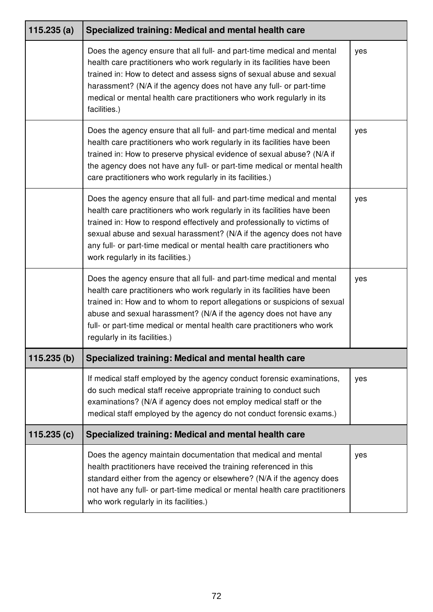| 115.235(a) | Specialized training: Medical and mental health care                                                                                                                                                                                                                                                                                                                                                                  |     |
|------------|-----------------------------------------------------------------------------------------------------------------------------------------------------------------------------------------------------------------------------------------------------------------------------------------------------------------------------------------------------------------------------------------------------------------------|-----|
|            | Does the agency ensure that all full- and part-time medical and mental<br>health care practitioners who work regularly in its facilities have been<br>trained in: How to detect and assess signs of sexual abuse and sexual<br>harassment? (N/A if the agency does not have any full- or part-time<br>medical or mental health care practitioners who work regularly in its<br>facilities.)                           | yes |
|            | Does the agency ensure that all full- and part-time medical and mental<br>health care practitioners who work regularly in its facilities have been<br>trained in: How to preserve physical evidence of sexual abuse? (N/A if<br>the agency does not have any full- or part-time medical or mental health<br>care practitioners who work regularly in its facilities.)                                                 | yes |
|            | Does the agency ensure that all full- and part-time medical and mental<br>health care practitioners who work regularly in its facilities have been<br>trained in: How to respond effectively and professionally to victims of<br>sexual abuse and sexual harassment? (N/A if the agency does not have<br>any full- or part-time medical or mental health care practitioners who<br>work regularly in its facilities.) | yes |
|            | Does the agency ensure that all full- and part-time medical and mental<br>health care practitioners who work regularly in its facilities have been<br>trained in: How and to whom to report allegations or suspicions of sexual<br>abuse and sexual harassment? (N/A if the agency does not have any<br>full- or part-time medical or mental health care practitioners who work<br>regularly in its facilities.)      | yes |
| 115.235(b) | Specialized training: Medical and mental health care                                                                                                                                                                                                                                                                                                                                                                  |     |
|            | If medical staff employed by the agency conduct forensic examinations,<br>do such medical staff receive appropriate training to conduct such<br>examinations? (N/A if agency does not employ medical staff or the<br>medical staff employed by the agency do not conduct forensic exams.)                                                                                                                             | yes |
| 115.235(c) | Specialized training: Medical and mental health care                                                                                                                                                                                                                                                                                                                                                                  |     |
|            | Does the agency maintain documentation that medical and mental<br>health practitioners have received the training referenced in this<br>standard either from the agency or elsewhere? (N/A if the agency does<br>not have any full- or part-time medical or mental health care practitioners<br>who work regularly in its facilities.)                                                                                | yes |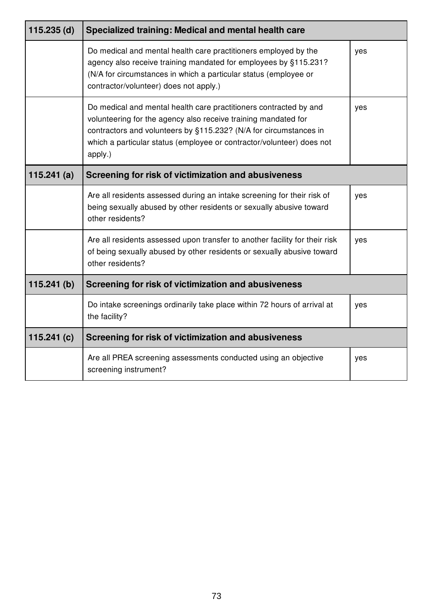| $115.235$ (d) | Specialized training: Medical and mental health care                                                                                                                                                                                                                                         |     |
|---------------|----------------------------------------------------------------------------------------------------------------------------------------------------------------------------------------------------------------------------------------------------------------------------------------------|-----|
|               | Do medical and mental health care practitioners employed by the<br>agency also receive training mandated for employees by §115.231?<br>(N/A for circumstances in which a particular status (employee or<br>contractor/volunteer) does not apply.)                                            | yes |
|               | Do medical and mental health care practitioners contracted by and<br>volunteering for the agency also receive training mandated for<br>contractors and volunteers by §115.232? (N/A for circumstances in<br>which a particular status (employee or contractor/volunteer) does not<br>apply.) | yes |
| 115.241(a)    | Screening for risk of victimization and abusiveness                                                                                                                                                                                                                                          |     |
|               | Are all residents assessed during an intake screening for their risk of<br>being sexually abused by other residents or sexually abusive toward<br>other residents?                                                                                                                           | yes |
|               | Are all residents assessed upon transfer to another facility for their risk<br>of being sexually abused by other residents or sexually abusive toward<br>other residents?                                                                                                                    | yes |
| 115.241(b)    | Screening for risk of victimization and abusiveness                                                                                                                                                                                                                                          |     |
|               | Do intake screenings ordinarily take place within 72 hours of arrival at<br>the facility?                                                                                                                                                                                                    | yes |
| 115.241 $(c)$ | Screening for risk of victimization and abusiveness                                                                                                                                                                                                                                          |     |
|               | Are all PREA screening assessments conducted using an objective<br>screening instrument?                                                                                                                                                                                                     | yes |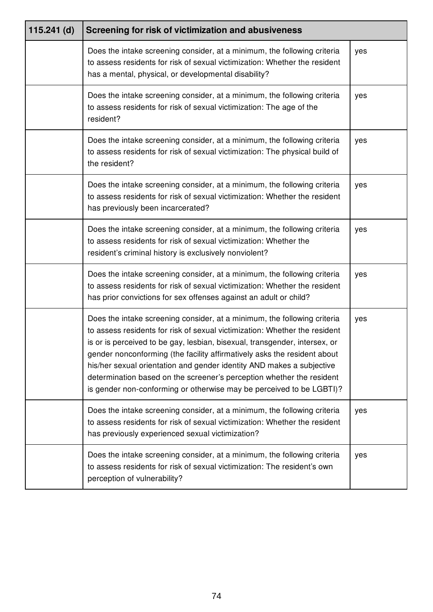| $115.241$ (d) | Screening for risk of victimization and abusiveness                                                                                                                                                                                                                                                                                                                                                                                                                                                                                        |     |
|---------------|--------------------------------------------------------------------------------------------------------------------------------------------------------------------------------------------------------------------------------------------------------------------------------------------------------------------------------------------------------------------------------------------------------------------------------------------------------------------------------------------------------------------------------------------|-----|
|               | Does the intake screening consider, at a minimum, the following criteria<br>to assess residents for risk of sexual victimization: Whether the resident<br>has a mental, physical, or developmental disability?                                                                                                                                                                                                                                                                                                                             | yes |
|               | Does the intake screening consider, at a minimum, the following criteria<br>to assess residents for risk of sexual victimization: The age of the<br>resident?                                                                                                                                                                                                                                                                                                                                                                              | yes |
|               | Does the intake screening consider, at a minimum, the following criteria<br>to assess residents for risk of sexual victimization: The physical build of<br>the resident?                                                                                                                                                                                                                                                                                                                                                                   | yes |
|               | Does the intake screening consider, at a minimum, the following criteria<br>to assess residents for risk of sexual victimization: Whether the resident<br>has previously been incarcerated?                                                                                                                                                                                                                                                                                                                                                | yes |
|               | Does the intake screening consider, at a minimum, the following criteria<br>to assess residents for risk of sexual victimization: Whether the<br>resident's criminal history is exclusively nonviolent?                                                                                                                                                                                                                                                                                                                                    | yes |
|               | Does the intake screening consider, at a minimum, the following criteria<br>to assess residents for risk of sexual victimization: Whether the resident<br>has prior convictions for sex offenses against an adult or child?                                                                                                                                                                                                                                                                                                                | yes |
|               | Does the intake screening consider, at a minimum, the following criteria<br>to assess residents for risk of sexual victimization: Whether the resident<br>is or is perceived to be gay, lesbian, bisexual, transgender, intersex, or<br>gender nonconforming (the facility affirmatively asks the resident about<br>his/her sexual orientation and gender identity AND makes a subjective<br>determination based on the screener's perception whether the resident<br>is gender non-conforming or otherwise may be perceived to be LGBTI)? | yes |
|               | Does the intake screening consider, at a minimum, the following criteria<br>to assess residents for risk of sexual victimization: Whether the resident<br>has previously experienced sexual victimization?                                                                                                                                                                                                                                                                                                                                 | yes |
|               | Does the intake screening consider, at a minimum, the following criteria<br>to assess residents for risk of sexual victimization: The resident's own<br>perception of vulnerability?                                                                                                                                                                                                                                                                                                                                                       | yes |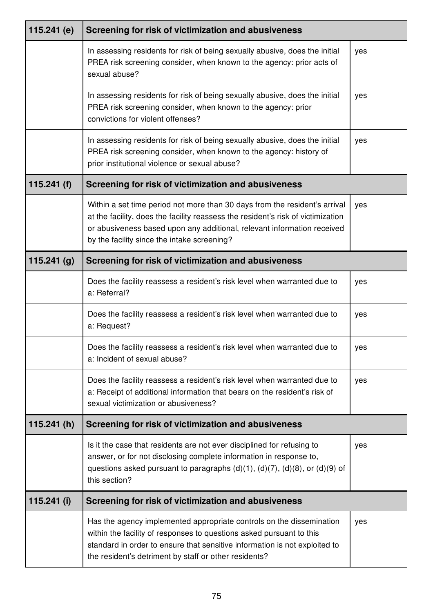| 115.241 $(e)$ | Screening for risk of victimization and abusiveness                                                                                                                                                                                                                                      |     |
|---------------|------------------------------------------------------------------------------------------------------------------------------------------------------------------------------------------------------------------------------------------------------------------------------------------|-----|
|               | In assessing residents for risk of being sexually abusive, does the initial<br>PREA risk screening consider, when known to the agency: prior acts of<br>sexual abuse?                                                                                                                    | yes |
|               | In assessing residents for risk of being sexually abusive, does the initial<br>PREA risk screening consider, when known to the agency: prior<br>convictions for violent offenses?                                                                                                        | yes |
|               | In assessing residents for risk of being sexually abusive, does the initial<br>PREA risk screening consider, when known to the agency: history of<br>prior institutional violence or sexual abuse?                                                                                       | yes |
| 115.241 $(f)$ | Screening for risk of victimization and abusiveness                                                                                                                                                                                                                                      |     |
|               | Within a set time period not more than 30 days from the resident's arrival<br>at the facility, does the facility reassess the resident's risk of victimization<br>or abusiveness based upon any additional, relevant information received<br>by the facility since the intake screening? | yes |
| 115.241(g)    | Screening for risk of victimization and abusiveness                                                                                                                                                                                                                                      |     |
|               | Does the facility reassess a resident's risk level when warranted due to<br>a: Referral?                                                                                                                                                                                                 | yes |
|               | Does the facility reassess a resident's risk level when warranted due to<br>a: Request?                                                                                                                                                                                                  | yes |
|               | Does the facility reassess a resident's risk level when warranted due to<br>a: Incident of sexual abuse?                                                                                                                                                                                 | yes |
|               | Does the facility reassess a resident's risk level when warranted due to<br>a: Receipt of additional information that bears on the resident's risk of<br>sexual victimization or abusiveness?                                                                                            | yes |
| 115.241(h)    | Screening for risk of victimization and abusiveness                                                                                                                                                                                                                                      |     |
|               | Is it the case that residents are not ever disciplined for refusing to<br>answer, or for not disclosing complete information in response to,<br>questions asked pursuant to paragraphs $(d)(1)$ , $(d)(7)$ , $(d)(8)$ , or $(d)(9)$ of<br>this section?                                  | yes |
| $115.241$ (i) | Screening for risk of victimization and abusiveness                                                                                                                                                                                                                                      |     |
|               | Has the agency implemented appropriate controls on the dissemination<br>within the facility of responses to questions asked pursuant to this<br>standard in order to ensure that sensitive information is not exploited to<br>the resident's detriment by staff or other residents?      | yes |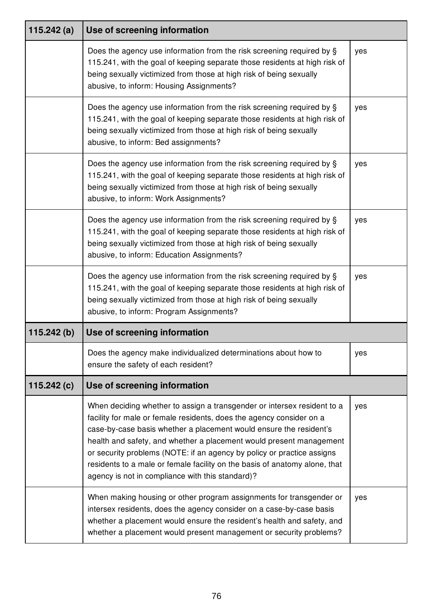| 115.242 $(a)$ | Use of screening information                                                                                                                                                                                                                                                                                                                                                                                                                                                                             |     |
|---------------|----------------------------------------------------------------------------------------------------------------------------------------------------------------------------------------------------------------------------------------------------------------------------------------------------------------------------------------------------------------------------------------------------------------------------------------------------------------------------------------------------------|-----|
|               | Does the agency use information from the risk screening required by §<br>115.241, with the goal of keeping separate those residents at high risk of<br>being sexually victimized from those at high risk of being sexually<br>abusive, to inform: Housing Assignments?                                                                                                                                                                                                                                   | yes |
|               | Does the agency use information from the risk screening required by §<br>115.241, with the goal of keeping separate those residents at high risk of<br>being sexually victimized from those at high risk of being sexually<br>abusive, to inform: Bed assignments?                                                                                                                                                                                                                                       | yes |
|               | Does the agency use information from the risk screening required by §<br>115.241, with the goal of keeping separate those residents at high risk of<br>being sexually victimized from those at high risk of being sexually<br>abusive, to inform: Work Assignments?                                                                                                                                                                                                                                      | yes |
|               | Does the agency use information from the risk screening required by §<br>115.241, with the goal of keeping separate those residents at high risk of<br>being sexually victimized from those at high risk of being sexually<br>abusive, to inform: Education Assignments?                                                                                                                                                                                                                                 | yes |
|               | Does the agency use information from the risk screening required by §<br>115.241, with the goal of keeping separate those residents at high risk of<br>being sexually victimized from those at high risk of being sexually<br>abusive, to inform: Program Assignments?                                                                                                                                                                                                                                   | yes |
| 115.242(b)    | Use of screening information                                                                                                                                                                                                                                                                                                                                                                                                                                                                             |     |
|               | Does the agency make individualized determinations about how to<br>ensure the safety of each resident?                                                                                                                                                                                                                                                                                                                                                                                                   | yes |
| 115.242 $(c)$ | Use of screening information                                                                                                                                                                                                                                                                                                                                                                                                                                                                             |     |
|               | When deciding whether to assign a transgender or intersex resident to a<br>facility for male or female residents, does the agency consider on a<br>case-by-case basis whether a placement would ensure the resident's<br>health and safety, and whether a placement would present management<br>or security problems (NOTE: if an agency by policy or practice assigns<br>residents to a male or female facility on the basis of anatomy alone, that<br>agency is not in compliance with this standard)? | yes |
|               | When making housing or other program assignments for transgender or<br>intersex residents, does the agency consider on a case-by-case basis<br>whether a placement would ensure the resident's health and safety, and<br>whether a placement would present management or security problems?                                                                                                                                                                                                              | yes |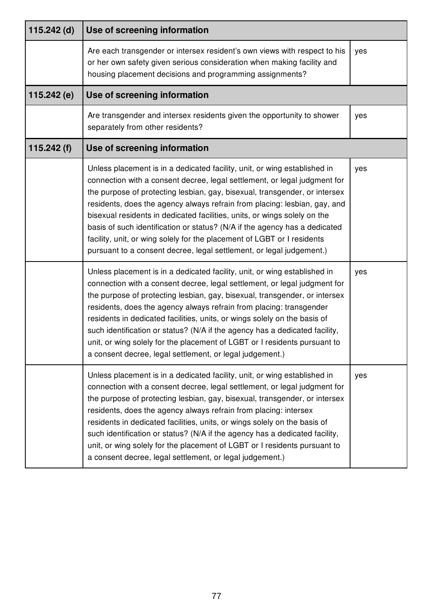| 115.242 (d)   | Use of screening information                                                                                                                                                                                                                                                                                                                                                                                                                                                                                                                                                                                                    |     |
|---------------|---------------------------------------------------------------------------------------------------------------------------------------------------------------------------------------------------------------------------------------------------------------------------------------------------------------------------------------------------------------------------------------------------------------------------------------------------------------------------------------------------------------------------------------------------------------------------------------------------------------------------------|-----|
|               | Are each transgender or intersex resident's own views with respect to his<br>or her own safety given serious consideration when making facility and<br>housing placement decisions and programming assignments?                                                                                                                                                                                                                                                                                                                                                                                                                 | yes |
| 115.242 $(e)$ | Use of screening information                                                                                                                                                                                                                                                                                                                                                                                                                                                                                                                                                                                                    |     |
|               | Are transgender and intersex residents given the opportunity to shower<br>separately from other residents?                                                                                                                                                                                                                                                                                                                                                                                                                                                                                                                      | yes |
| 115.242 $(f)$ | Use of screening information                                                                                                                                                                                                                                                                                                                                                                                                                                                                                                                                                                                                    |     |
|               | Unless placement is in a dedicated facility, unit, or wing established in<br>connection with a consent decree, legal settlement, or legal judgment for<br>the purpose of protecting lesbian, gay, bisexual, transgender, or intersex<br>residents, does the agency always refrain from placing: lesbian, gay, and<br>bisexual residents in dedicated facilities, units, or wings solely on the<br>basis of such identification or status? (N/A if the agency has a dedicated<br>facility, unit, or wing solely for the placement of LGBT or I residents<br>pursuant to a consent decree, legal settlement, or legal judgement.) | yes |
|               | Unless placement is in a dedicated facility, unit, or wing established in<br>connection with a consent decree, legal settlement, or legal judgment for<br>the purpose of protecting lesbian, gay, bisexual, transgender, or intersex<br>residents, does the agency always refrain from placing: transgender<br>residents in dedicated facilities, units, or wings solely on the basis of<br>such identification or status? (N/A if the agency has a dedicated facility,<br>unit, or wing solely for the placement of LGBT or I residents pursuant to<br>a consent decree, legal settlement, or legal judgement.)                | yes |
|               | Unless placement is in a dedicated facility, unit, or wing established in<br>connection with a consent decree, legal settlement, or legal judgment for<br>the purpose of protecting lesbian, gay, bisexual, transgender, or intersex<br>residents, does the agency always refrain from placing: intersex<br>residents in dedicated facilities, units, or wings solely on the basis of<br>such identification or status? (N/A if the agency has a dedicated facility,<br>unit, or wing solely for the placement of LGBT or I residents pursuant to<br>a consent decree, legal settlement, or legal judgement.)                   | yes |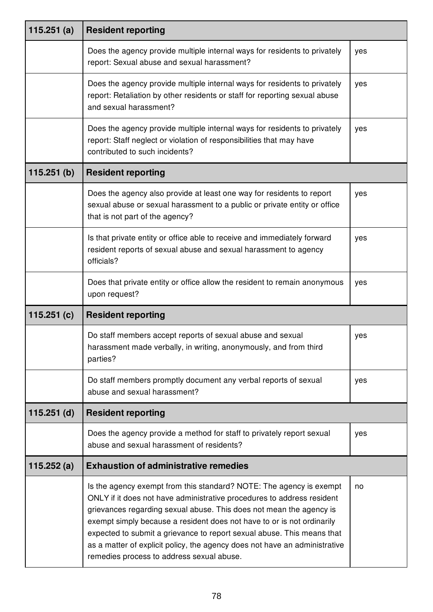| 115.251(a)    | <b>Resident reporting</b>                                                                                                                                                                                                                                                                                                                                                                                                                                                                           |     |
|---------------|-----------------------------------------------------------------------------------------------------------------------------------------------------------------------------------------------------------------------------------------------------------------------------------------------------------------------------------------------------------------------------------------------------------------------------------------------------------------------------------------------------|-----|
|               | Does the agency provide multiple internal ways for residents to privately<br>report: Sexual abuse and sexual harassment?                                                                                                                                                                                                                                                                                                                                                                            | yes |
|               | Does the agency provide multiple internal ways for residents to privately<br>report: Retaliation by other residents or staff for reporting sexual abuse<br>and sexual harassment?                                                                                                                                                                                                                                                                                                                   | yes |
|               | Does the agency provide multiple internal ways for residents to privately<br>report: Staff neglect or violation of responsibilities that may have<br>contributed to such incidents?                                                                                                                                                                                                                                                                                                                 | yes |
| 115.251(b)    | <b>Resident reporting</b>                                                                                                                                                                                                                                                                                                                                                                                                                                                                           |     |
|               | Does the agency also provide at least one way for residents to report<br>sexual abuse or sexual harassment to a public or private entity or office<br>that is not part of the agency?                                                                                                                                                                                                                                                                                                               | yes |
|               | Is that private entity or office able to receive and immediately forward<br>resident reports of sexual abuse and sexual harassment to agency<br>officials?                                                                                                                                                                                                                                                                                                                                          | yes |
|               | Does that private entity or office allow the resident to remain anonymous<br>upon request?                                                                                                                                                                                                                                                                                                                                                                                                          | yes |
| 115.251(c)    | <b>Resident reporting</b>                                                                                                                                                                                                                                                                                                                                                                                                                                                                           |     |
|               | Do staff members accept reports of sexual abuse and sexual<br>harassment made verbally, in writing, anonymously, and from third<br>parties?                                                                                                                                                                                                                                                                                                                                                         | yes |
|               | Do staff members promptly document any verbal reports of sexual<br>abuse and sexual harassment?                                                                                                                                                                                                                                                                                                                                                                                                     | yes |
| $115.251$ (d) | <b>Resident reporting</b>                                                                                                                                                                                                                                                                                                                                                                                                                                                                           |     |
|               | Does the agency provide a method for staff to privately report sexual<br>abuse and sexual harassment of residents?                                                                                                                                                                                                                                                                                                                                                                                  | yes |
| 115.252 $(a)$ | <b>Exhaustion of administrative remedies</b>                                                                                                                                                                                                                                                                                                                                                                                                                                                        |     |
|               | Is the agency exempt from this standard? NOTE: The agency is exempt<br>ONLY if it does not have administrative procedures to address resident<br>grievances regarding sexual abuse. This does not mean the agency is<br>exempt simply because a resident does not have to or is not ordinarily<br>expected to submit a grievance to report sexual abuse. This means that<br>as a matter of explicit policy, the agency does not have an administrative<br>remedies process to address sexual abuse. | no  |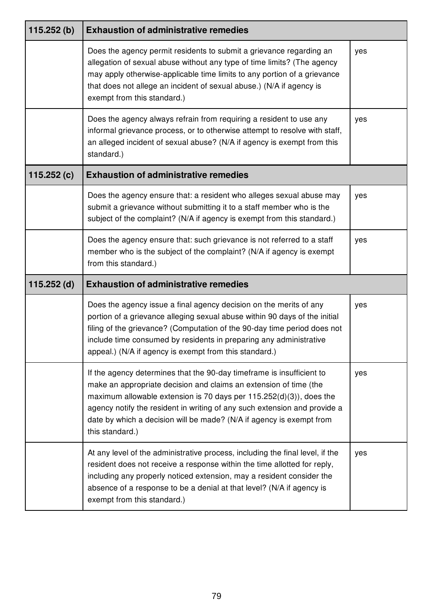| 115.252(b)    | <b>Exhaustion of administrative remedies</b>                                                                                                                                                                                                                                                                                                                                                |     |
|---------------|---------------------------------------------------------------------------------------------------------------------------------------------------------------------------------------------------------------------------------------------------------------------------------------------------------------------------------------------------------------------------------------------|-----|
|               | Does the agency permit residents to submit a grievance regarding an<br>allegation of sexual abuse without any type of time limits? (The agency<br>may apply otherwise-applicable time limits to any portion of a grievance<br>that does not allege an incident of sexual abuse.) (N/A if agency is<br>exempt from this standard.)                                                           | yes |
|               | Does the agency always refrain from requiring a resident to use any<br>informal grievance process, or to otherwise attempt to resolve with staff,<br>an alleged incident of sexual abuse? (N/A if agency is exempt from this<br>standard.)                                                                                                                                                  | yes |
| 115.252(c)    | <b>Exhaustion of administrative remedies</b>                                                                                                                                                                                                                                                                                                                                                |     |
|               | Does the agency ensure that: a resident who alleges sexual abuse may<br>submit a grievance without submitting it to a staff member who is the<br>subject of the complaint? (N/A if agency is exempt from this standard.)                                                                                                                                                                    | yes |
|               | Does the agency ensure that: such grievance is not referred to a staff<br>member who is the subject of the complaint? (N/A if agency is exempt<br>from this standard.)                                                                                                                                                                                                                      | yes |
| $115.252$ (d) | <b>Exhaustion of administrative remedies</b>                                                                                                                                                                                                                                                                                                                                                |     |
|               | Does the agency issue a final agency decision on the merits of any<br>portion of a grievance alleging sexual abuse within 90 days of the initial<br>filing of the grievance? (Computation of the 90-day time period does not<br>include time consumed by residents in preparing any administrative<br>appeal.) (N/A if agency is exempt from this standard.)                                | yes |
|               | If the agency determines that the 90-day timeframe is insufficient to<br>make an appropriate decision and claims an extension of time (the<br>maximum allowable extension is 70 days per $115.252(d)(3)$ , does the<br>agency notify the resident in writing of any such extension and provide a<br>date by which a decision will be made? (N/A if agency is exempt from<br>this standard.) | yes |
|               | At any level of the administrative process, including the final level, if the<br>resident does not receive a response within the time allotted for reply,<br>including any properly noticed extension, may a resident consider the<br>absence of a response to be a denial at that level? (N/A if agency is<br>exempt from this standard.)                                                  | yes |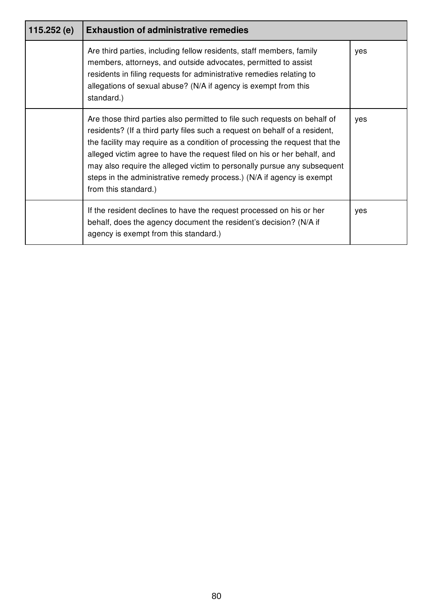| 115.252 (e) | <b>Exhaustion of administrative remedies</b>                                                                                                                                                                                                                                                                                                                                                                                                                                                  |     |
|-------------|-----------------------------------------------------------------------------------------------------------------------------------------------------------------------------------------------------------------------------------------------------------------------------------------------------------------------------------------------------------------------------------------------------------------------------------------------------------------------------------------------|-----|
|             | Are third parties, including fellow residents, staff members, family<br>members, attorneys, and outside advocates, permitted to assist<br>residents in filing requests for administrative remedies relating to<br>allegations of sexual abuse? (N/A if agency is exempt from this<br>standard.)                                                                                                                                                                                               | yes |
|             | Are those third parties also permitted to file such requests on behalf of<br>residents? (If a third party files such a request on behalf of a resident,<br>the facility may require as a condition of processing the request that the<br>alleged victim agree to have the request filed on his or her behalf, and<br>may also require the alleged victim to personally pursue any subsequent<br>steps in the administrative remedy process.) (N/A if agency is exempt<br>from this standard.) | yes |
|             | If the resident declines to have the request processed on his or her<br>behalf, does the agency document the resident's decision? (N/A if<br>agency is exempt from this standard.)                                                                                                                                                                                                                                                                                                            | yes |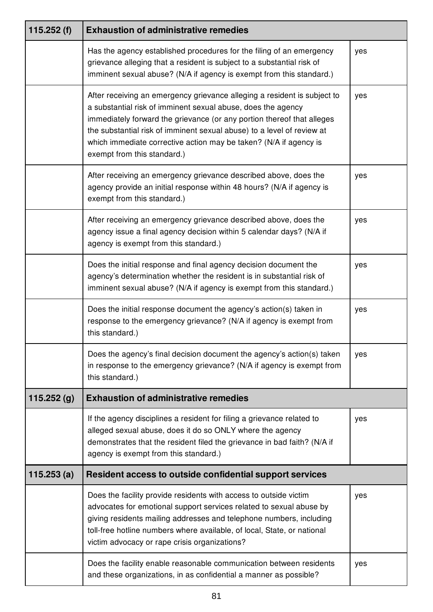| 115.252 $(f)$ | <b>Exhaustion of administrative remedies</b>                                                                                                                                                                                                                                                                                                                                                     |     |
|---------------|--------------------------------------------------------------------------------------------------------------------------------------------------------------------------------------------------------------------------------------------------------------------------------------------------------------------------------------------------------------------------------------------------|-----|
|               | Has the agency established procedures for the filing of an emergency<br>grievance alleging that a resident is subject to a substantial risk of<br>imminent sexual abuse? (N/A if agency is exempt from this standard.)                                                                                                                                                                           | yes |
|               | After receiving an emergency grievance alleging a resident is subject to<br>a substantial risk of imminent sexual abuse, does the agency<br>immediately forward the grievance (or any portion thereof that alleges<br>the substantial risk of imminent sexual abuse) to a level of review at<br>which immediate corrective action may be taken? (N/A if agency is<br>exempt from this standard.) | yes |
|               | After receiving an emergency grievance described above, does the<br>agency provide an initial response within 48 hours? (N/A if agency is<br>exempt from this standard.)                                                                                                                                                                                                                         | yes |
|               | After receiving an emergency grievance described above, does the<br>agency issue a final agency decision within 5 calendar days? (N/A if<br>agency is exempt from this standard.)                                                                                                                                                                                                                | yes |
|               | Does the initial response and final agency decision document the<br>agency's determination whether the resident is in substantial risk of<br>imminent sexual abuse? (N/A if agency is exempt from this standard.)                                                                                                                                                                                | yes |
|               | Does the initial response document the agency's action(s) taken in<br>response to the emergency grievance? (N/A if agency is exempt from<br>this standard.)                                                                                                                                                                                                                                      | yes |
|               | Does the agency's final decision document the agency's action(s) taken<br>in response to the emergency grievance? (N/A if agency is exempt from<br>this standard.)                                                                                                                                                                                                                               | yes |
| 115.252(g)    | <b>Exhaustion of administrative remedies</b>                                                                                                                                                                                                                                                                                                                                                     |     |
|               | If the agency disciplines a resident for filing a grievance related to<br>alleged sexual abuse, does it do so ONLY where the agency<br>demonstrates that the resident filed the grievance in bad faith? (N/A if<br>agency is exempt from this standard.)                                                                                                                                         | yes |
| 115.253(a)    | Resident access to outside confidential support services                                                                                                                                                                                                                                                                                                                                         |     |
|               | Does the facility provide residents with access to outside victim<br>advocates for emotional support services related to sexual abuse by<br>giving residents mailing addresses and telephone numbers, including<br>toll-free hotline numbers where available, of local, State, or national<br>victim advocacy or rape crisis organizations?                                                      | yes |
|               | Does the facility enable reasonable communication between residents<br>and these organizations, in as confidential a manner as possible?                                                                                                                                                                                                                                                         | yes |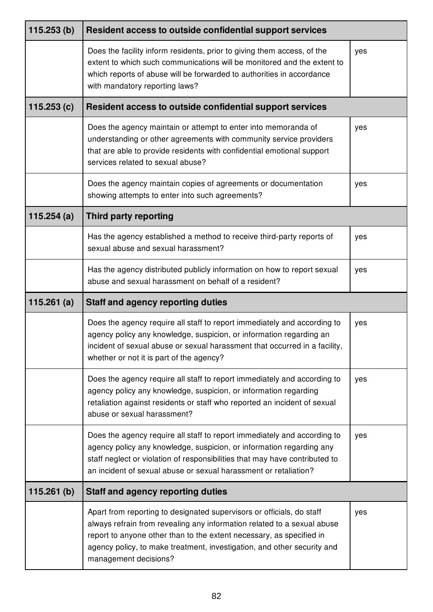| 115.253(b) | Resident access to outside confidential support services                                                                                                                                                                                                                                                                     |     |
|------------|------------------------------------------------------------------------------------------------------------------------------------------------------------------------------------------------------------------------------------------------------------------------------------------------------------------------------|-----|
|            | Does the facility inform residents, prior to giving them access, of the<br>extent to which such communications will be monitored and the extent to<br>which reports of abuse will be forwarded to authorities in accordance<br>with mandatory reporting laws?                                                                | yes |
| 115.253(c) | Resident access to outside confidential support services                                                                                                                                                                                                                                                                     |     |
|            | Does the agency maintain or attempt to enter into memoranda of<br>understanding or other agreements with community service providers<br>that are able to provide residents with confidential emotional support<br>services related to sexual abuse?                                                                          | yes |
|            | Does the agency maintain copies of agreements or documentation<br>showing attempts to enter into such agreements?                                                                                                                                                                                                            | yes |
| 115.254(a) | <b>Third party reporting</b>                                                                                                                                                                                                                                                                                                 |     |
|            | Has the agency established a method to receive third-party reports of<br>sexual abuse and sexual harassment?                                                                                                                                                                                                                 | yes |
|            | Has the agency distributed publicly information on how to report sexual<br>abuse and sexual harassment on behalf of a resident?                                                                                                                                                                                              | yes |
| 115.261(a) | <b>Staff and agency reporting duties</b>                                                                                                                                                                                                                                                                                     |     |
|            | Does the agency require all staff to report immediately and according to<br>agency policy any knowledge, suspicion, or information regarding an<br>incident of sexual abuse or sexual harassment that occurred in a facility,<br>whether or not it is part of the agency?                                                    | yes |
|            | Does the agency require all staff to report immediately and according to<br>agency policy any knowledge, suspicion, or information regarding<br>retaliation against residents or staff who reported an incident of sexual<br>abuse or sexual harassment?                                                                     | yes |
|            | Does the agency require all staff to report immediately and according to<br>agency policy any knowledge, suspicion, or information regarding any<br>staff neglect or violation of responsibilities that may have contributed to<br>an incident of sexual abuse or sexual harassment or retaliation?                          | yes |
| 115.261(b) | <b>Staff and agency reporting duties</b>                                                                                                                                                                                                                                                                                     |     |
|            | Apart from reporting to designated supervisors or officials, do staff<br>always refrain from revealing any information related to a sexual abuse<br>report to anyone other than to the extent necessary, as specified in<br>agency policy, to make treatment, investigation, and other security and<br>management decisions? | yes |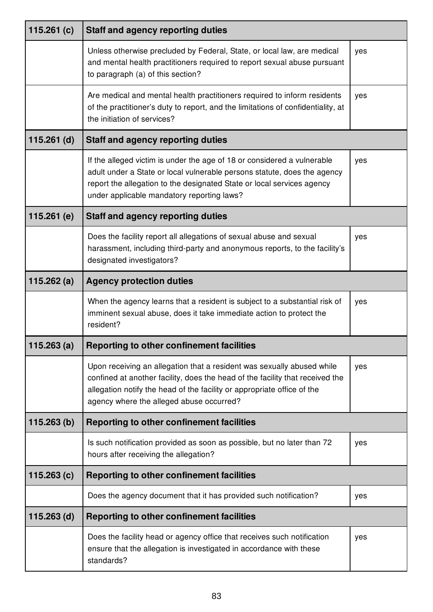| 115.261 $(c)$ | <b>Staff and agency reporting duties</b>                                                                                                                                                                                                                                       |     |
|---------------|--------------------------------------------------------------------------------------------------------------------------------------------------------------------------------------------------------------------------------------------------------------------------------|-----|
|               | Unless otherwise precluded by Federal, State, or local law, are medical<br>and mental health practitioners required to report sexual abuse pursuant<br>to paragraph (a) of this section?                                                                                       | yes |
|               | Are medical and mental health practitioners required to inform residents<br>of the practitioner's duty to report, and the limitations of confidentiality, at<br>the initiation of services?                                                                                    | yes |
| $115.261$ (d) | <b>Staff and agency reporting duties</b>                                                                                                                                                                                                                                       |     |
|               | If the alleged victim is under the age of 18 or considered a vulnerable<br>adult under a State or local vulnerable persons statute, does the agency<br>report the allegation to the designated State or local services agency<br>under applicable mandatory reporting laws?    | yes |
| 115.261 $(e)$ | <b>Staff and agency reporting duties</b>                                                                                                                                                                                                                                       |     |
|               | Does the facility report all allegations of sexual abuse and sexual<br>harassment, including third-party and anonymous reports, to the facility's<br>designated investigators?                                                                                                 | yes |
| 115.262 $(a)$ | <b>Agency protection duties</b>                                                                                                                                                                                                                                                |     |
|               | When the agency learns that a resident is subject to a substantial risk of<br>imminent sexual abuse, does it take immediate action to protect the<br>resident?                                                                                                                 | yes |
| 115.263(a)    | Reporting to other confinement facilities                                                                                                                                                                                                                                      |     |
|               | Upon receiving an allegation that a resident was sexually abused while<br>confined at another facility, does the head of the facility that received the<br>allegation notify the head of the facility or appropriate office of the<br>agency where the alleged abuse occurred? | yes |
| 115.263(b)    | <b>Reporting to other confinement facilities</b>                                                                                                                                                                                                                               |     |
|               | Is such notification provided as soon as possible, but no later than 72<br>hours after receiving the allegation?                                                                                                                                                               | yes |
| 115.263(c)    | Reporting to other confinement facilities                                                                                                                                                                                                                                      |     |
|               | Does the agency document that it has provided such notification?                                                                                                                                                                                                               | yes |
| $115.263$ (d) | <b>Reporting to other confinement facilities</b>                                                                                                                                                                                                                               |     |
|               | Does the facility head or agency office that receives such notification<br>ensure that the allegation is investigated in accordance with these<br>standards?                                                                                                                   | yes |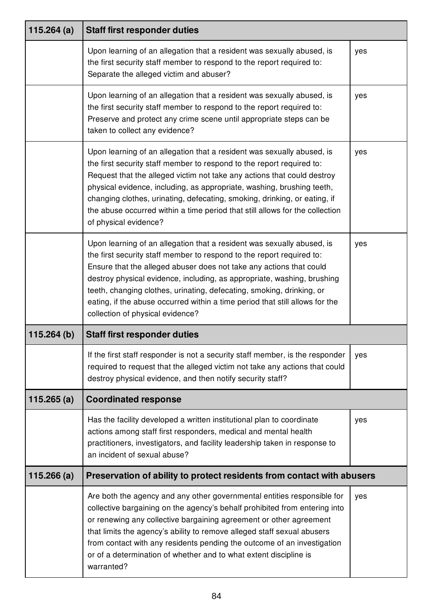| 115.264 $(a)$ | <b>Staff first responder duties</b>                                                                                                                                                                                                                                                                                                                                                                                                                                                            |     |
|---------------|------------------------------------------------------------------------------------------------------------------------------------------------------------------------------------------------------------------------------------------------------------------------------------------------------------------------------------------------------------------------------------------------------------------------------------------------------------------------------------------------|-----|
|               | Upon learning of an allegation that a resident was sexually abused, is<br>the first security staff member to respond to the report required to:<br>Separate the alleged victim and abuser?                                                                                                                                                                                                                                                                                                     | yes |
|               | Upon learning of an allegation that a resident was sexually abused, is<br>the first security staff member to respond to the report required to:<br>Preserve and protect any crime scene until appropriate steps can be<br>taken to collect any evidence?                                                                                                                                                                                                                                       | yes |
|               | Upon learning of an allegation that a resident was sexually abused, is<br>the first security staff member to respond to the report required to:<br>Request that the alleged victim not take any actions that could destroy<br>physical evidence, including, as appropriate, washing, brushing teeth,<br>changing clothes, urinating, defecating, smoking, drinking, or eating, if<br>the abuse occurred within a time period that still allows for the collection<br>of physical evidence?     | yes |
|               | Upon learning of an allegation that a resident was sexually abused, is<br>the first security staff member to respond to the report required to:<br>Ensure that the alleged abuser does not take any actions that could<br>destroy physical evidence, including, as appropriate, washing, brushing<br>teeth, changing clothes, urinating, defecating, smoking, drinking, or<br>eating, if the abuse occurred within a time period that still allows for the<br>collection of physical evidence? | yes |
| 115.264(b)    | <b>Staff first responder duties</b>                                                                                                                                                                                                                                                                                                                                                                                                                                                            |     |
|               | If the first staff responder is not a security staff member, is the responder<br>required to request that the alleged victim not take any actions that could<br>destroy physical evidence, and then notify security staff?                                                                                                                                                                                                                                                                     | yes |
| 115.265 $(a)$ | <b>Coordinated response</b>                                                                                                                                                                                                                                                                                                                                                                                                                                                                    |     |
|               | Has the facility developed a written institutional plan to coordinate<br>actions among staff first responders, medical and mental health<br>practitioners, investigators, and facility leadership taken in response to<br>an incident of sexual abuse?                                                                                                                                                                                                                                         | yes |
| 115.266(a)    | Preservation of ability to protect residents from contact with abusers                                                                                                                                                                                                                                                                                                                                                                                                                         |     |
|               | Are both the agency and any other governmental entities responsible for<br>collective bargaining on the agency's behalf prohibited from entering into<br>or renewing any collective bargaining agreement or other agreement<br>that limits the agency's ability to remove alleged staff sexual abusers<br>from contact with any residents pending the outcome of an investigation<br>or of a determination of whether and to what extent discipline is<br>warranted?                           | yes |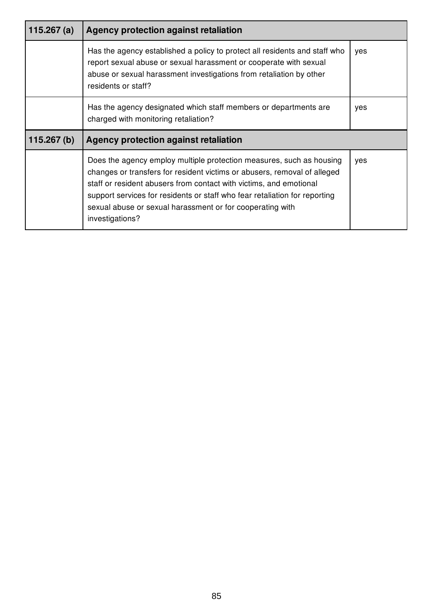| 115.267 $(a)$ | Agency protection against retaliation                                                                                                                                                                                                                                                                                                                                                |     |
|---------------|--------------------------------------------------------------------------------------------------------------------------------------------------------------------------------------------------------------------------------------------------------------------------------------------------------------------------------------------------------------------------------------|-----|
|               | Has the agency established a policy to protect all residents and staff who<br>report sexual abuse or sexual harassment or cooperate with sexual<br>abuse or sexual harassment investigations from retaliation by other<br>residents or staff?                                                                                                                                        | yes |
|               | Has the agency designated which staff members or departments are<br>charged with monitoring retaliation?                                                                                                                                                                                                                                                                             | yes |
| 115.267(b)    | Agency protection against retaliation                                                                                                                                                                                                                                                                                                                                                |     |
|               | Does the agency employ multiple protection measures, such as housing<br>changes or transfers for resident victims or abusers, removal of alleged<br>staff or resident abusers from contact with victims, and emotional<br>support services for residents or staff who fear retaliation for reporting<br>sexual abuse or sexual harassment or for cooperating with<br>investigations? | yes |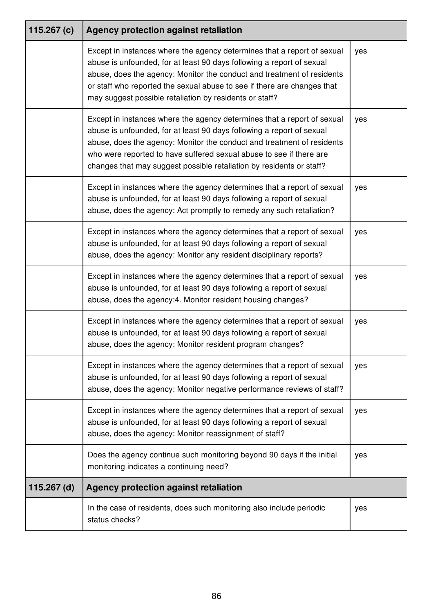| 115.267 $(c)$ | Agency protection against retaliation                                                                                                                                                                                                                                                                                                                                     |     |
|---------------|---------------------------------------------------------------------------------------------------------------------------------------------------------------------------------------------------------------------------------------------------------------------------------------------------------------------------------------------------------------------------|-----|
|               | Except in instances where the agency determines that a report of sexual<br>abuse is unfounded, for at least 90 days following a report of sexual<br>abuse, does the agency: Monitor the conduct and treatment of residents<br>or staff who reported the sexual abuse to see if there are changes that<br>may suggest possible retaliation by residents or staff?          | yes |
|               | Except in instances where the agency determines that a report of sexual<br>abuse is unfounded, for at least 90 days following a report of sexual<br>abuse, does the agency: Monitor the conduct and treatment of residents<br>who were reported to have suffered sexual abuse to see if there are<br>changes that may suggest possible retaliation by residents or staff? | yes |
|               | Except in instances where the agency determines that a report of sexual<br>abuse is unfounded, for at least 90 days following a report of sexual<br>abuse, does the agency: Act promptly to remedy any such retaliation?                                                                                                                                                  | yes |
|               | Except in instances where the agency determines that a report of sexual<br>abuse is unfounded, for at least 90 days following a report of sexual<br>abuse, does the agency: Monitor any resident disciplinary reports?                                                                                                                                                    | yes |
|               | Except in instances where the agency determines that a report of sexual<br>abuse is unfounded, for at least 90 days following a report of sexual<br>abuse, does the agency:4. Monitor resident housing changes?                                                                                                                                                           | yes |
|               | Except in instances where the agency determines that a report of sexual<br>abuse is unfounded, for at least 90 days following a report of sexual<br>abuse, does the agency: Monitor resident program changes?                                                                                                                                                             | yes |
|               | Except in instances where the agency determines that a report of sexual<br>abuse is unfounded, for at least 90 days following a report of sexual<br>abuse, does the agency: Monitor negative performance reviews of staff?                                                                                                                                                | yes |
|               | Except in instances where the agency determines that a report of sexual<br>abuse is unfounded, for at least 90 days following a report of sexual<br>abuse, does the agency: Monitor reassignment of staff?                                                                                                                                                                | yes |
|               | Does the agency continue such monitoring beyond 90 days if the initial<br>monitoring indicates a continuing need?                                                                                                                                                                                                                                                         | yes |
| $115.267$ (d) | Agency protection against retaliation                                                                                                                                                                                                                                                                                                                                     |     |
|               | In the case of residents, does such monitoring also include periodic<br>status checks?                                                                                                                                                                                                                                                                                    | yes |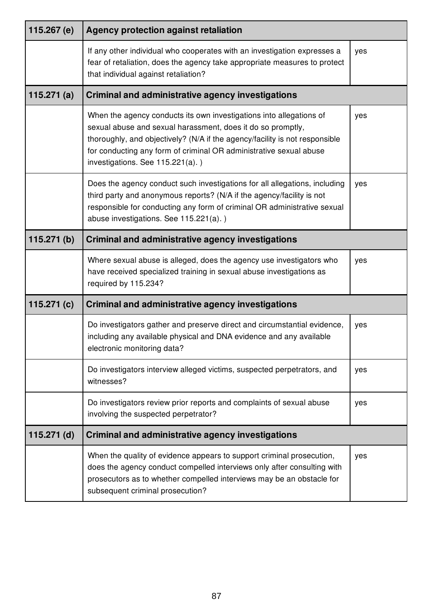| 115.267 (e)   | Agency protection against retaliation                                                                                                                                                                                                                                                                                       |     |
|---------------|-----------------------------------------------------------------------------------------------------------------------------------------------------------------------------------------------------------------------------------------------------------------------------------------------------------------------------|-----|
|               | If any other individual who cooperates with an investigation expresses a<br>fear of retaliation, does the agency take appropriate measures to protect<br>that individual against retaliation?                                                                                                                               | yes |
| 115.271 $(a)$ | <b>Criminal and administrative agency investigations</b>                                                                                                                                                                                                                                                                    |     |
|               | When the agency conducts its own investigations into allegations of<br>sexual abuse and sexual harassment, does it do so promptly,<br>thoroughly, and objectively? (N/A if the agency/facility is not responsible<br>for conducting any form of criminal OR administrative sexual abuse<br>investigations. See 115.221(a).) | yes |
|               | Does the agency conduct such investigations for all allegations, including<br>third party and anonymous reports? (N/A if the agency/facility is not<br>responsible for conducting any form of criminal OR administrative sexual<br>abuse investigations. See 115.221(a).)                                                   | yes |
| 115.271(b)    | Criminal and administrative agency investigations                                                                                                                                                                                                                                                                           |     |
|               | Where sexual abuse is alleged, does the agency use investigators who<br>have received specialized training in sexual abuse investigations as<br>required by 115.234?                                                                                                                                                        | yes |
| 115.271 $(c)$ | <b>Criminal and administrative agency investigations</b>                                                                                                                                                                                                                                                                    |     |
|               | Do investigators gather and preserve direct and circumstantial evidence,<br>including any available physical and DNA evidence and any available<br>electronic monitoring data?                                                                                                                                              | yes |
|               | Do investigators interview alleged victims, suspected perpetrators, and<br>witnesses?                                                                                                                                                                                                                                       | yes |
|               | Do investigators review prior reports and complaints of sexual abuse<br>involving the suspected perpetrator?                                                                                                                                                                                                                | yes |
| $115.271$ (d) | <b>Criminal and administrative agency investigations</b>                                                                                                                                                                                                                                                                    |     |
|               | When the quality of evidence appears to support criminal prosecution,<br>does the agency conduct compelled interviews only after consulting with<br>prosecutors as to whether compelled interviews may be an obstacle for<br>subsequent criminal prosecution?                                                               | yes |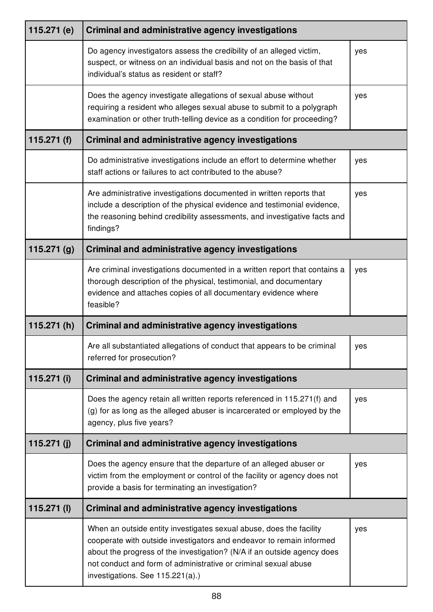| 115.271 (e)   | <b>Criminal and administrative agency investigations</b>                                                                                                                                                                                                                                                                      |     |
|---------------|-------------------------------------------------------------------------------------------------------------------------------------------------------------------------------------------------------------------------------------------------------------------------------------------------------------------------------|-----|
|               | Do agency investigators assess the credibility of an alleged victim,<br>suspect, or witness on an individual basis and not on the basis of that<br>individual's status as resident or staff?                                                                                                                                  | yes |
|               | Does the agency investigate allegations of sexual abuse without<br>requiring a resident who alleges sexual abuse to submit to a polygraph<br>examination or other truth-telling device as a condition for proceeding?                                                                                                         | yes |
| 115.271(f)    | <b>Criminal and administrative agency investigations</b>                                                                                                                                                                                                                                                                      |     |
|               | Do administrative investigations include an effort to determine whether<br>staff actions or failures to act contributed to the abuse?                                                                                                                                                                                         | yes |
|               | Are administrative investigations documented in written reports that<br>include a description of the physical evidence and testimonial evidence,<br>the reasoning behind credibility assessments, and investigative facts and<br>findings?                                                                                    | yes |
| 115.271(g)    | <b>Criminal and administrative agency investigations</b>                                                                                                                                                                                                                                                                      |     |
|               | Are criminal investigations documented in a written report that contains a<br>thorough description of the physical, testimonial, and documentary<br>evidence and attaches copies of all documentary evidence where<br>feasible?                                                                                               | yes |
| 115.271 $(h)$ | <b>Criminal and administrative agency investigations</b>                                                                                                                                                                                                                                                                      |     |
|               | Are all substantiated allegations of conduct that appears to be criminal<br>referred for prosecution?                                                                                                                                                                                                                         | yes |
| 115.271 (i)   | <b>Criminal and administrative agency investigations</b>                                                                                                                                                                                                                                                                      |     |
|               | Does the agency retain all written reports referenced in 115.271(f) and<br>(g) for as long as the alleged abuser is incarcerated or employed by the<br>agency, plus five years?                                                                                                                                               | yes |
| 115.271 $(i)$ | <b>Criminal and administrative agency investigations</b>                                                                                                                                                                                                                                                                      |     |
|               | Does the agency ensure that the departure of an alleged abuser or<br>victim from the employment or control of the facility or agency does not<br>provide a basis for terminating an investigation?                                                                                                                            | yes |
| $115.271$ (l) | <b>Criminal and administrative agency investigations</b>                                                                                                                                                                                                                                                                      |     |
|               | When an outside entity investigates sexual abuse, does the facility<br>cooperate with outside investigators and endeavor to remain informed<br>about the progress of the investigation? (N/A if an outside agency does<br>not conduct and form of administrative or criminal sexual abuse<br>investigations. See 115.221(a).) | yes |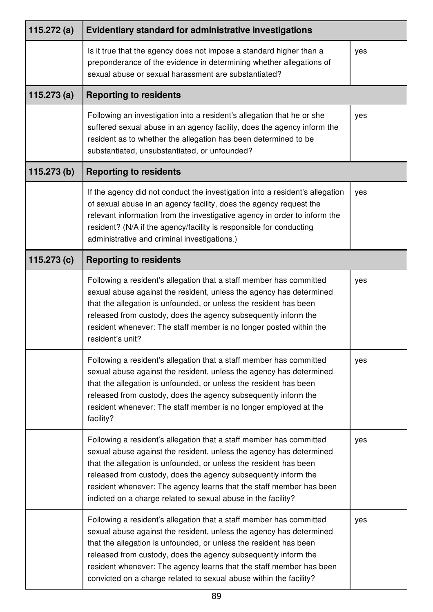| 115.272(a) | Evidentiary standard for administrative investigations                                                                                                                                                                                                                                                                                                                                                                         |     |
|------------|--------------------------------------------------------------------------------------------------------------------------------------------------------------------------------------------------------------------------------------------------------------------------------------------------------------------------------------------------------------------------------------------------------------------------------|-----|
|            | Is it true that the agency does not impose a standard higher than a<br>preponderance of the evidence in determining whether allegations of<br>sexual abuse or sexual harassment are substantiated?                                                                                                                                                                                                                             | yes |
| 115.273(a) | <b>Reporting to residents</b>                                                                                                                                                                                                                                                                                                                                                                                                  |     |
|            | Following an investigation into a resident's allegation that he or she<br>suffered sexual abuse in an agency facility, does the agency inform the<br>resident as to whether the allegation has been determined to be<br>substantiated, unsubstantiated, or unfounded?                                                                                                                                                          | yes |
| 115.273(b) | <b>Reporting to residents</b>                                                                                                                                                                                                                                                                                                                                                                                                  |     |
|            | If the agency did not conduct the investigation into a resident's allegation<br>of sexual abuse in an agency facility, does the agency request the<br>relevant information from the investigative agency in order to inform the<br>resident? (N/A if the agency/facility is responsible for conducting<br>administrative and criminal investigations.)                                                                         | yes |
| 115.273(c) | <b>Reporting to residents</b>                                                                                                                                                                                                                                                                                                                                                                                                  |     |
|            | Following a resident's allegation that a staff member has committed<br>sexual abuse against the resident, unless the agency has determined<br>that the allegation is unfounded, or unless the resident has been<br>released from custody, does the agency subsequently inform the<br>resident whenever: The staff member is no longer posted within the<br>resident's unit?                                                    | yes |
|            | Following a resident's allegation that a staff member has committed<br>sexual abuse against the resident, unless the agency has determined<br>that the allegation is unfounded, or unless the resident has been<br>released from custody, does the agency subsequently inform the<br>resident whenever: The staff member is no longer employed at the<br>facility?                                                             | yes |
|            | Following a resident's allegation that a staff member has committed<br>sexual abuse against the resident, unless the agency has determined<br>that the allegation is unfounded, or unless the resident has been<br>released from custody, does the agency subsequently inform the<br>resident whenever: The agency learns that the staff member has been<br>indicted on a charge related to sexual abuse in the facility?      | yes |
|            | Following a resident's allegation that a staff member has committed<br>sexual abuse against the resident, unless the agency has determined<br>that the allegation is unfounded, or unless the resident has been<br>released from custody, does the agency subsequently inform the<br>resident whenever: The agency learns that the staff member has been<br>convicted on a charge related to sexual abuse within the facility? | yes |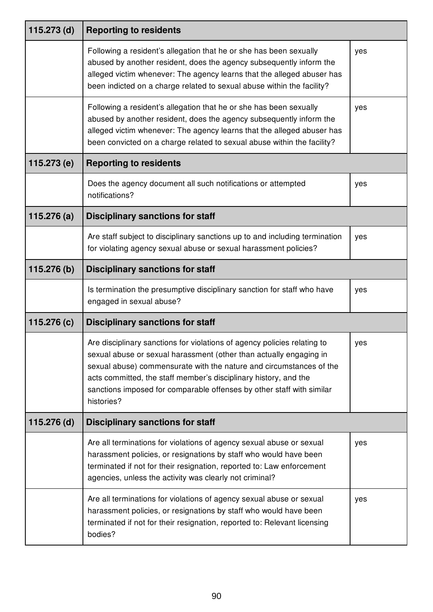| 115.273 (d) | <b>Reporting to residents</b>                                                                                                                                                                                                                                                                                                                                                    |     |
|-------------|----------------------------------------------------------------------------------------------------------------------------------------------------------------------------------------------------------------------------------------------------------------------------------------------------------------------------------------------------------------------------------|-----|
|             | Following a resident's allegation that he or she has been sexually<br>abused by another resident, does the agency subsequently inform the<br>alleged victim whenever: The agency learns that the alleged abuser has<br>been indicted on a charge related to sexual abuse within the facility?                                                                                    | yes |
|             | Following a resident's allegation that he or she has been sexually<br>abused by another resident, does the agency subsequently inform the<br>alleged victim whenever: The agency learns that the alleged abuser has<br>been convicted on a charge related to sexual abuse within the facility?                                                                                   | yes |
| 115.273 (e) | <b>Reporting to residents</b>                                                                                                                                                                                                                                                                                                                                                    |     |
|             | Does the agency document all such notifications or attempted<br>notifications?                                                                                                                                                                                                                                                                                                   | yes |
| 115.276(a)  | <b>Disciplinary sanctions for staff</b>                                                                                                                                                                                                                                                                                                                                          |     |
|             | Are staff subject to disciplinary sanctions up to and including termination<br>for violating agency sexual abuse or sexual harassment policies?                                                                                                                                                                                                                                  | yes |
| 115.276 (b) | <b>Disciplinary sanctions for staff</b>                                                                                                                                                                                                                                                                                                                                          |     |
|             | Is termination the presumptive disciplinary sanction for staff who have<br>engaged in sexual abuse?                                                                                                                                                                                                                                                                              | yes |
| 115.276 (c) | <b>Disciplinary sanctions for staff</b>                                                                                                                                                                                                                                                                                                                                          |     |
|             | Are disciplinary sanctions for violations of agency policies relating to<br>sexual abuse or sexual harassment (other than actually engaging in<br>sexual abuse) commensurate with the nature and circumstances of the<br>acts committed, the staff member's disciplinary history, and the<br>sanctions imposed for comparable offenses by other staff with similar<br>histories? | yes |
| 115.276 (d) | <b>Disciplinary sanctions for staff</b>                                                                                                                                                                                                                                                                                                                                          |     |
|             | Are all terminations for violations of agency sexual abuse or sexual<br>harassment policies, or resignations by staff who would have been<br>terminated if not for their resignation, reported to: Law enforcement<br>agencies, unless the activity was clearly not criminal?                                                                                                    | yes |
|             | Are all terminations for violations of agency sexual abuse or sexual<br>harassment policies, or resignations by staff who would have been<br>terminated if not for their resignation, reported to: Relevant licensing<br>bodies?                                                                                                                                                 | yes |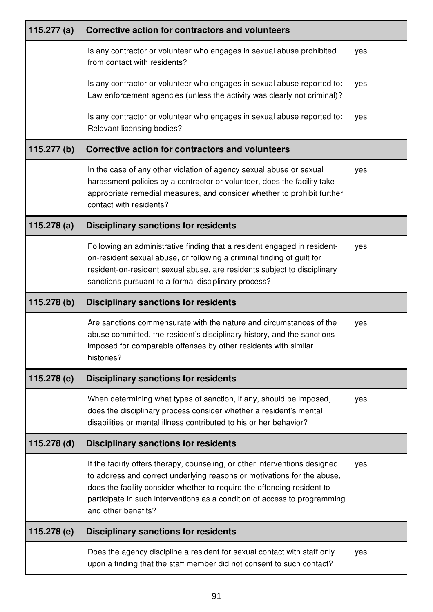| 115.277 $(a)$ | Corrective action for contractors and volunteers                                                                                                                                                                                                                                                                                      |     |
|---------------|---------------------------------------------------------------------------------------------------------------------------------------------------------------------------------------------------------------------------------------------------------------------------------------------------------------------------------------|-----|
|               | Is any contractor or volunteer who engages in sexual abuse prohibited<br>from contact with residents?                                                                                                                                                                                                                                 | yes |
|               | Is any contractor or volunteer who engages in sexual abuse reported to:<br>Law enforcement agencies (unless the activity was clearly not criminal)?                                                                                                                                                                                   | yes |
|               | Is any contractor or volunteer who engages in sexual abuse reported to:<br>Relevant licensing bodies?                                                                                                                                                                                                                                 | yes |
| 115.277(b)    | <b>Corrective action for contractors and volunteers</b>                                                                                                                                                                                                                                                                               |     |
|               | In the case of any other violation of agency sexual abuse or sexual<br>harassment policies by a contractor or volunteer, does the facility take<br>appropriate remedial measures, and consider whether to prohibit further<br>contact with residents?                                                                                 | yes |
| 115.278(a)    | <b>Disciplinary sanctions for residents</b>                                                                                                                                                                                                                                                                                           |     |
|               | Following an administrative finding that a resident engaged in resident-<br>on-resident sexual abuse, or following a criminal finding of guilt for<br>resident-on-resident sexual abuse, are residents subject to disciplinary<br>sanctions pursuant to a formal disciplinary process?                                                | yes |
| 115.278(b)    | <b>Disciplinary sanctions for residents</b>                                                                                                                                                                                                                                                                                           |     |
|               | Are sanctions commensurate with the nature and circumstances of the<br>abuse committed, the resident's disciplinary history, and the sanctions<br>imposed for comparable offenses by other residents with similar<br>histories?                                                                                                       | yes |
| 115.278 (c)   | <b>Disciplinary sanctions for residents</b>                                                                                                                                                                                                                                                                                           |     |
|               | When determining what types of sanction, if any, should be imposed,<br>does the disciplinary process consider whether a resident's mental<br>disabilities or mental illness contributed to his or her behavior?                                                                                                                       | yes |
| $115.278$ (d) | <b>Disciplinary sanctions for residents</b>                                                                                                                                                                                                                                                                                           |     |
|               | If the facility offers therapy, counseling, or other interventions designed<br>to address and correct underlying reasons or motivations for the abuse,<br>does the facility consider whether to require the offending resident to<br>participate in such interventions as a condition of access to programming<br>and other benefits? | yes |
| 115.278 (e)   | <b>Disciplinary sanctions for residents</b>                                                                                                                                                                                                                                                                                           |     |
|               | Does the agency discipline a resident for sexual contact with staff only<br>upon a finding that the staff member did not consent to such contact?                                                                                                                                                                                     | yes |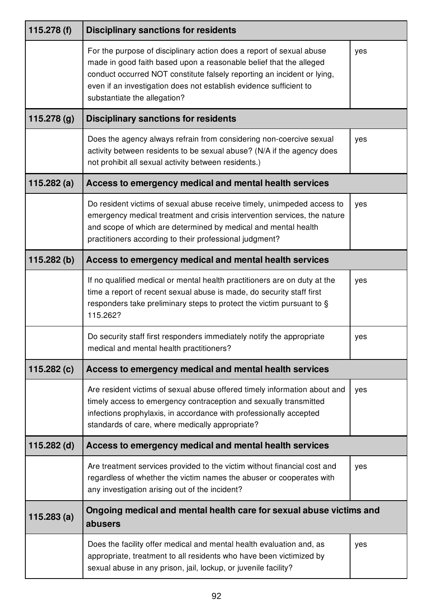| 115.278 $(f)$ | <b>Disciplinary sanctions for residents</b>                                                                                                                                                                                                                                                                                 |     |
|---------------|-----------------------------------------------------------------------------------------------------------------------------------------------------------------------------------------------------------------------------------------------------------------------------------------------------------------------------|-----|
|               | For the purpose of disciplinary action does a report of sexual abuse<br>made in good faith based upon a reasonable belief that the alleged<br>conduct occurred NOT constitute falsely reporting an incident or lying,<br>even if an investigation does not establish evidence sufficient to<br>substantiate the allegation? | yes |
| 115.278 (g)   | <b>Disciplinary sanctions for residents</b>                                                                                                                                                                                                                                                                                 |     |
|               | Does the agency always refrain from considering non-coercive sexual<br>activity between residents to be sexual abuse? (N/A if the agency does<br>not prohibit all sexual activity between residents.)                                                                                                                       | yes |
| 115.282(a)    | Access to emergency medical and mental health services                                                                                                                                                                                                                                                                      |     |
|               | Do resident victims of sexual abuse receive timely, unimpeded access to<br>emergency medical treatment and crisis intervention services, the nature<br>and scope of which are determined by medical and mental health<br>practitioners according to their professional judgment?                                            | yes |
| 115.282(b)    | Access to emergency medical and mental health services                                                                                                                                                                                                                                                                      |     |
|               | If no qualified medical or mental health practitioners are on duty at the<br>time a report of recent sexual abuse is made, do security staff first<br>responders take preliminary steps to protect the victim pursuant to §<br>115.262?                                                                                     | yes |
|               | Do security staff first responders immediately notify the appropriate<br>medical and mental health practitioners?                                                                                                                                                                                                           | yes |
| 115.282 (c)   | Access to emergency medical and mental health services                                                                                                                                                                                                                                                                      |     |
|               | Are resident victims of sexual abuse offered timely information about and<br>timely access to emergency contraception and sexually transmitted<br>infections prophylaxis, in accordance with professionally accepted<br>standards of care, where medically appropriate?                                                     | yes |
| $115.282$ (d) | Access to emergency medical and mental health services                                                                                                                                                                                                                                                                      |     |
|               | Are treatment services provided to the victim without financial cost and<br>regardless of whether the victim names the abuser or cooperates with<br>any investigation arising out of the incident?                                                                                                                          | yes |
| 115.283(a)    | Ongoing medical and mental health care for sexual abuse victims and<br>abusers                                                                                                                                                                                                                                              |     |
|               | Does the facility offer medical and mental health evaluation and, as<br>appropriate, treatment to all residents who have been victimized by<br>sexual abuse in any prison, jail, lockup, or juvenile facility?                                                                                                              | yes |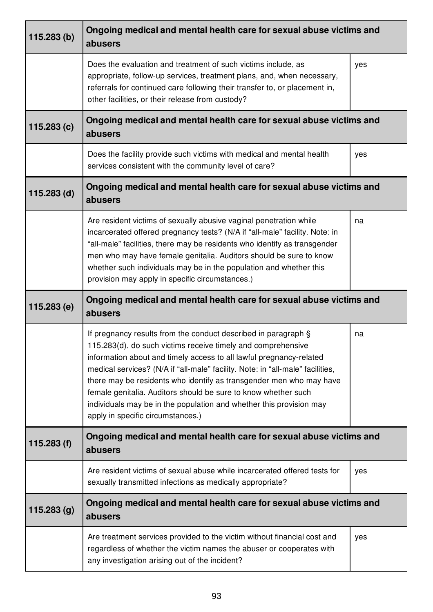| 115.283(b)    | Ongoing medical and mental health care for sexual abuse victims and<br>abusers                                                                                                                                                                                                                                                                                                                                                                                                                                                               |     |
|---------------|----------------------------------------------------------------------------------------------------------------------------------------------------------------------------------------------------------------------------------------------------------------------------------------------------------------------------------------------------------------------------------------------------------------------------------------------------------------------------------------------------------------------------------------------|-----|
|               | Does the evaluation and treatment of such victims include, as<br>appropriate, follow-up services, treatment plans, and, when necessary,<br>referrals for continued care following their transfer to, or placement in,<br>other facilities, or their release from custody?                                                                                                                                                                                                                                                                    | yes |
| 115.283(c)    | Ongoing medical and mental health care for sexual abuse victims and<br>abusers                                                                                                                                                                                                                                                                                                                                                                                                                                                               |     |
|               | Does the facility provide such victims with medical and mental health<br>services consistent with the community level of care?                                                                                                                                                                                                                                                                                                                                                                                                               | yes |
| $115.283$ (d) | Ongoing medical and mental health care for sexual abuse victims and<br>abusers                                                                                                                                                                                                                                                                                                                                                                                                                                                               |     |
|               | Are resident victims of sexually abusive vaginal penetration while<br>incarcerated offered pregnancy tests? (N/A if "all-male" facility. Note: in<br>"all-male" facilities, there may be residents who identify as transgender<br>men who may have female genitalia. Auditors should be sure to know<br>whether such individuals may be in the population and whether this<br>provision may apply in specific circumstances.)                                                                                                                | na  |
| 115.283 (e)   | Ongoing medical and mental health care for sexual abuse victims and<br>abusers                                                                                                                                                                                                                                                                                                                                                                                                                                                               |     |
|               | If pregnancy results from the conduct described in paragraph §<br>115.283(d), do such victims receive timely and comprehensive<br>information about and timely access to all lawful pregnancy-related<br>medical services? (N/A if "all-male" facility. Note: in "all-male" facilities,<br>there may be residents who identify as transgender men who may have<br>female genitalia. Auditors should be sure to know whether such<br>individuals may be in the population and whether this provision may<br>apply in specific circumstances.) | na  |
| 115.283(f)    | Ongoing medical and mental health care for sexual abuse victims and<br>abusers                                                                                                                                                                                                                                                                                                                                                                                                                                                               |     |
|               | Are resident victims of sexual abuse while incarcerated offered tests for<br>sexually transmitted infections as medically appropriate?                                                                                                                                                                                                                                                                                                                                                                                                       | yes |
| 115.283(g)    | Ongoing medical and mental health care for sexual abuse victims and<br>abusers                                                                                                                                                                                                                                                                                                                                                                                                                                                               |     |
|               | Are treatment services provided to the victim without financial cost and<br>regardless of whether the victim names the abuser or cooperates with<br>any investigation arising out of the incident?                                                                                                                                                                                                                                                                                                                                           | yes |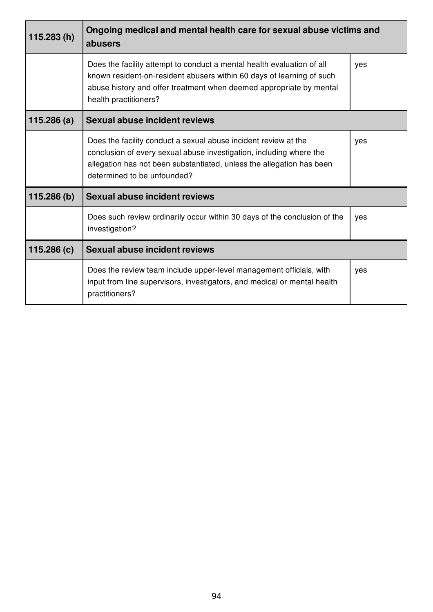| 115.283(h) | Ongoing medical and mental health care for sexual abuse victims and<br>abusers                                                                                                                                                                  |     |
|------------|-------------------------------------------------------------------------------------------------------------------------------------------------------------------------------------------------------------------------------------------------|-----|
|            | Does the facility attempt to conduct a mental health evaluation of all<br>known resident-on-resident abusers within 60 days of learning of such<br>abuse history and offer treatment when deemed appropriate by mental<br>health practitioners? | yes |
| 115.286(a) | Sexual abuse incident reviews                                                                                                                                                                                                                   |     |
|            | Does the facility conduct a sexual abuse incident review at the<br>conclusion of every sexual abuse investigation, including where the<br>allegation has not been substantiated, unless the allegation has been<br>determined to be unfounded?  | yes |
| 115.286(b) | Sexual abuse incident reviews                                                                                                                                                                                                                   |     |
|            | Does such review ordinarily occur within 30 days of the conclusion of the<br>investigation?                                                                                                                                                     | yes |
| 115.286(c) | <b>Sexual abuse incident reviews</b>                                                                                                                                                                                                            |     |
|            | Does the review team include upper-level management officials, with<br>input from line supervisors, investigators, and medical or mental health<br>practitioners?                                                                               | yes |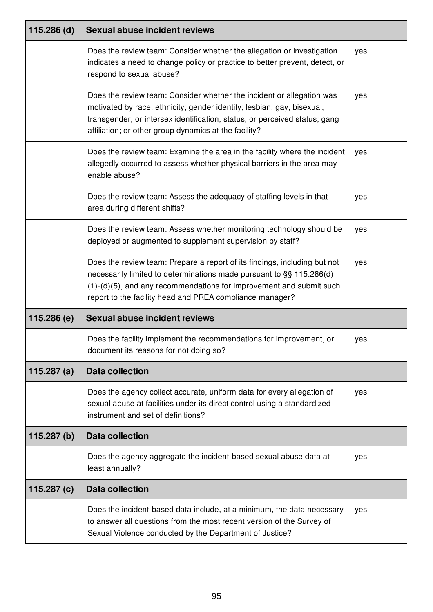| $115.286$ (d) | <b>Sexual abuse incident reviews</b>                                                                                                                                                                                                                                                    |     |
|---------------|-----------------------------------------------------------------------------------------------------------------------------------------------------------------------------------------------------------------------------------------------------------------------------------------|-----|
|               | Does the review team: Consider whether the allegation or investigation<br>indicates a need to change policy or practice to better prevent, detect, or<br>respond to sexual abuse?                                                                                                       | yes |
|               | Does the review team: Consider whether the incident or allegation was<br>motivated by race; ethnicity; gender identity; lesbian, gay, bisexual,<br>transgender, or intersex identification, status, or perceived status; gang<br>affiliation; or other group dynamics at the facility?  | yes |
|               | Does the review team: Examine the area in the facility where the incident<br>allegedly occurred to assess whether physical barriers in the area may<br>enable abuse?                                                                                                                    | yes |
|               | Does the review team: Assess the adequacy of staffing levels in that<br>area during different shifts?                                                                                                                                                                                   | yes |
|               | Does the review team: Assess whether monitoring technology should be<br>deployed or augmented to supplement supervision by staff?                                                                                                                                                       | yes |
|               | Does the review team: Prepare a report of its findings, including but not<br>necessarily limited to determinations made pursuant to §§ 115.286(d)<br>$(1)-(d)(5)$ , and any recommendations for improvement and submit such<br>report to the facility head and PREA compliance manager? | yes |
| 115.286 (e)   | <b>Sexual abuse incident reviews</b>                                                                                                                                                                                                                                                    |     |
|               | Does the facility implement the recommendations for improvement, or<br>document its reasons for not doing so?                                                                                                                                                                           | yes |
| 115.287 $(a)$ | <b>Data collection</b>                                                                                                                                                                                                                                                                  |     |
|               | Does the agency collect accurate, uniform data for every allegation of<br>sexual abuse at facilities under its direct control using a standardized<br>instrument and set of definitions?                                                                                                | yes |
| 115.287(b)    | <b>Data collection</b>                                                                                                                                                                                                                                                                  |     |
|               | Does the agency aggregate the incident-based sexual abuse data at<br>least annually?                                                                                                                                                                                                    | yes |
| 115.287 $(c)$ | <b>Data collection</b>                                                                                                                                                                                                                                                                  |     |
|               | Does the incident-based data include, at a minimum, the data necessary<br>to answer all questions from the most recent version of the Survey of<br>Sexual Violence conducted by the Department of Justice?                                                                              | yes |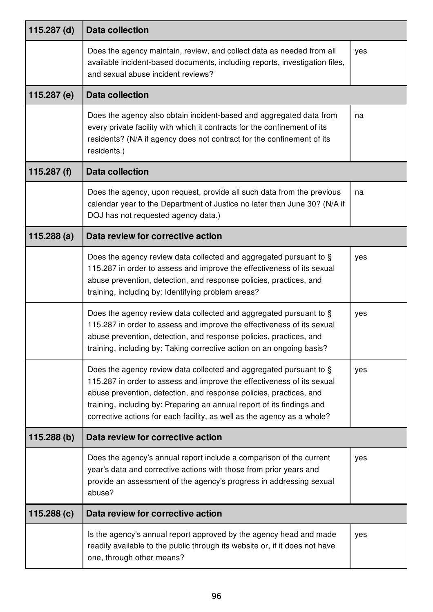| $115.287$ (d) | <b>Data collection</b>                                                                                                                                                                                                                                                                                                                                                  |     |
|---------------|-------------------------------------------------------------------------------------------------------------------------------------------------------------------------------------------------------------------------------------------------------------------------------------------------------------------------------------------------------------------------|-----|
|               | Does the agency maintain, review, and collect data as needed from all<br>available incident-based documents, including reports, investigation files,<br>and sexual abuse incident reviews?                                                                                                                                                                              | yes |
| 115.287 (e)   | <b>Data collection</b>                                                                                                                                                                                                                                                                                                                                                  |     |
|               | Does the agency also obtain incident-based and aggregated data from<br>every private facility with which it contracts for the confinement of its<br>residents? (N/A if agency does not contract for the confinement of its<br>residents.)                                                                                                                               | na  |
| 115.287 $(f)$ | <b>Data collection</b>                                                                                                                                                                                                                                                                                                                                                  |     |
|               | Does the agency, upon request, provide all such data from the previous<br>calendar year to the Department of Justice no later than June 30? (N/A if<br>DOJ has not requested agency data.)                                                                                                                                                                              | na  |
| 115.288(a)    | Data review for corrective action                                                                                                                                                                                                                                                                                                                                       |     |
|               | Does the agency review data collected and aggregated pursuant to §<br>115.287 in order to assess and improve the effectiveness of its sexual<br>abuse prevention, detection, and response policies, practices, and<br>training, including by: Identifying problem areas?                                                                                                | yes |
|               | Does the agency review data collected and aggregated pursuant to §<br>115.287 in order to assess and improve the effectiveness of its sexual<br>abuse prevention, detection, and response policies, practices, and<br>training, including by: Taking corrective action on an ongoing basis?                                                                             | yes |
|               | Does the agency review data collected and aggregated pursuant to §<br>115.287 in order to assess and improve the effectiveness of its sexual<br>abuse prevention, detection, and response policies, practices, and<br>training, including by: Preparing an annual report of its findings and<br>corrective actions for each facility, as well as the agency as a whole? | yes |
| 115.288(b)    | Data review for corrective action                                                                                                                                                                                                                                                                                                                                       |     |
|               | Does the agency's annual report include a comparison of the current<br>year's data and corrective actions with those from prior years and<br>provide an assessment of the agency's progress in addressing sexual<br>abuse?                                                                                                                                              | yes |
| 115.288(c)    | Data review for corrective action                                                                                                                                                                                                                                                                                                                                       |     |
|               | Is the agency's annual report approved by the agency head and made<br>readily available to the public through its website or, if it does not have<br>one, through other means?                                                                                                                                                                                          | yes |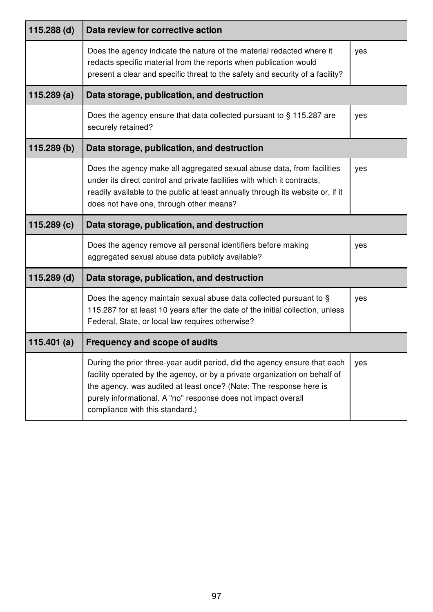| 115.288 (d)   | Data review for corrective action                                                                                                                                                                                                                                                                                                 |     |  |
|---------------|-----------------------------------------------------------------------------------------------------------------------------------------------------------------------------------------------------------------------------------------------------------------------------------------------------------------------------------|-----|--|
|               | Does the agency indicate the nature of the material redacted where it<br>redacts specific material from the reports when publication would<br>present a clear and specific threat to the safety and security of a facility?                                                                                                       | yes |  |
| 115.289(a)    | Data storage, publication, and destruction                                                                                                                                                                                                                                                                                        |     |  |
|               | Does the agency ensure that data collected pursuant to § 115.287 are<br>securely retained?                                                                                                                                                                                                                                        | yes |  |
| 115.289(b)    | Data storage, publication, and destruction                                                                                                                                                                                                                                                                                        |     |  |
|               | Does the agency make all aggregated sexual abuse data, from facilities<br>under its direct control and private facilities with which it contracts,<br>readily available to the public at least annually through its website or, if it<br>does not have one, through other means?                                                  | yes |  |
| 115.289(c)    | Data storage, publication, and destruction                                                                                                                                                                                                                                                                                        |     |  |
|               | Does the agency remove all personal identifiers before making<br>aggregated sexual abuse data publicly available?                                                                                                                                                                                                                 | yes |  |
| $115.289$ (d) | Data storage, publication, and destruction                                                                                                                                                                                                                                                                                        |     |  |
|               | Does the agency maintain sexual abuse data collected pursuant to §<br>115.287 for at least 10 years after the date of the initial collection, unless<br>Federal, State, or local law requires otherwise?                                                                                                                          | yes |  |
| 115.401(a)    | <b>Frequency and scope of audits</b>                                                                                                                                                                                                                                                                                              |     |  |
|               | During the prior three-year audit period, did the agency ensure that each<br>facility operated by the agency, or by a private organization on behalf of<br>the agency, was audited at least once? (Note: The response here is<br>purely informational. A "no" response does not impact overall<br>compliance with this standard.) | yes |  |